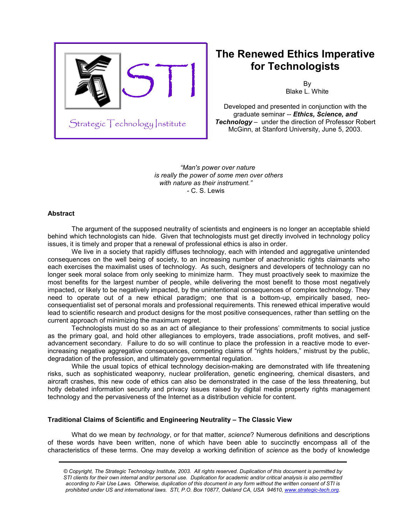

# **The Renewed Ethics Imperative for Technologists**

By Blake L. White

Developed and presented in conjunction with the graduate seminar -- *Ethics, Science, and Technology* – under the direction of Professor Robert McGinn, at Stanford University, June 5, 2003.

*"Man's power over nature is really the power of some men over others with nature as their instrument."*  - C. S. Lewis

# **Abstract**

The argument of the supposed neutrality of scientists and engineers is no longer an acceptable shield behind which technologists can hide. Given that technologists must get directly involved in technology policy issues, it is timely and proper that a renewal of professional ethics is also in order.

We live in a society that rapidly diffuses technology, each with intended and aggregative unintended consequences on the well being of society, to an increasing number of anachronistic rights claimants who each exercises the maximalist uses of technology. As such, designers and developers of technology can no longer seek moral solace from only seeking to minimize harm. They must proactively seek to maximize the most benefits for the largest number of people, while delivering the most benefit to those most negatively impacted, or likely to be negatively impacted, by the unintentional consequences of complex technology. They need to operate out of a new ethical paradigm; one that is a bottom-up, empirically based, neoconsequentialist set of personal morals and professional requirements. This renewed ethical imperative would lead to scientific research and product designs for the most positive consequences, rather than settling on the current approach of minimizing the maximum regret.

Technologists must do so as an act of allegiance to their professions' commitments to social justice as the primary goal, and hold other allegiances to employers, trade associations, profit motives, and selfadvancement secondary. Failure to do so will continue to place the profession in a reactive mode to everincreasing negative aggregative consequences, competing claims of "rights holders," mistrust by the public, degradation of the profession, and ultimately governmental regulation.

While the usual topics of ethical technology decision-making are demonstrated with life threatening risks, such as sophisticated weaponry, nuclear proliferation, genetic engineering, chemical disasters, and aircraft crashes, this new code of ethics can also be demonstrated in the case of the less threatening, but hotly debated information security and privacy issues raised by digital media property rights management technology and the pervasiveness of the Internet as a distribution vehicle for content.

# **Traditional Claims of Scientific and Engineering Neutrality – The Classic View**

What do we mean by *technology*, or for that matter, *science*? Numerous definitions and descriptions of these words have been written, none of which have been able to succinctly encompass all of the characteristics of these terms. One may develop a working definition of *science* as the body of knowledge

*<sup>©</sup> Copyright, The Strategic Technology Institute, 2003. All rights reserved. Duplication of this document is permitted by STI clients for their own internal and/or personal use. Duplication for academic and/or critical analysis is also permitted according to Fair Use Laws. Otherwise, duplication of this document in any form without the written consent of STI is prohibited under US and international laws. STI, P.O. Box 10877, Oakland CA, USA 94610, www.strategic-tech.org.*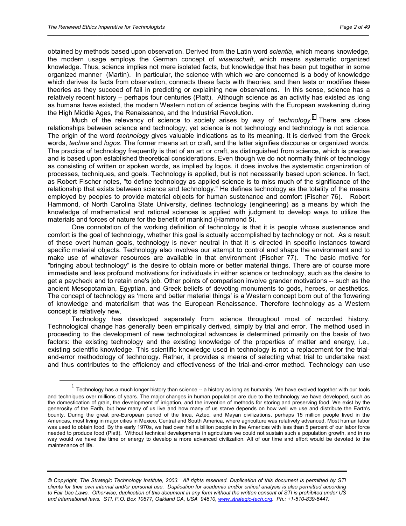obtained by methods based upon observation. Derived from the Latin word *scientia*, which means knowledge, the modern usage employs the German concept of *wisenschaft*, which means systematic organized knowledge. Thus, science implies not mere isolated facts, but knowledge that has been put together in some organized manner (Martin). In particular, the science with which we are concerned is a body of knowledge which derives its facts from observation, connects these facts with theories, and then tests or modifies these theories as they succeed of fail in predicting or explaining new observations. In this sense, science has a relatively recent history – perhaps four centuries (Platt). Although science as an activity has existed as long as humans have existed, the modern Western notion of science begins with the European awakening during the High Middle Ages, the Renaissance, and the Industrial Revolution.

*\_\_\_\_\_\_\_\_\_\_\_\_\_\_\_\_\_\_\_\_\_\_\_\_\_\_\_\_\_\_\_\_\_\_\_\_\_\_\_\_\_\_\_\_\_\_\_\_\_\_\_\_\_\_\_\_\_\_\_\_\_\_\_\_\_\_\_\_\_\_\_\_\_\_\_\_\_\_\_\_\_\_\_\_\_\_\_\_\_\_\_\_\_\_\_\_\_\_\_\_\_\_\_\_\_\_\_\_\_* 

Much of the relevancy of science to society arises by way of *technology*. 1 There are close relationships between science and technology; yet science is not technology and technology is not science. The origin of the word *technology* gives valuable indications as to its meaning. It is derived from the Greek words, *techne* and *logos*. The former means art or craft, and the latter signifies discourse or organized words. The practice of technology frequently is that of an art or craft, as distinguished from science, which is precise and is based upon established theoretical considerations. Even though we do not normally think of technology as consisting of written or spoken words, as implied by logos, it does involve the systematic organization of processes, techniques, and goals. Technology is applied, but is not necessarily based upon science. In fact, as Robert Fischer notes, "to define technology as applied science is to miss much of the significance of the relationship that exists between science and technology." He defines technology as the totality of the means employed by peoples to provide material objects for human sustenance and comfort (Fischer 76). Robert Hammond, of North Carolina State University, defines technology (engineering) as a means by which the knowledge of mathematical and rational sciences is applied with judgment to develop ways to utilize the materials and forces of nature for the benefit of mankind (Hammond 5).

One connotation of the working definition of technology is that it is people whose sustenance and comfort is the goal of technology, whether this goal is actually accomplished by technology or not. As a result of these overt human goals, technology is never neutral in that it is directed in specific instances toward specific material objects. Technology also involves our attempt to control and shape the environment and to make use of whatever resources are available in that environment (Fischer 77). The basic motive for "bringing about technology" is the desire to obtain more or better material things. There are of course more immediate and less profound motivations for individuals in either science or technology, such as the desire to get a paycheck and to retain one's job. Other points of comparison involve grander motivations -- such as the ancient Mesopotamian, Egyptian, and Greek beliefs of devoting monuments to gods, heroes, or aesthetics. The concept of technology as 'more and better material things' is a Western concept born out of the flowering of knowledge and materialism that was the European Renaissance. Therefore technology as a Western concept is relatively new.

Technology has developed separately from science throughout most of recorded history. Technological change has generally been empirically derived, simply by trial and error. The method used in proceeding to the development of new technological advances is determined primarily on the basis of two factors: the existing technology and the existing knowledge of the properties of matter and energy, i.e., existing scientific knowledge. This scientific knowledge used in technology is not a replacement for the trialand-error methodology of technology. Rather, it provides a means of selecting what trial to undertake next and thus contributes to the efficiency and effectiveness of the trial-and-error method. Technology can use

*© Copyright, The Strategic Technology Institute, 2003. All rights reserved. Duplication of this document is permitted by STI clients for their own internal and/or personal use. Duplication for academic and/or critical analysis is also permitted according to Fair Use Laws. Otherwise, duplication of this document in any form without the written consent of STI is prohibited under US and international laws. STI, P.O. Box 10877, Oakland CA, USA 94610, www.strategic-tech.org. Ph.: +1-510-839-6447.*

 $<sup>1</sup>$  Technology has a much longer history than science -- a history as long as humanity. We have evolved together with our tools</sup> and techniques over millions of years. The major changes in human population are due to the technology we have developed, such as the domestication of grain, the development of irrigation, and the invention of methods for storing and preserving food. We exist by the generosity of the Earth, but how many of us live and how many of us starve depends on how well we use and distribute the Earth's bounty. During the great pre-European period of the Inca, Aztec, and Mayan civilizations, perhaps 15 million people lived in the Americas, most living in major cities in Mexico, Central and South America, where agriculture was relatively advanced. Most human labor was used to obtain food. By the early 1970s, we had over half a billion people in the Americas with less than 5 percent of our labor force needed to produce food (Platt). Without technical developments in agriculture we could not sustain such a population growth, and in no way would we have the time or energy to develop a more advanced civilization. All of our time and effort would be devoted to the maintenance of life.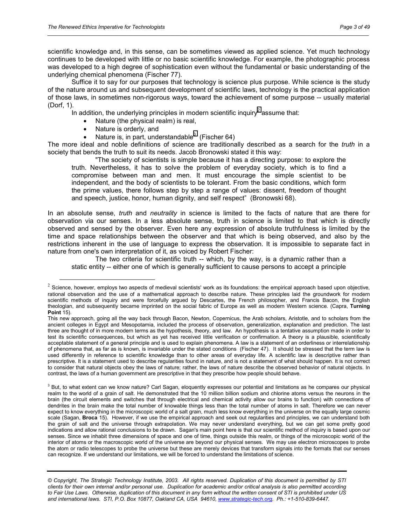scientific knowledge and, in this sense, can be sometimes viewed as applied science. Yet much technology continues to be developed with little or no basic scientific knowledge. For example, the photographic process was developed to a high degree of sophistication even without the fundamental or basic understanding of the underlying chemical phenomena (Fischer 77).

*\_\_\_\_\_\_\_\_\_\_\_\_\_\_\_\_\_\_\_\_\_\_\_\_\_\_\_\_\_\_\_\_\_\_\_\_\_\_\_\_\_\_\_\_\_\_\_\_\_\_\_\_\_\_\_\_\_\_\_\_\_\_\_\_\_\_\_\_\_\_\_\_\_\_\_\_\_\_\_\_\_\_\_\_\_\_\_\_\_\_\_\_\_\_\_\_\_\_\_\_\_\_\_\_\_\_\_\_\_* 

Suffice it to say for our purposes that technology is science plus purpose. While science is the study of the nature around us and subsequent development of scientific laws, technology is the practical application of those laws, in sometimes non-rigorous ways, toward the achievement of some purpose -- usually material (Dorf, 1).

In addition, the underlying principles in modern scientific inquiry<sup>2</sup> assume that:

- Nature (the physical realm) is real,
- Nature is orderly, and
- Nature is, in part, understandable<sup>3</sup> (Fischer 64)

The more ideal and noble definitions of science are traditionally described as a search for the *truth* in a society that bends the truth to suit its needs. Jacob Bronowski stated it this way:

"The society of scientists is simple because it has a directing purpose: to explore the truth. Nevertheless, it has to solve the problem of everyday society, which is to find a compromise between man and men. It must encourage the simple scientist to be independent, and the body of scientists to be tolerant. From the basic conditions, which form the prime values, there follows step by step a range of values: dissent, freedom of thought and speech, justice, honor, human dignity, and self respect" (Bronowski 68).

In an absolute sense, *truth* and *neutrality* in science is limited to the facts of nature that are there for observation via our senses. In a less absolute sense, truth in science is limited to that which is directly observed and sensed by the observer. Even here any expression of absolute truthfulness is limited by the time and space relationships between the observer and that which is being observed, and also by the restrictions inherent in the use of language to express the observation. It is impossible to separate fact in nature from one's own interpretation of it, as voiced by Robert Fischer:

The two criteria for scientific truth -- which, by the way, is a dynamic rather than a static entity -- either one of which is generally sufficient to cause persons to accept a principle

*© Copyright, The Strategic Technology Institute, 2003. All rights reserved. Duplication of this document is permitted by STI clients for their own internal and/or personal use. Duplication for academic and/or critical analysis is also permitted according to Fair Use Laws. Otherwise, duplication of this document in any form without the written consent of STI is prohibited under US and international laws. STI, P.O. Box 10877, Oakland CA, USA 94610, www.strategic-tech.org. Ph.: +1-510-839-6447.*

 $2$  Science, however, employs two aspects of medieval scientists' work as its foundations: the empirical approach based upon objective, rational observation and the use of a mathematical approach to describe nature. These principles laid the groundwork for modern scientific methods of inquiry and were forcefully argued by Descartes, the French philosopher, and Francis Bacon, the English theologian, and subsequently became imprinted on the social fabric of Europe as well as modern Western science. (Capra, **Turning Point** 15).

This new approach, going all the way back through Bacon, Newton, Copernicus, the Arab scholars, Aristotle, and to scholars from the ancient colleges in Egypt and Mesopotamia, included the process of observation, generalization, explanation and prediction. The last three are thought of in more modern terms as the hypothesis, theory, and law. An hypothesis is a tentative assumption made in order to test its scientific consequences, but which as yet has received little verification or confirmation. A theory is a plausible, scientifically acceptable statement of a general principle and is used to explain phenomena. A law is a statement of an orderliness or interrelationship of phenomena that, as far as is known, is invariable under the stated conditions (Fischer 47). It should be stressed that the term law is used differently in reference to scientific knowledge than to other areas of everyday life. A scientific law is descriptive rather than prescriptive. It is a statement used to describe regularities found in nature, and is not a statement of what should happen. It is not correct to consider that natural objects obey the laws of nature; rather, the laws of nature describe the observed behavior of natural objects. In contrast, the laws of a human government are prescriptive in that they prescribe how people should behave.

 $3$  But, to what extent can we know nature? Carl Sagan, eloquently expresses our potential and limitations as he compares our physical realm to the world of a grain of salt. He demonstrated that the 10 million billion sodium and chlorine atoms versus the neurons in the brain (the circuit elements and switches that through electrical and chemical activity allow our brains to function) with connections of dendrites in the brain make the total number of knowable things less than the total number of atoms in salt. Therefore we can never expect to know everything in the microscopic world of a salt grain, much less know everything in the universe on the equally large cosmic scale (Sagan, **Broca** 15). However, if we use the empirical approach and seek out regularities and principles, we can understand both the grain of salt and the universe through extrapolation. We may never understand everything, but we can get some pretty good indications and allow rational conclusions to be drawn. Sagan's main point here is that our scientific method of inquiry is based upon our senses. Since we inhabit three dimensions of space and one of time, things outside this realm, or things of the microscopic world of the interior of atoms or the macroscopic world of the universe are beyond our physical senses. We may use electron microscopes to probe the atom or radio telescopes to probe the universe but these are merely devices that transform signals into the formats that our senses can recognize. If we understand our limitations, we will be forced to understand the limitations of science.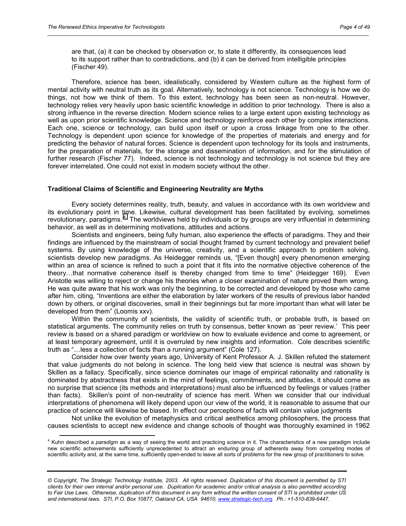are that, (a) it can be checked by observation or, to state it differently, its consequences lead to its support rather than to contradictions, and (b) it can be derived from intelligible principles (Fischer 49).

*\_\_\_\_\_\_\_\_\_\_\_\_\_\_\_\_\_\_\_\_\_\_\_\_\_\_\_\_\_\_\_\_\_\_\_\_\_\_\_\_\_\_\_\_\_\_\_\_\_\_\_\_\_\_\_\_\_\_\_\_\_\_\_\_\_\_\_\_\_\_\_\_\_\_\_\_\_\_\_\_\_\_\_\_\_\_\_\_\_\_\_\_\_\_\_\_\_\_\_\_\_\_\_\_\_\_\_\_\_* 

Therefore, science has been, idealistically, considered by Western culture as the highest form of mental activity with neutral truth as its goal. Alternatively, technology is not science. Technology is how we do things, not how we think of them. To this extent, technology has been seen as non-neutral. However, technology relies very heavily upon basic scientific knowledge in addition to prior technology. There is also a strong influence in the reverse direction. Modern science relies to a large extent upon existing technology as well as upon prior scientific knowledge. Science and technology reinforce each other by complex interactions. Each one, science or technology, can build upon itself or upon a cross linkage from one to the other. Technology is dependent upon science for knowledge of the properties of materials and energy and for predicting the behavior of natural forces. Science is dependent upon technology for its tools and instruments, for the preparation of materials, for the storage and dissemination of information, and for the stimulation of further research (Fischer 77). Indeed, science is not technology and technology is not science but they are forever interrelated. One could not exist in modern society without the other.

### **Traditional Claims of Scientific and Engineering Neutrality are Myths**

Every society determines reality, truth, beauty, and values in accordance with its own worldview and its evolutionary point in time. Likewise, cultural development has been facilitated by evolving, sometimes revolutionary, paradigms.<sup>4</sup> The worldviews held by individuals or by groups are very influential in determining behavior, as well as in determining motivations, attitudes and actions.

Scientists and engineers, being fully human, also experience the effects of paradigms. They and their findings are influenced by the mainstream of social thought framed by current technology and prevalent belief systems. By using knowledge of the universe, creativity, and a scientific approach to problem solving, scientists develop new paradigms. As Heidegger reminds us, "[Even though] every phenomenon emerging within an area of science is refined to such a point that it fits into the normative objective coherence of the theory…that normative coherence itself is thereby changed from time to time" (Heidegger 169). Even Aristotle was willing to reject or change his theories when a closer examination of nature proved them wrong. He was quite aware that his work was only the beginning, to be corrected and developed by those who came after him, citing, "Inventions are either the elaboration by later workers of the results of previous labor handed down by others, or original discoveries, small in their beginnings but far more important than what will later be developed from them" (Loomis xxv).

Within the community of scientists, the validity of scientific truth, or probable truth, is based on statistical arguments. The community relies on truth by consensus, better known as 'peer review.' This peer review is based on a shared paradigm or worldview on how to evaluate evidence and come to agreement, or at least temporary agreement, until it is overruled by new insights and information. Cole describes scientific truth as "…less a collection of facts than a running argument" (Cole 127).

Consider how over twenty years ago, University of Kent Professor A. J. Skillen refuted the statement that value judgments do not belong in science. The long held view that science is neutral was shown by Skillen as a fallacy. Specifically, since science dominates our image of empirical rationality and rationality is dominated by abstractness that exists in the mind of feelings, commitments, and attitudes, it should come as no surprise that science (its methods and interpretations) must also be influenced by feelings or values (rather than facts). Skillen's point of non-neutrality of science has merit. When we consider that our individual interpretations of phenomena will likely depend upon our view of the world, it is reasonable to assume that our practice of science will likewise be biased. In effect our perceptions of facts will contain value judgments

Not unlike the evolution of metaphysics and critical aesthetics among philosophers, the process that causes scientists to accept new evidence and change schools of thought was thoroughly examined in 1962

<sup>4</sup> Kuhn described a *paradigm* as a way of seeing the world and practicing science in it. The characteristics of a new paradigm include new scientific achievements sufficiently unprecedented to attract an enduring group of adherents away from competing modes of scientific activity and, at the same time, sufficiently open-ended to leave all sorts of problems for the new group of practitioners to solve.

*<sup>©</sup> Copyright, The Strategic Technology Institute, 2003. All rights reserved. Duplication of this document is permitted by STI clients for their own internal and/or personal use. Duplication for academic and/or critical analysis is also permitted according to Fair Use Laws. Otherwise, duplication of this document in any form without the written consent of STI is prohibited under US and international laws. STI, P.O. Box 10877, Oakland CA, USA 94610, www.strategic-tech.org. Ph.: +1-510-839-6447.*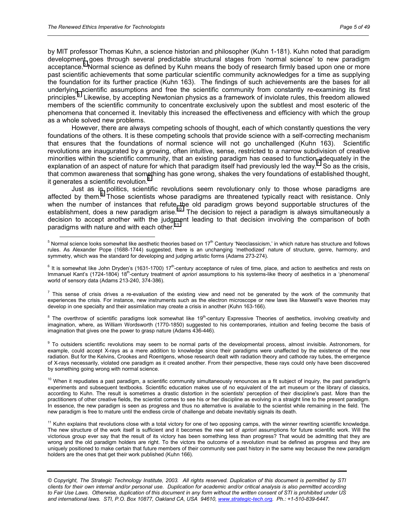by MIT professor Thomas Kuhn, a science historian and philosopher (Kuhn 1-181). Kuhn noted that paradigm development goes through several predictable structural stages from 'normal science' to new paradigm acceptance.<sup>5</sup> Normal science as defined by Kuhn means the body of research firmly based upon one or more past scientific achievements that some particular scientific community acknowledges for a time as supplying the foundation for its further practice (Kuhn 163). The findings of such achievements are the bases for all underlying scientific assumptions and free the scientific community from constantly re-examining its first principles.<sup>6</sup> Likewise, by accepting Newtonian physics as a framework of inviolate rules, this freedom allowed members of the scientific community to concentrate exclusively upon the subtlest and most esoteric of the phenomena that concerned it. Inevitably this increased the effectiveness and efficiency with which the group as a whole solved new problems.

*\_\_\_\_\_\_\_\_\_\_\_\_\_\_\_\_\_\_\_\_\_\_\_\_\_\_\_\_\_\_\_\_\_\_\_\_\_\_\_\_\_\_\_\_\_\_\_\_\_\_\_\_\_\_\_\_\_\_\_\_\_\_\_\_\_\_\_\_\_\_\_\_\_\_\_\_\_\_\_\_\_\_\_\_\_\_\_\_\_\_\_\_\_\_\_\_\_\_\_\_\_\_\_\_\_\_\_\_\_* 

However, there are always competing schools of thought, each of which constantly questions the very foundations of the others. It is these competing schools that provide science with a self-correcting mechanism that ensures that the foundations of normal science will not go unchallenged (Kuhn 163). Scientific revolutions are inaugurated by a growing, often intuitive, sense, restricted to a narrow subdivision of creative minorities within the scientific community, that an existing paradigm has ceased to function adequately in the explanation of an aspect of nature for which that paradigm itself had previously led the way.<sup>7</sup> So as the crisis, that common awareness that something has gone wrong, shakes the very foundations of established thought, it generates a scientific revolution.<sup>8</sup>

Just as in politics, scientific revolutions seem revolutionary only to those whose paradigms are affected by them.<sup>9</sup> Those scientists whose paradigms are threatened typically react with resistance. Only when the number of instances that refute the old paradigm grows beyond supportable structures of the establishment, does a new paradigm arise.<sup>10</sup> The decision to reject a paradigm is always simultaneously a decision to accept another with the judgment leading to that decision involving the comparison of both paradigms with nature and with each other.<sup>11</sup>

 $^7$  This sense of crisis drives a re-evaluation of the existing view and need not be generated by the work of the community that experiences the crisis. For instance, new instruments such as the electron microscope or new laws like Maxwell's wave theories may develop in one specialty and their assimilation may create a crisis in another (Kuhn 163-166).

<sup>8</sup> The overthrow of scientific paradigms look somewhat like 19<sup>th</sup>-century Expressive Theories of aesthetics, involving creativity and imagination, where, as William Wordsworth (1770-1850) suggested to his contemporaries, intuition and feeling become the basis of imagination that gives one the power to grasp nature (Adams 436-446).

<sup>9</sup> To outsiders scientific revolutions may seem to be normal parts of the developmental process, almost invisible. Astronomers, for example, could accept X-rays as a mere addition to knowledge since their paradigms were unaffected by the existence of the new radiation. But for the Kelvins, Crookes and Roentgens, whose research dealt with radiation theory and cathode ray tubes, the emergence of X-rays necessarily, violated one paradigm as it created another. From their perspective, these rays could only have been discovered by something going wrong with normal science.

 $10$  When it repudiates a past paradigm, a scientific community simultaneously renounces as a fit subject of inquiry, the past paradigm's experiments and subsequent textbooks. Scientific education makes use of no equivalent of the art museum or the library of classics, according to Kuhn. The result is sometimes a drastic distortion in the scientists' perception of their discipline's past. More than the practitioners of other creative fields, the scientist comes to see his or her discipline as evolving in a straight line to the present paradigm. In essence, the new paradigm is seen as progress and thus no alternative is available to the scientist while remaining in the field. The new paradigm is free to mature until the endless circle of challenge and debate inevitably signals its death.

<sup>11</sup> Kuhn explains that revolutions close with a total victory for one of two opposing camps, with the winner rewriting scientific knowledge. The new structure of the work itself is sufficient and it becomes the new set of *apriori* assumptions for future scientific work. Will the victorious group ever say that the result of its victory has been something less than progress? That would be admitting that they are wrong and the old paradigm holders are right. To the victors the outcome of a revolution must be defined as progress and they are uniquely positioned to make certain that future members of their community see past history in the same way because the new paradigm holders are the ones that get their work published (Kuhn 166).

*© Copyright, The Strategic Technology Institute, 2003. All rights reserved. Duplication of this document is permitted by STI clients for their own internal and/or personal use. Duplication for academic and/or critical analysis is also permitted according to Fair Use Laws. Otherwise, duplication of this document in any form without the written consent of STI is prohibited under US and international laws. STI, P.O. Box 10877, Oakland CA, USA 94610, www.strategic-tech.org. Ph.: +1-510-839-6447.*

<sup>5</sup> Normal science looks somewhat like aesthetic theories based on 17th Century 'Neoclassicism,' in which nature has structure and follows rules. As Alexander Pope (1688-1744) suggested, there is an unchanging 'methodized' nature of structure, genre, harmony, and symmetry, which was the standard for developing and judging artistic forms (Adams 273-274).

<sup>&</sup>lt;sup>6</sup> It is somewhat like John Dryden's (1631-1700) 17<sup>th</sup>-century acceptance of rules of time, place, and action to aesthetics and rests on Immanuel Kant's (1724-1804) 18<sup>th</sup>-century treatment of *apriori* assumptions to his systems-like theory of aesthetics in a 'phenomenal' world of sensory data (Adams 213-240, 374-386).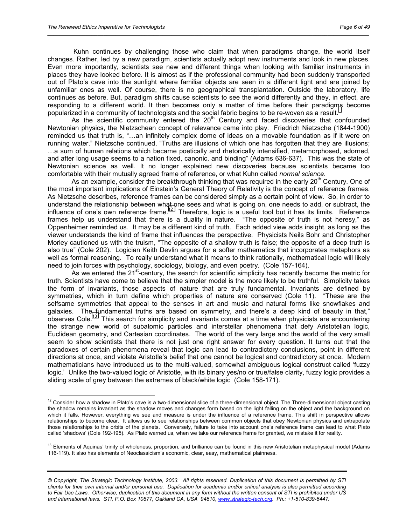Kuhn continues by challenging those who claim that when paradigms change, the world itself changes. Rather, led by a new paradigm, scientists actually adopt new instruments and look in new places. Even more importantly, scientists see new and different things when looking with familiar instruments in places they have looked before. It is almost as if the professional community had been suddenly transported out of Plato's cave into the sunlight where familiar objects are seen in a different light and are joined by unfamiliar ones as well. Of course, there is no geographical transplantation. Outside the laboratory, life continues as before. But, paradigm shifts cause scientists to see the world differently and they, in effect, are responding to a different world. It then becomes only a matter of time before their paradig[ms](#page-48-0) become popularized in a community of technologists and the social fabric begins to be re-woven as a result.

*\_\_\_\_\_\_\_\_\_\_\_\_\_\_\_\_\_\_\_\_\_\_\_\_\_\_\_\_\_\_\_\_\_\_\_\_\_\_\_\_\_\_\_\_\_\_\_\_\_\_\_\_\_\_\_\_\_\_\_\_\_\_\_\_\_\_\_\_\_\_\_\_\_\_\_\_\_\_\_\_\_\_\_\_\_\_\_\_\_\_\_\_\_\_\_\_\_\_\_\_\_\_\_\_\_\_\_\_\_* 

As the scientific community entered the  $20<sup>th</sup>$  Century and faced discoveries that confounded Newtonian physics, the Nietzschean concept of relevance came into play. Friedrich Nietzsche (1844-1900) reminded us that truth is, "…an infinitely complex dome of ideas on a movable foundation as if it were on running water." Nietzsche continued, "Truths are illusions of which one has forgotten that they are illusions; …a sum of human relations which became poetically and rhetorically intensified, metamorphosed, adorned, and after long usage seems to a nation fixed, canonic, and binding" (Adams 636-637). This was the state of Newtonian science as well. It no longer explained new discoveries because scientists became too comfortable with their mutually agreed frame of reference, or what Kuhn called *normal science*.

As an example, consider the breakthrough thinking that was required in the early  $20<sup>th</sup>$  Century. One of the most important implications of Einstein's General Theory of Relativity is the concept of reference frames. As Nietzsche describes, reference frames can be considered simply as a certain point of view. So, in order to understand the relationship between what one sees and what is going on, one needs to add, or subtract, the influence of one's own reference frame.<sup>12</sup> Therefore, logic is a useful tool but it has its limits. Reference frames help us understand that there is a duality in nature. "The opposite of truth is not heresy," as Oppenheimer reminded us. It may be a different kind of truth. Each added view adds insight, as long as the viewer understands the kind of frame that influences the perspective. Physicists Neils Bohr and Christopher Morley cautioned us with the truism, "The opposite of a shallow truth is false; the opposite of a deep truth is also true" (Cole 202). Logician Keith Devlin argues for a softer mathematics that incorporates metaphors as well as formal reasoning. To really understand what it means to think rationally, mathematical logic will likely need to join forces with psychology, sociology, biology, and even poetry. (Cole 157-164).

As we entered the  $21<sup>st</sup>$ -century, the search for scientific simplicity has recently become the metric for truth. Scientists have come to believe that the simpler model is the more likely to be truthful. Simplicity takes the form of invariants, those aspects of nature that are truly fundamental. Invariants are defined by symmetries, which in turn define which properties of nature are conserved (Cole 11). "These are the selfsame symmetries that appeal to the senses in art and music and natural forms like snowflakes and galaxies. The fundamental truths are based on symmetry, and there's a deep kind of beauty in that," observes Cole.13 This search for simplicity and invariants comes at a time when physicists are encountering the strange new world of subatomic particles and interstellar phenomena that defy Aristotelian logic, Euclidean geometry, and Cartesian coordinates. The world of the very large and the world of the very small seem to show scientists that there is not just one right answer for every question. It turns out that the paradoxes of certain phenomena reveal that logic can lead to contradictory conclusions, point in different directions at once, and violate Aristotle's belief that one cannot be logical and contradictory at once. Modern mathematicians have introduced us to the multi-valued, somewhat ambiguous logical construct called 'fuzzy logic.' Unlike the two-valued logic of Aristotle, with its binary yes/no or true/false clarity, fuzzy logic provides a sliding scale of grey between the extremes of black/white logic (Cole 158-171).

 $12$  Consider how a shadow in Plato's cave is a two-dimensional slice of a three-dimensional object. The Three-dimensional object casting the shadow remains invariant as the shadow moves and changes form based on the light falling on the object and the background on which it falls. However, everything we see and measure is under the influence of a reference frame. This shift in perspective allows relationships to become clear. It allows us to see relationships between common objects that obey Newtonian physics and extrapolate those relationships to the orbits of the planets. Conversely, failure to take into account one's reference frame can lead to what Plato called 'shadows' (Cole 192-195). As Plato warned us, when we take our reference frame for granted, we mistake it for reality.

<sup>&</sup>lt;sup>13</sup> Elements of Aquinas' trinity of wholeness, proportion, and brilliance can be found in this new Aristotelian metaphysical model (Adams 116-119). It also has elements of Neoclassicism's economic, clear, easy, mathematical plainness.

*<sup>©</sup> Copyright, The Strategic Technology Institute, 2003. All rights reserved. Duplication of this document is permitted by STI clients for their own internal and/or personal use. Duplication for academic and/or critical analysis is also permitted according to Fair Use Laws. Otherwise, duplication of this document in any form without the written consent of STI is prohibited under US and international laws. STI, P.O. Box 10877, Oakland CA, USA 94610, www.strategic-tech.org. Ph.: +1-510-839-6447.*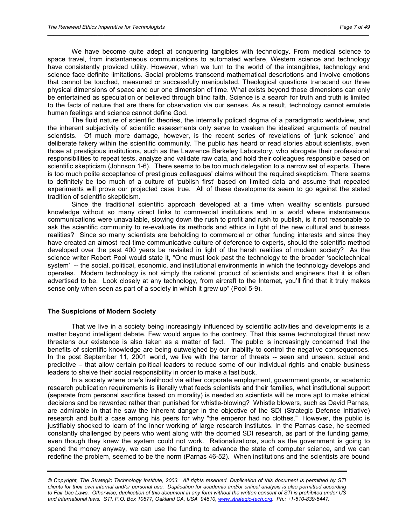We have become quite adept at conquering tangibles with technology. From medical science to space travel, from instantaneous communications to automated warfare, Western science and technology have consistently provided utility. However, when we turn to the world of the intangibles, technology and science face definite limitations. Social problems transcend mathematical descriptions and involve emotions that cannot be touched, measured or successfully manipulated. Theological questions transcend our three physical dimensions of space and our one dimension of time. What exists beyond those dimensions can only be entertained as speculation or believed through blind faith. Science is a search for truth and truth is limited to the facts of nature that are there for observation via our senses. As a result, technology cannot emulate human feelings and science cannot define God.

*\_\_\_\_\_\_\_\_\_\_\_\_\_\_\_\_\_\_\_\_\_\_\_\_\_\_\_\_\_\_\_\_\_\_\_\_\_\_\_\_\_\_\_\_\_\_\_\_\_\_\_\_\_\_\_\_\_\_\_\_\_\_\_\_\_\_\_\_\_\_\_\_\_\_\_\_\_\_\_\_\_\_\_\_\_\_\_\_\_\_\_\_\_\_\_\_\_\_\_\_\_\_\_\_\_\_\_\_\_* 

The fluid nature of scientific theories, the internally policed dogma of a paradigmatic worldview, and the inherent subjectivity of scientific assessments only serve to weaken the idealized arguments of neutral scientists. Of much more damage, however, is the recent series of revelations of 'junk science' and deliberate fakery within the scientific community. The public has heard or read stories about scientists, even those at prestigious institutions, such as the Lawrence Berkeley Laboratory, who abrogate their professional responsibilities to repeat tests, analyze and validate raw data, and hold their colleagues responsible based on scientific skepticism (Johnson 1-6). There seems to be too much delegation to a narrow set of experts. There is too much polite acceptance of prestigious colleagues' claims without the required skepticism. There seems to definitely be too much of a culture of 'publish first' based on limited data and assume that repeated experiments will prove our projected case true. All of these developments seem to go against the stated tradition of scientific skepticism.

Since the traditional scientific approach developed at a time when wealthy scientists pursued knowledge without so many direct links to commercial institutions and in a world where instantaneous communications were unavailable, slowing down the rush to profit and rush to publish, is it not reasonable to ask the scientific community to re-evaluate its methods and ethics in light of the new cultural and business realities? Since so many scientists are beholding to commercial or other funding interests and since they have created an almost real-time communicative culture of deference to experts, should the scientific method developed over the past 400 years be revisited in light of the harsh realities of modern society? As the science writer Robert Pool would state it, "One must look past the technology to the broader 'sociotechnical system' -- the social, political, economic, and institutional environments in which the technology develops and operates. Modern technology is not simply the rational product of scientists and engineers that it is often advertised to be. Look closely at any technology, from aircraft to the Internet, you'll find that it truly makes sense only when seen as part of a society in which it grew up" (Pool 5-9).

#### **The Suspicions of Modern Society**

That we live in a society being increasingly influenced by scientific activities and developments is a matter beyond intelligent debate. Few would argue to the contrary. That this same technological thrust now threatens our existence is also taken as a matter of fact. The public is increasingly concerned that the benefits of scientific knowledge are being outweighed by our inability to control the negative consequences. In the post September 11, 2001 world, we live with the terror of threats -- seen and unseen, actual and predictive – that allow certain political leaders to reduce some of our individual rights and enable business leaders to shelve their social responsibility in order to make a fast buck.

In a society where one's livelihood via either corporate employment, government grants, or academic research publication requirements is literally what feeds scientists and their families, what institutional support (separate from personal sacrifice based on morality) is needed so scientists will be more apt to make ethical decisions and be rewarded rather than punished for whistle-blowing? Whistle blowers, such as David Parnas, are admirable in that he saw the inherent danger in the objective of the SDI (Strategic Defense Initiative) research and built a case among his peers for why "the emperor had no clothes." However, the public is justifiably shocked to learn of the inner working of large research institutes. In the Parnas case, he seemed constantly challenged by peers who went along with the doomed SDI research, as part of the funding game, even though they knew the system could not work. Rationalizations, such as the government is going to spend the money anyway, we can use the funding to advance the state of computer science, and we can redefine the problem, seemed to be the norm (Parnas 46-52). When institutions and the scientists are bound

*<sup>©</sup> Copyright, The Strategic Technology Institute, 2003. All rights reserved. Duplication of this document is permitted by STI clients for their own internal and/or personal use. Duplication for academic and/or critical analysis is also permitted according to Fair Use Laws. Otherwise, duplication of this document in any form without the written consent of STI is prohibited under US and international laws. STI, P.O. Box 10877, Oakland CA, USA 94610, www.strategic-tech.org. Ph.: +1-510-839-6447.*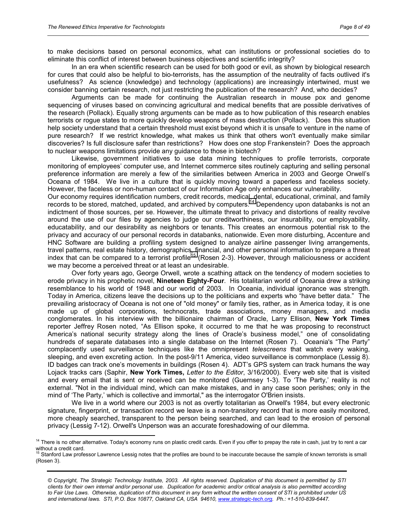to make decisions based on personal economics, what can institutions or professional societies do to eliminate this conflict of interest between business objectives and scientific integrity?

*\_\_\_\_\_\_\_\_\_\_\_\_\_\_\_\_\_\_\_\_\_\_\_\_\_\_\_\_\_\_\_\_\_\_\_\_\_\_\_\_\_\_\_\_\_\_\_\_\_\_\_\_\_\_\_\_\_\_\_\_\_\_\_\_\_\_\_\_\_\_\_\_\_\_\_\_\_\_\_\_\_\_\_\_\_\_\_\_\_\_\_\_\_\_\_\_\_\_\_\_\_\_\_\_\_\_\_\_\_* 

In an era when scientific research can be used for both good or evil, as shown by biological research for cures that could also be helpful to bio-terrorists, has the assumption of the neutrality of facts outlived it's usefulness? As science (knowledge) and technology (applications) are increasingly intertwined, must we consider banning certain research, not just restricting the publication of the research? And, who decides?

Arguments can be made for continuing the Australian research in mouse pox and genome sequencing of viruses based on convincing agricultural and medical benefits that are possible derivatives of the research (Pollack). Equally strong arguments can be made as to how publication of this research enables terrorists or rogue states to more quickly develop weapons of mass destruction (Pollack). Does this situation help society understand that a certain threshold must exist beyond which it is unsafe to venture in the name of pure research? If we restrict knowledge, what makes us think that others won't eventually make similar discoveries? Is full disclosure safer than restrictions? How does one stop Frankenstein? Does the approach to nuclear weapons limitations provide any guidance to those in biotech?

Likewise, government initiatives to use data mining techniques to profile terrorists, corporate monitoring of employees' computer use, and Internet commerce sites routinely capturing and selling personal preference information are merely a few of the similarities between America in 2003 and George Orwell's Oceana of 1984. We live in a culture that is quickly moving toward a paperless and faceless society. However, the faceless or non-human contact of our Information Age only enhances our vulnerability.

Our economy requires identification numbers, credit records, medical, dental, educational, criminal, and family records to be stored, matched, updated, and archived by computers.<sup>14</sup> Dependency upon databanks is not an indictment of those sources, per se. However, the ultimate threat to privacy and distortions of reality revolve around the use of our files by agencies to judge our creditworthiness, our insurability, our employability, educatability, and our desirability as neighbors or tenants. This creates an enormous potential risk to the privacy and accuracy of our personal records in databanks, nationwide. Even more disturbing, Accenture and HNC Software are building a profiling system designed to analyze airline passenger living arrangements, travel patterns, real estate history, demographics, financial, and other personal information to prepare a threat index that can be compared to a terrorist profile<sup>15</sup> (Rosen 2-3). However, through maliciousness or accident we may become a perceived threat or at least an undesirable.

Over forty years ago, George Orwell, wrote a scathing attack on the tendency of modern societies to erode privacy in his prophetic novel, **Nineteen Eighty-Four**. His totalitarian world of Oceania drew a striking resemblance to his world of 1948 and our world of 2003. In Oceania, individual ignorance was strength. Today in America, citizens leave the decisions up to the politicians and experts who "have better data." The prevailing aristocracy of Oceana is not one of "old money" or family ties, rather, as in America today, it is one made up of global corporations, technocrats, trade associations, money managers, and media conglomerates. In his interview with the billionaire chairman of Oracle, Larry Ellison, **New York Times** reporter Jeffrey Rosen noted, "As Ellison spoke, it occurred to me that he was proposing to reconstruct America's national security strategy along the lines of Oracle's business model," one of consolidating hundreds of separate databases into a single database on the Internet (Rosen 7). Oceania's "The Party" complacently used surveillance techniques like the omnipresent *telescreens* that watch every waking, sleeping, and even excreting action. In the post-9/11 America, video surveillance is commonplace (Lessig 8). ID badges can track one's movements in buildings (Rosen 4). ADT's GPS system can track humans the way Lojack tracks cars (Saphir, **New York Times,** *Letter to the Editor*, 3/16/2000). Every web site that is visited and every email that is sent or received can be monitored (Guernsey 1-3). To 'The Party,' reality is not external. "Not in the individual mind, which can make mistakes, and in any case soon perishes; only in the mind of 'The Party,' which is collective and immortal," as the interrogator O'Brien insists.

We live in a world where our 2003 is not as overtly totalitarian as Orwell's 1984, but every electronic signature, fingerprint, or transaction record we leave is a non-transitory record that is more easily monitored, more cheaply searched, transparent to the person being searched, and can lead to the erosion of personal privacy (Lessig 7-12). Orwell's Unperson was an accurate foreshadowing of our dilemma.

*© Copyright, The Strategic Technology Institute, 2003. All rights reserved. Duplication of this document is permitted by STI clients for their own internal and/or personal use. Duplication for academic and/or critical analysis is also permitted according to Fair Use Laws. Otherwise, duplication of this document in any form without the written consent of STI is prohibited under US and international laws. STI, P.O. Box 10877, Oakland CA, USA 94610, www.strategic-tech.org. Ph.: +1-510-839-6447.*

<sup>&</sup>lt;sup>14</sup> There is no other alternative. Today's economy runs on plastic credit cards. Even if you offer to prepay the rate in cash, just try to rent a car without a credit card.

<sup>&</sup>lt;sup>15</sup> Stanford Law professor Lawrence Lessig notes that the profiles are bound to be inaccurate because the sample of known terrorists is small (Rosen 3).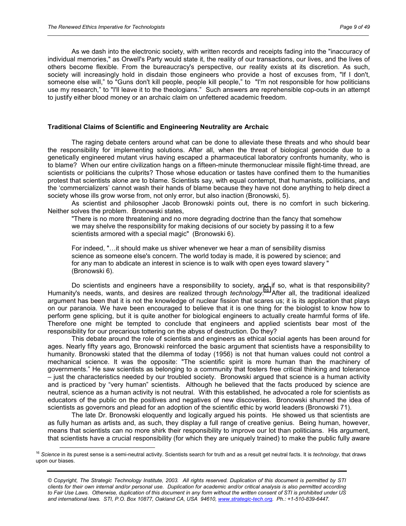As we dash into the electronic society, with written records and receipts fading into the "inaccuracy of individual memories," as Orwell's Party would state it, the reality of our transactions, our lives, and the lives of others become flexible. From the bureaucracy's perspective, our reality exists at its discretion. As such, society will increasingly hold in disdain those engineers who provide a host of excuses from, "If I don't, someone else will," to "Guns don't kill people, people kill people," to "I'm not responsible for how politicians use my research," to "I'll leave it to the theologians." Such answers are reprehensible cop-outs in an attempt to justify either blood money or an archaic claim on unfettered academic freedom.

*\_\_\_\_\_\_\_\_\_\_\_\_\_\_\_\_\_\_\_\_\_\_\_\_\_\_\_\_\_\_\_\_\_\_\_\_\_\_\_\_\_\_\_\_\_\_\_\_\_\_\_\_\_\_\_\_\_\_\_\_\_\_\_\_\_\_\_\_\_\_\_\_\_\_\_\_\_\_\_\_\_\_\_\_\_\_\_\_\_\_\_\_\_\_\_\_\_\_\_\_\_\_\_\_\_\_\_\_\_* 

### **Traditional Claims of Scientific and Engineering Neutrality are Archaic**

The raging debate centers around what can be done to alleviate these threats and who should bear the responsibility for implementing solutions. After all, when the threat of biological genocide due to a genetically engineered mutant virus having escaped a pharmaceutical laboratory confronts humanity, who is to blame? When our entire civilization hangs on a fifteen-minute thermonuclear missile flight-time thread, are scientists or politicians the culprits? Those whose education or tastes have confined them to the humanities protest that scientists alone are to blame. Scientists say, with equal contempt, that humanists, politicians, and the 'commercializers' cannot wash their hands of blame because they have not done anything to help direct a society whose ills grow worse from, not only error, but also inaction (Bronowski, 5).

As scientist and philosopher Jacob Bronowski points out, there is no comfort in such bickering. Neither solves the problem. Bronowski states,

"There is no more threatening and no more degrading doctrine than the fancy that somehow we may shelve the responsibility for making decisions of our society by passing it to a few scientists armored with a special magic" (Bronowski 6).

For indeed, "…it should make us shiver whenever we hear a man of sensibility dismiss science as someone else's concern. The world today is made, it is powered by science; and for any man to abdicate an interest in science is to walk with open eyes toward slavery " (Bronowski 6).

Do scientists and engineers have a responsibility to society, and if so, what is that responsibility? Humanity's needs, wants, and desires are realized through *technology*. 16 After all, the traditional idealized argument has been that it is not the knowledge of nuclear fission that scares us; it is its application that plays on our paranoia. We have been encouraged to believe that it is one thing for the biologist to know how to perform gene splicing, but it is quite another for biological engineers to actually create harmful forms of life. Therefore one might be tempted to conclude that engineers and applied scientists bear most of the responsibility for our precarious tottering on the abyss of destruction. Do they?

This debate around the role of scientists and engineers as ethical social agents has been around for ages. Nearly fifty years ago, Bronowski reinforced the basic argument that scientists have a responsibility to humanity. Bronowski stated that the dilemma of today (1956) is not that human values could not control a mechanical science. It was the opposite: "The scientific spirit is more human than the machinery of governments." He saw scientists as belonging to a community that fosters free critical thinking and tolerance – just the characteristics needed by our troubled society. Bronowski argued that science is a human activity and is practiced by "very human" scientists. Although he believed that the facts produced by science are neutral, science as a human activity is not neutral. With this established, he advocated a role for scientists as educators of the public on the positives and negatives of new discoveries. Bronowski shunned the idea of scientists as governors and plead for an adoption of the scientific ethic by world leaders (Bronowski 71).

The late Dr. Bronowski eloquently and logically argued his points. He showed us that scientists are as fully human as artists and, as such, they display a full range of creative genius. Being human, however, means that scientists can no more shirk their responsibility to improve our lot than politicians. His argument, that scientists have a crucial responsibility (for which they are uniquely trained) to make the public fully aware

<sup>16</sup> *Science* in its purest sense is a semi-neutral activity. Scientists search for truth and as a result get neutral facts. It is *technology*, that draws upon our biases.

*<sup>©</sup> Copyright, The Strategic Technology Institute, 2003. All rights reserved. Duplication of this document is permitted by STI clients for their own internal and/or personal use. Duplication for academic and/or critical analysis is also permitted according to Fair Use Laws. Otherwise, duplication of this document in any form without the written consent of STI is prohibited under US and international laws. STI, P.O. Box 10877, Oakland CA, USA 94610, www.strategic-tech.org. Ph.: +1-510-839-6447.*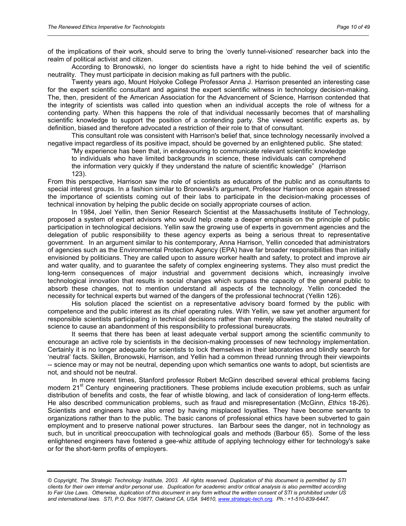of the implications of their work, should serve to bring the 'overly tunnel-visioned' researcher back into the realm of political activist and citizen.

*\_\_\_\_\_\_\_\_\_\_\_\_\_\_\_\_\_\_\_\_\_\_\_\_\_\_\_\_\_\_\_\_\_\_\_\_\_\_\_\_\_\_\_\_\_\_\_\_\_\_\_\_\_\_\_\_\_\_\_\_\_\_\_\_\_\_\_\_\_\_\_\_\_\_\_\_\_\_\_\_\_\_\_\_\_\_\_\_\_\_\_\_\_\_\_\_\_\_\_\_\_\_\_\_\_\_\_\_\_* 

According to Bronowski, no longer do scientists have a right to hide behind the veil of scientific neutrality. They must participate in decision making as full partners with the public.

Twenty years ago, Mount Holyoke College Professor Anna J. Harrison presented an interesting case for the expert scientific consultant and against the expert scientific witness in technology decision-making. The, then, president of the American Association for the Advancement of Science, Harrison contended that the integrity of scientists was called into question when an individual accepts the role of witness for a contending party. When this happens the role of that individual necessarily becomes that of marshalling scientific knowledge to support the position of a contending party. She viewed scientific experts as, by definition, biased and therefore advocated a restriction of their role to that of consultant.

This consultant role was consistent with Harrison's belief that, since technology necessarily involved a negative impact regardless of its positive impact, should be governed by an enlightened public. She stated:

"My experience has been that, in endeavouring to communicate relevant scientific knowledge

to individuals who have limited backgrounds in science, these individuals can comprehend the information very quickly if they understand the nature of scientific knowledge" (Harrison 123).

From this perspective, Harrison saw the role of scientists as educators of the public and as consultants to special interest groups. In a fashion similar to Bronowski's argument, Professor Harrison once again stressed the importance of scientists coming out of their labs to participate in the decision-making processes of technical innovation by helping the public decide on socially appropriate courses of action.

In 1984, Joel Yellin, then Senior Research Scientist at the Massachusetts Institute of Technology, proposed a system of expert advisors who would help create a deeper emphasis on the principle of public participation in technological decisions. Yellin saw the growing use of experts in government agencies and the delegation of public responsibility to these agency experts as being a serious threat to representative government. In an argument similar to his contemporary, Anna Harrison, Yellin conceded that administrators of agencies such as the Environmental Protection Agency (EPA) have far broader responsibilities than initially envisioned by politicians. They are called upon to assure worker health and safety, to protect and improve air and water quality, and to guarantee the safety of complex engineering systems. They also must predict the long-term consequences of major industrial and government decisions which, increasingly involve technological innovation that results in social changes which surpass the capacity of the general public to absorb these changes, not to mention understand all aspects of the technology. Yellin conceded the necessity for technical experts but warned of the dangers of the professional technocrat (Yellin 126).

His solution placed the scientist on a representative advisory board formed by the public with competence and the public interest as its chief operating rules. With Yellin, we saw yet another argument for responsible scientists participating in technical decisions rather than merely allowing the stated neutrality of science to cause an abandonment of this responsibility to professional bureaucrats.

It seems that there has been at least adequate verbal support among the scientific community to encourage an active role by scientists in the decision-making processes of new technology implementation. Certainly it is no longer adequate for scientists to lock themselves in their laboratories and blindly search for 'neutral' facts. Skillen, Bronowski, Harrison, and Yellin had a common thread running through their viewpoints -- science may or may not be neutral, depending upon which semantics one wants to adopt, but scientists are not, and should not be neutral.

In more recent times, Stanford professor Robert McGinn described several ethical problems facing modern 21<sup>st</sup> Century engineering practitioners. These problems include execution problems, such as unfair distribution of benefits and costs, the fear of whistle blowing, and lack of consideration of long-term effects. He also described communication problems, such as fraud and misrepresentation (McGinn, *Ethics* 18-26). Scientists and engineers have also erred by having misplaced loyalties. They have become servants to organizations rather than to the public. The basic canons of professional ethics have been subverted to gain employment and to preserve national power structures. Ian Barbour sees the danger, not in technology as such, but in uncritical preoccupation with technological goals and methods (Barbour 65). Some of the less enlightened engineers have fostered a gee-whiz attitude of applying technology either for technology's sake or for the short-term profits of employers.

*<sup>©</sup> Copyright, The Strategic Technology Institute, 2003. All rights reserved. Duplication of this document is permitted by STI clients for their own internal and/or personal use. Duplication for academic and/or critical analysis is also permitted according to Fair Use Laws. Otherwise, duplication of this document in any form without the written consent of STI is prohibited under US and international laws. STI, P.O. Box 10877, Oakland CA, USA 94610, www.strategic-tech.org. Ph.: +1-510-839-6447.*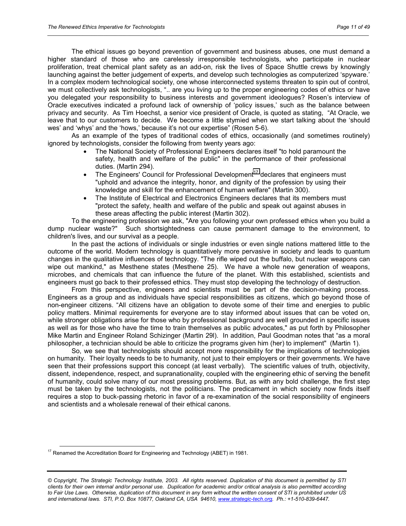The ethical issues go beyond prevention of government and business abuses, one must demand a higher standard of those who are carelessly irresponsible technologists, who participate in nuclear proliferation, treat chemical plant safety as an add-on, risk the lives of Space Shuttle crews by knowingly launching against the better judgement of experts, and develop such technologies as computerized 'spyware.' In a complex modern technological society, one whose interconnected systems threaten to spin out of control, we must collectively ask technologists, ".. are you living up to the proper engineering codes of ethics or have you delegated your responsibility to business interests and government ideologues? Rosen's interview of Oracle executives indicated a profound lack of ownership of 'policy issues,' such as the balance between privacy and security. As Tim Hoechst, a senior vice president of Oracle, is quoted as stating, "At Oracle, we leave that to our customers to decide. We become a little stymied when we start talking about the 'should wes' and 'whys' and the 'hows,' because it's not our expertise" (Rosen 5-6).

*\_\_\_\_\_\_\_\_\_\_\_\_\_\_\_\_\_\_\_\_\_\_\_\_\_\_\_\_\_\_\_\_\_\_\_\_\_\_\_\_\_\_\_\_\_\_\_\_\_\_\_\_\_\_\_\_\_\_\_\_\_\_\_\_\_\_\_\_\_\_\_\_\_\_\_\_\_\_\_\_\_\_\_\_\_\_\_\_\_\_\_\_\_\_\_\_\_\_\_\_\_\_\_\_\_\_\_\_\_* 

As an example of the types of traditional codes of ethics, occasionally (and sometimes routinely) ignored by technologists, consider the following from twenty years ago:

- The National Society of Professional Engineers declares itself "to hold paramount the safety, health and welfare of the public" in the performance of their professional duties. (Martin 294).
- The Engineers' Council for Professional Development<sup>17</sup> declares that engineers must "uphold and advance the integrity, honor, and dignity of the profession by using their knowledge and skill for the enhancement of human welfare" (Martin 300).
- The Institute of Electrical and Electronics Engineers declares that its members must "protect the safety, health and welfare of the public and speak out against abuses in these areas affecting the public interest (Martin 302).

To the engineering profession we ask, "Are you following your own professed ethics when you build a dump nuclear waste?" Such shortsightedness can cause permanent damage to the environment, to children's lives, and our survival as a people.

In the past the actions of individuals or single industries or even single nations mattered little to the outcome of the world. Modern technology is quantitatively more pervasive in society and leads to quantum changes in the qualitative influences of technology. "The rifle wiped out the buffalo, but nuclear weapons can wipe out mankind," as Mesthene states (Mesthene 25). We have a whole new generation of weapons, microbes, and chemicals that can influence the future of the planet. With this established, scientists and engineers must go back to their professed ethics. They must stop developing the technology of destruction.

From this perspective, engineers and scientists must be part of the decision-making process. Engineers as a group and as individuals have special responsibilities as citizens, which go beyond those of non-engineer citizens. "All citizens have an obligation to devote some of their time and energies to public policy matters. Minimal requirements for everyone are to stay informed about issues that can be voted on, while stronger obligations arise for those who by professional background are well grounded in specific issues as well as for those who have the time to train themselves as public advocates," as put forth by Philosopher Mike Martin and Engineer Roland Schizinger (Martin 29l). In addition, Paul Goodman notes that "as a moral philosopher, a technician should be able to criticize the programs given him (her) to implement" (Martin 1).

So, we see that technologists should accept more responsibility for the implications of technologies on humanity. Their loyalty needs to be to humanity, not just to their employers or their governments. We have seen that their professions support this concept (at least verbally). The scientific values of truth, objectivity, dissent, independence, respect, and supranationality, coupled with the engineering ethic of serving the benefit of humanity, could solve many of our most pressing problems. But, as with any bold challenge, the first step must be taken by the technologists, not the politicians. The predicament in which society now finds itself requires a stop to buck-passing rhetoric in favor of a re-examination of the social responsibility of engineers and scientists and a wholesale renewal of their ethical canons.

 $17$  Renamed the Accreditation Board for Engineering and Technology (ABET) in 1981.

*<sup>©</sup> Copyright, The Strategic Technology Institute, 2003. All rights reserved. Duplication of this document is permitted by STI clients for their own internal and/or personal use. Duplication for academic and/or critical analysis is also permitted according to Fair Use Laws. Otherwise, duplication of this document in any form without the written consent of STI is prohibited under US and international laws. STI, P.O. Box 10877, Oakland CA, USA 94610, www.strategic-tech.org. Ph.: +1-510-839-6447.*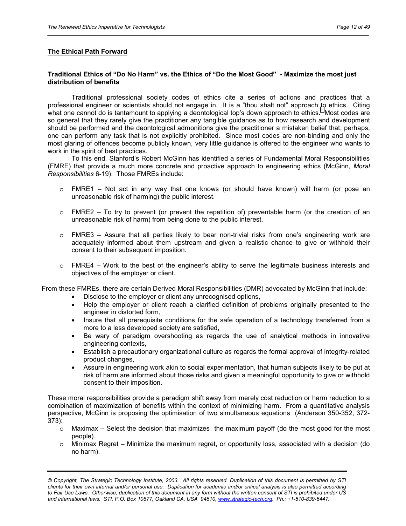# **The Ethical Path Forward**

# **Traditional Ethics of "Do No Harm" vs. the Ethics of "Do the Most Good" - Maximize the most just distribution of benefits**

*\_\_\_\_\_\_\_\_\_\_\_\_\_\_\_\_\_\_\_\_\_\_\_\_\_\_\_\_\_\_\_\_\_\_\_\_\_\_\_\_\_\_\_\_\_\_\_\_\_\_\_\_\_\_\_\_\_\_\_\_\_\_\_\_\_\_\_\_\_\_\_\_\_\_\_\_\_\_\_\_\_\_\_\_\_\_\_\_\_\_\_\_\_\_\_\_\_\_\_\_\_\_\_\_\_\_\_\_\_* 

Traditional professional society codes of ethics cite a series of actions and practices that a professional engineer or scientists should not engage in. It is a "thou shalt not" approach to ethics. Citing what one cannot do is tantamount to applying a deontological top's down approach to ethics." Most codes are so general that they rarely give the practitioner any tangible guidance as to how research and development should be performed and the deontological admonitions give the practitioner a mistaken belief that, perhaps, one can perform any task that is not explicitly prohibited. Since most codes are non-binding and only the most glaring of offences become publicly known, very little guidance is offered to the engineer who wants to work in the spirit of best practices.

To this end, Stanford's Robert McGinn has identified a series of Fundamental Moral Responsibilities (FMRE) that provide a much more concrete and proactive approach to engineering ethics (McGinn, *Moral Responsibilities* 6-19). Those FMREs include:

- o FMRE1 Not act in any way that one knows (or should have known) will harm (or pose an unreasonable risk of harming) the public interest.
- o FMRE2 To try to prevent (or prevent the repetition of) preventable harm (or the creation of an unreasonable risk of harm) from being done to the public interest.
- o FMRE3 Assure that all parties likely to bear non-trivial risks from one's engineering work are adequately informed about them upstream and given a realistic chance to give or withhold their consent to their subsequent imposition.
- $\circ$  FMRE4 Work to the best of the engineer's ability to serve the legitimate business interests and objectives of the employer or client.

From these FMREs, there are certain Derived Moral Responsibilities (DMR) advocated by McGinn that include:

- Disclose to the employer or client any unrecognised options,
- Help the employer or client reach a clarified definition of problems originally presented to the engineer in distorted form,
- Insure that all prerequisite conditions for the safe operation of a technology transferred from a more to a less developed society are satisfied,
- Be wary of paradigm overshooting as regards the use of analytical methods in innovative engineering contexts,
- Establish a precautionary organizational culture as regards the formal approval of integrity-related product changes,
- Assure in engineering work akin to social experimentation, that human subjects likely to be put at risk of harm are informed about those risks and given a meaningful opportunity to give or withhold consent to their imposition.

These moral responsibilities provide a paradigm shift away from merely cost reduction or harm reduction to a combination of maximization of benefits within the context of minimizing harm. From a quantitative analysis perspective, McGinn is proposing the optimisation of two simultaneous equations (Anderson 350-352, 372- 373):

- $\circ$  Maximax Select the decision that maximizes the maximum payoff (do the most good for the most people).
- o Minimax Regret Minimize the maximum regret, or opportunity loss, associated with a decision (do no harm).

*<sup>©</sup> Copyright, The Strategic Technology Institute, 2003. All rights reserved. Duplication of this document is permitted by STI clients for their own internal and/or personal use. Duplication for academic and/or critical analysis is also permitted according to Fair Use Laws. Otherwise, duplication of this document in any form without the written consent of STI is prohibited under US and international laws. STI, P.O. Box 10877, Oakland CA, USA 94610, www.strategic-tech.org. Ph.: +1-510-839-6447.*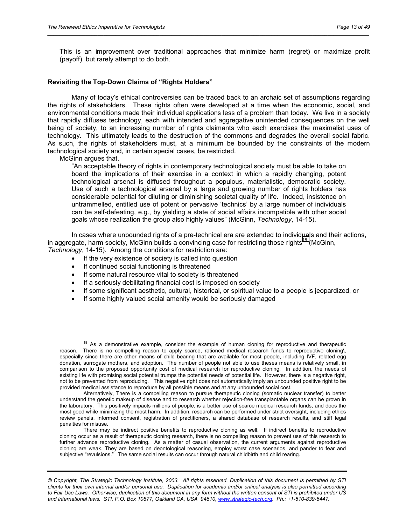This is an improvement over traditional approaches that minimize harm (regret) or maximize profit (payoff), but rarely attempt to do both.

*\_\_\_\_\_\_\_\_\_\_\_\_\_\_\_\_\_\_\_\_\_\_\_\_\_\_\_\_\_\_\_\_\_\_\_\_\_\_\_\_\_\_\_\_\_\_\_\_\_\_\_\_\_\_\_\_\_\_\_\_\_\_\_\_\_\_\_\_\_\_\_\_\_\_\_\_\_\_\_\_\_\_\_\_\_\_\_\_\_\_\_\_\_\_\_\_\_\_\_\_\_\_\_\_\_\_\_\_\_* 

#### **Revisiting the Top-Down Claims of "Rights Holders"**

Many of today's ethical controversies can be traced back to an archaic set of assumptions regarding the rights of stakeholders. These rights often were developed at a time when the economic, social, and environmental conditions made their individual applications less of a problem than today. We live in a society that rapidly diffuses technology, each with intended and aggregative unintended consequences on the well being of society, to an increasing number of rights claimants who each exercises the maximalist uses of technology. This ultimately leads to the destruction of the commons and degrades the overall social fabric. As such, the rights of stakeholders must, at a minimum be bounded by the constraints of the modern technological society and, in certain special cases, be restricted.

McGinn argues that,

"An acceptable theory of rights in contemporary technological society must be able to take on board the implications of their exercise in a context in which a rapidly changing, potent technological arsenal is diffused throughout a populous, materialistic, democratic society. Use of such a technological arsenal by a large and growing number of rights holders has considerable potential for diluting or diminishing societal quality of life. Indeed, insistence on untrammelled, entitled use of potent or pervasive 'technics' by a large number of individuals can be self-defeating, e.g., by yielding a state of social affairs incompatible with other social goals whose realization the group also highly values" (McGinn, *Technology*, 14-15).

In cases where unbounded rights of a pre-technical era are extended to individuals and their actions, in aggregate, harm society, McGinn builds a convincing case for restricting those rights<sup>18</sup> (McGinn, *Technology*, 14-15). Among the conditions for restriction are:

- If the very existence of society is called into question
- If continued social functioning is threatened
- If some natural resource vital to society is threatened
- If a seriously debilitating financial cost is imposed on society
- If some significant aesthetic, cultural, historical, or spiritual value to a people is jeopardized, or
- If some highly valued social amenity would be seriously damaged

 $18$  As a demonstrative example, consider the example of human cloning for reproductive and therapeutic reason. There is no compelling reason to apply scarce, rationed medical research funds to reproductive cloning\, especially since there are other means of child bearing that are available for most people, including IVF, related egg donation, surrogate mothers, and adoption. The number of people not able to use theses means is relatively small, in comparison to the proposed opportunity cost of medical research for reproductive cloning. In addition, the needs of existing life with promising social potential trumps the potential needs of potential life. However, there is a negative right, not to be prevented from reproducing. This negative right does not automatically imply an unbounded positive right to be provided medical assistance to reproduce by all possible means and at any unbounded social cost.

Alternatively, There is a compelling reason to pursue therapeutic cloning (somatic nuclear transfer) to better understand the genetic makeup of disease and to research whether rejection-free transplantable organs can be grown in the laboratory. This positively impacts millions of people, is a better use of scarce medical research funds, and does the most good while minimizing the most harm. In addition, research can be performed under strict oversight, including ethics review panels, informed consent, registration of practitioners, a shared database of research results, and stiff legal penalties for misuse.

There may be indirect positive benefits to reproductive cloning as well. If indirect benefits to reproductive cloning occur as a result of therapeutic cloning research, there is no compelling reason to prevent use of this research to further advance reproductive cloning. As a matter of casual observation, the current arguments against reproductive cloning are weak. They are based on deontological reasoning, employ worst case scenarios, and pander to fear and subjective "revulsions." The same social results can occur through natural childbirth and child rearing.

*<sup>©</sup> Copyright, The Strategic Technology Institute, 2003. All rights reserved. Duplication of this document is permitted by STI clients for their own internal and/or personal use. Duplication for academic and/or critical analysis is also permitted according to Fair Use Laws. Otherwise, duplication of this document in any form without the written consent of STI is prohibited under US and international laws. STI, P.O. Box 10877, Oakland CA, USA 94610, www.strategic-tech.org. Ph.: +1-510-839-6447.*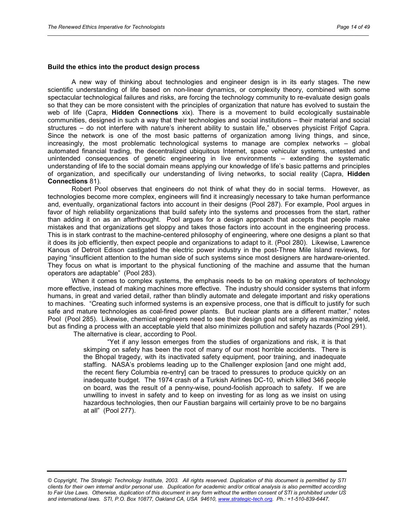#### **Build the ethics into the product design process**

A new way of thinking about technologies and engineer design is in its early stages. The new scientific understanding of life based on non-linear dynamics, or complexity theory, combined with some spectacular technological failures and risks, are forcing the technology community to re-evaluate design goals so that they can be more consistent with the principles of organization that nature has evolved to sustain the web of life (Capra, **Hidden Connections** xix). There is a movement to build ecologically sustainable communities, designed in such a way that their technologies and social institutions – their material and social structures – do not interfere with nature's inherent ability to sustain life," observes physicist Fritjof Capra. Since the network is one of the most basic patterns of organization among living things, and since, increasingly, the most problematic technological systems to manage are complex networks – global automated financial trading, the decentralized ubiquitous Internet, space vehicular systems, untested and unintended consequences of genetic engineering in live environments – extending the systematic understanding of life to the social domain means applying our knowledge of life's basic patterns and principles of organization, and specifically our understanding of living networks, to social reality (Capra, **Hidden Connections** 81).

*\_\_\_\_\_\_\_\_\_\_\_\_\_\_\_\_\_\_\_\_\_\_\_\_\_\_\_\_\_\_\_\_\_\_\_\_\_\_\_\_\_\_\_\_\_\_\_\_\_\_\_\_\_\_\_\_\_\_\_\_\_\_\_\_\_\_\_\_\_\_\_\_\_\_\_\_\_\_\_\_\_\_\_\_\_\_\_\_\_\_\_\_\_\_\_\_\_\_\_\_\_\_\_\_\_\_\_\_\_* 

Robert Pool observes that engineers do not think of what they do in social terms. However, as technologies become more complex, engineers will find it increasingly necessary to take human performance and, eventually, organizational factors into account in their designs (Pool 287). For example, Pool argues in favor of high reliability organizations that build safety into the systems and processes from the start, rather than adding it on as an afterthought. Pool argues for a design approach that accepts that people make mistakes and that organizations get sloppy and takes those factors into account in the engineering process. This is in stark contrast to the machine-centered philosophy of engineering, where one designs a plant so that it does its job efficiently, then expect people and organizations to adapt to it. (Pool 280). Likewise, Lawrence Kanous of Detroit Edison castigated the electric power industry in the post-Three Mile Island reviews, for paying "insufficient attention to the human side of such systems since most designers are hardware-oriented. They focus on what is important to the physical functioning of the machine and assume that the human operators are adaptable" (Pool 283).

When it comes to complex systems, the emphasis needs to be on making operators of technology more effective, instead of making machines more effective. The industry should consider systems that inform humans, in great and varied detail, rather than blindly automate and delegate important and risky operations to machines. "Creating such informed systems is an expensive process, one that is difficult to justify for such safe and mature technologies as coal-fired power plants. But nuclear plants are a different matter," notes Pool (Pool 285). Likewise, chemical engineers need to see their design goal not simply as maximizing yield, but as finding a process with an acceptable yield that also minimizes pollution and safety hazards (Pool 291).

The alternative is clear, according to Pool.

"Yet if any lesson emerges from the studies of organizations and risk, it is that skimping on safety has been the root of many of our most horrible accidents. There is the Bhopal tragedy, with its inactivated safety equipment, poor training, and inadequate staffing. NASA's problems leading up to the Challenger explosion [and one might add, the recent fiery Columbia re-entry] can be traced to pressures to produce quickly on an inadequate budget. The 1974 crash of a Turkish Airlines DC-10, which killed 346 people on board, was the result of a penny-wise, pound-foolish approach to safety. If we are unwilling to invest in safety and to keep on investing for as long as we insist on using hazardous technologies, then our Faustian bargains will certainly prove to be no bargains at all" (Pool 277).

*© Copyright, The Strategic Technology Institute, 2003. All rights reserved. Duplication of this document is permitted by STI clients for their own internal and/or personal use. Duplication for academic and/or critical analysis is also permitted according to Fair Use Laws. Otherwise, duplication of this document in any form without the written consent of STI is prohibited under US and international laws. STI, P.O. Box 10877, Oakland CA, USA 94610, www.strategic-tech.org. Ph.: +1-510-839-6447.*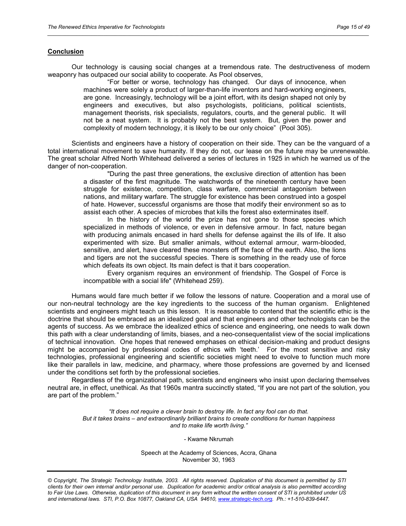# **Conclusion**

Our technology is causing social changes at a tremendous rate. The destructiveness of modern weaponry has outpaced our social ability to cooperate. As Pool observes,

*\_\_\_\_\_\_\_\_\_\_\_\_\_\_\_\_\_\_\_\_\_\_\_\_\_\_\_\_\_\_\_\_\_\_\_\_\_\_\_\_\_\_\_\_\_\_\_\_\_\_\_\_\_\_\_\_\_\_\_\_\_\_\_\_\_\_\_\_\_\_\_\_\_\_\_\_\_\_\_\_\_\_\_\_\_\_\_\_\_\_\_\_\_\_\_\_\_\_\_\_\_\_\_\_\_\_\_\_\_* 

"For better or worse, technology has changed. Our days of innocence, when machines were solely a product of larger-than-life inventors and hard-working engineers, are gone. Increasingly, technology will be a joint effort, with its design shaped not only by engineers and executives, but also psychologists, politicians, political scientists, management theorists, risk specialists, regulators, courts, and the general public. It will not be a neat system. It is probably not the best system. But, given the power and complexity of modern technology, it is likely to be our only choice" (Pool 305).

Scientists and engineers have a history of cooperation on their side. They can be the vanguard of a total international movement to save humanity. If they do not, our lease on the future may be unrenewable. The great scholar Alfred North Whitehead delivered a series of lectures in 1925 in which he warned us of the danger of non-cooperation.

> "During the past three generations, the exclusive direction of attention has been a disaster of the first magnitude. The watchwords of the nineteenth century have been struggle for existence, competition, class warfare, commercial antagonism between nations, and military warfare. The struggle for existence has been construed into a gospel of hate. However, successful organisms are those that modify their environment so as to assist each other. A species of microbes that kills the forest also exterminates itself.

> In the history of the world the prize has not gone to those species which specialized in methods of violence, or even in defensive armour. In fact, nature began with producing animals encased in hard shells for defense against the ills of life. It also experimented with size. But smaller animals, without external armour, warm-blooded, sensitive, and alert, have cleared these monsters off the face of the earth. Also, the lions and tigers are not the successful species. There is something in the ready use of force which defeats its own object. Its main defect is that it bars cooperation.

> Every organism requires an environment of friendship. The Gospel of Force is incompatible with a social life" (Whitehead 259).

Humans would fare much better if we follow the lessons of nature. Cooperation and a moral use of our non-neutral technology are the key ingredients to the success of the human organism. Enlightened scientists and engineers might teach us this lesson. It is reasonable to contend that the scientific ethic is the doctrine that should be embraced as an idealized goal and that engineers and other technologists can be the agents of success. As we embrace the idealized ethics of science and engineering, one needs to walk down this path with a clear understanding of limits, biases, and a neo-consequentalist view of the social implications of technical innovation. One hopes that renewed emphases on ethical decision-making and product designs might be accompanied by professional codes of ethics with 'teeth.' For the most sensitive and risky technologies, professional engineering and scientific societies might need to evolve to function much more like their parallels in law, medicine, and pharmacy, where those professions are governed by and licensed under the conditions set forth by the professional societies.

Regardless of the organizational path, scientists and engineers who insist upon declaring themselves neutral are, in effect, unethical. As that 1960s mantra succinctly stated, "If you are not part of the solution, you are part of the problem."

> *"It does not require a clever brain to destroy life. In fact any fool can do that. But it takes brains – and extraordinarily brilliant brains to create conditions for human happiness and to make life worth living."*

> > - Kwame Nkrumah

Speech at the Academy of Sciences, Accra, Ghana November 30, 1963

*<sup>©</sup> Copyright, The Strategic Technology Institute, 2003. All rights reserved. Duplication of this document is permitted by STI clients for their own internal and/or personal use. Duplication for academic and/or critical analysis is also permitted according to Fair Use Laws. Otherwise, duplication of this document in any form without the written consent of STI is prohibited under US and international laws. STI, P.O. Box 10877, Oakland CA, USA 94610, www.strategic-tech.org. Ph.: +1-510-839-6447.*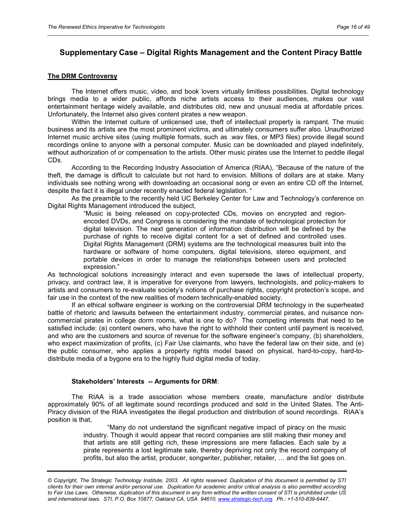# **Supplementary Case – Digital Rights Management and the Content Piracy Battle**

*\_\_\_\_\_\_\_\_\_\_\_\_\_\_\_\_\_\_\_\_\_\_\_\_\_\_\_\_\_\_\_\_\_\_\_\_\_\_\_\_\_\_\_\_\_\_\_\_\_\_\_\_\_\_\_\_\_\_\_\_\_\_\_\_\_\_\_\_\_\_\_\_\_\_\_\_\_\_\_\_\_\_\_\_\_\_\_\_\_\_\_\_\_\_\_\_\_\_\_\_\_\_\_\_\_\_\_\_\_* 

### **The DRM Controversy**

The Internet offers music, video, and book lovers virtually limitless possibilities. Digital technology brings media to a wider public, affords niche artists access to their audiences, makes our vast entertainment heritage widely available, and distributes old, new and unusual media at affordable prices. Unfortunately, the Internet also gives content pirates a new weapon.

Within the Internet culture of unlicensed use, theft of intellectual property is rampant. The music business and its artists are the most prominent victims, and ultimately consumers suffer also. Unauthorized Internet music archive sites (using multiple formats, such as .wav files, or MP3 files) provide illegal sound recordings online to anyone with a personal computer. Music can be downloaded and played indefinitely, without authorization of or compensation to the artists. Other music pirates use the Internet to peddle illegal CDs.

According to the Recording Industry Association of America (RIAA), "Because of the nature of the theft, the damage is difficult to calculate but not hard to envision. Millions of dollars are at stake. Many individuals see nothing wrong with downloading an occasional song or even an entire CD off the Internet, despite the fact it is illegal under recently enacted federal legislation. "

As the preamble to the recently held UC Berkeley Center for Law and Technology's conference on Digital Rights Management introduced the subject,

> "Music is being released on copy-protected CDs, movies on encrypted and regionencoded DVDs, and Congress is considering the mandate of technological protection for digital television. The next generation of information distribution will be defined by the purchase of rights to receive digital content for a set of defined and controlled uses. Digital Rights Management (DRM) systems are the technological measures built into the hardware or software of home computers, digital televisions, stereo equipment, and portable devices in order to manage the relationships between users and protected expression."

As technological solutions increasingly interact and even supersede the laws of intellectual property, privacy, and contract law, it is imperative for everyone from lawyers, technologists, and policy-makers to artists and consumers to re-evaluate society's notions of purchase rights, copyright protection's scope, and fair use in the context of the new realities of modern technically-enabled society.

If an ethical software engineer is working on the controversial DRM technology in the superheated battle of rhetoric and lawsuits between the entertainment industry, commercial pirates, and nuisance noncommercial pirates in college dorm rooms, what is one to do? The competing interests that need to be satisfied include: (a) content owners, who have the right to withhold their content until payment is received, and who are the customers and source of revenue for the software engineer's company, (b) shareholders, who expect maximization of profits, (c) Fair Use claimants, who have the federal law on their side, and (e) the public consumer, who applies a property rights model based on physical, hard-to-copy, hard-todistribute media of a bygone era to the highly fluid digital media of today.

#### **Stakeholders' Interests -- Arguments for DRM**:

The RIAA is a trade association whose members create, manufacture and/or distribute approximately 90% of all legitimate sound recordings produced and sold in the United States. The Anti-Piracy division of the RIAA investigates the illegal production and distribution of sound recordings. RIAA's position is that,

> "Many do not understand the significant negative impact of piracy on the music industry. Though it would appear that record companies are still making their money and that artists are still getting rich, these impressions are mere fallacies. Each sale by a pirate represents a lost legitimate sale, thereby depriving not only the record company of profits, but also the artist, producer, songwriter, publisher, retailer, … and the list goes on.

*<sup>©</sup> Copyright, The Strategic Technology Institute, 2003. All rights reserved. Duplication of this document is permitted by STI clients for their own internal and/or personal use. Duplication for academic and/or critical analysis is also permitted according to Fair Use Laws. Otherwise, duplication of this document in any form without the written consent of STI is prohibited under US and international laws. STI, P.O. Box 10877, Oakland CA, USA 94610, www.strategic-tech.org. Ph.: +1-510-839-6447.*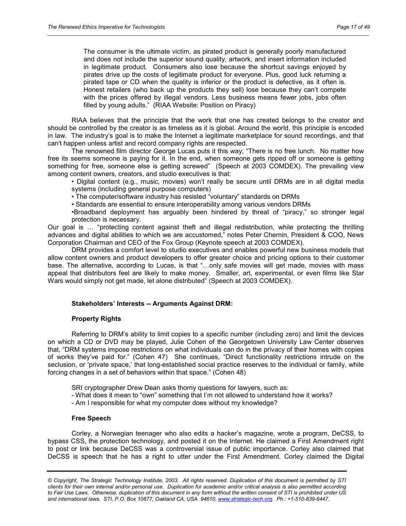The consumer is the ultimate victim, as pirated product is generally poorly manufactured and does not include the superior sound quality, artwork, and insert information included in legitimate product. Consumers also lose because the shortcut savings enjoyed by pirates drive up the costs of legitimate product for everyone. Plus, good luck returning a pirated tape or CD when the quality is inferior or the product is defective, as it often is. Honest retailers (who back up the products they sell) lose because they can't compete with the prices offered by illegal vendors. Less business means fewer jobs, jobs often filled by young adults." (RIAA Website: Position on Piracy)

*\_\_\_\_\_\_\_\_\_\_\_\_\_\_\_\_\_\_\_\_\_\_\_\_\_\_\_\_\_\_\_\_\_\_\_\_\_\_\_\_\_\_\_\_\_\_\_\_\_\_\_\_\_\_\_\_\_\_\_\_\_\_\_\_\_\_\_\_\_\_\_\_\_\_\_\_\_\_\_\_\_\_\_\_\_\_\_\_\_\_\_\_\_\_\_\_\_\_\_\_\_\_\_\_\_\_\_\_\_* 

RIAA believes that the principle that the work that one has created belongs to the creator and should be controlled by the creator is as timeless as it is global. Around the world, this principle is encoded in law. The industry's goal is to make the Internet a legitimate marketplace for sound recordings, and that can't happen unless artist and record company rights are respected.

The renowned film director George Lucas puts it this way, "There is no free lunch. No matter how free its seems someone is paying for it. In the end, when someone gets ripped off or someone is getting something for free, someone else is getting screwed" (Speech at 2003 COMDEX). The prevailing view among content owners, creators, and studio executives is that:

• Digital content (e.g., music, movies) won't really be secure until DRMs are in all digital media systems (including general purpose computers)

• The computer/software industry has resisted "voluntary" standards on DRMs

• Standards are essential to ensure interoperability among various vendors DRMs

•Broadband deployment has arguably been hindered by threat of "piracy," so stronger legal protection is necessary.

Our goal is … "protecting content against theft and illegal redistribution, while protecting the thrilling advances and digital abilities to which we are accustomed," notes Peter Chernin, President & COO, News Corporation Chairman and CEO of the Fox Group (Keynote speech at 2003 COMDEX).

DRM provides a comfort level to studio executives and enables powerful new business models that allow content owners and product developers to offer greater choice and pricing options to their customer base. The alternative, according to Lucas, is that "…only safe movies will get made, movies with mass appeal that distributors feel are likely to make money. Smaller, art, experimental, or even films like Star Wars would simply not get made, let alone distributed" (Speech at 2003 COMDEX).

# **Stakeholders' Interests -- Arguments Against DRM:**

# **Property Rights**

Referring to DRM's ability to limit copies to a specific number (including zero) and limit the devices on which a CD or DVD may be played, Julie Cohen of the Georgetown University Law Center observes that, "DRM systems impose restrictions on what individuals can do in the privacy of their homes with copies of works they've paid for." (Cohen 47) She continues, "Direct functionality restrictions intrude on the seclusion, or 'private space,' that long-established social practice reserves to the individual or family, while forcing changes in a set of behaviors within that space." (Cohen 48)

- SRI cryptographer Drew Dean asks thorny questions for lawyers, such as:
- What does it mean to "own" something that I'm not allowed to understand how it works?
- Am I responsible for what my computer does without my knowledge?

# **Free Speech**

Corley, a Norwegian teenager who also edits a hacker's magazine, wrote a program, DeCSS, to bypass CSS, the protection technology, and posted it on the Internet. He claimed a First Amendment right to post or link because DeCSS was a controversial issue of public importance. Corley also claimed that DeCSS is speech that he has a right to utter under the First Amendment. Corley claimed the Digital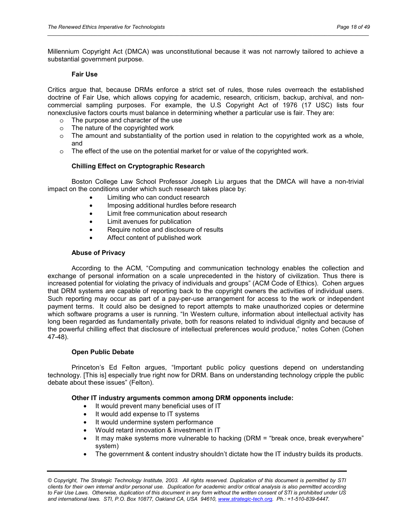Millennium Copyright Act (DMCA) was unconstitutional because it was not narrowly tailored to achieve a substantial government purpose.

*\_\_\_\_\_\_\_\_\_\_\_\_\_\_\_\_\_\_\_\_\_\_\_\_\_\_\_\_\_\_\_\_\_\_\_\_\_\_\_\_\_\_\_\_\_\_\_\_\_\_\_\_\_\_\_\_\_\_\_\_\_\_\_\_\_\_\_\_\_\_\_\_\_\_\_\_\_\_\_\_\_\_\_\_\_\_\_\_\_\_\_\_\_\_\_\_\_\_\_\_\_\_\_\_\_\_\_\_\_* 

# **Fair Use**

Critics argue that, because DRMs enforce a strict set of rules, those rules overreach the established doctrine of Fair Use, which allows copying for academic, research, criticism, backup, archival, and noncommercial sampling purposes. For example, the U.S Copyright Act of 1976 (17 USC) lists four nonexclusive factors courts must balance in determining whether a particular use is fair. They are:

- o The purpose and character of the use
- o The nature of the copyrighted work
- $\circ$  The amount and substantiality of the portion used in relation to the copyrighted work as a whole, and
- $\circ$  The effect of the use on the potential market for or value of the copyrighted work.

# **Chilling Effect on Cryptographic Research**

Boston College Law School Professor Joseph Liu argues that the DMCA will have a non-trivial impact on the conditions under which such research takes place by:

- Limiting who can conduct research
- Imposing additional hurdles before research
- Limit free communication about research
- Limit avenues for publication
- Require notice and disclosure of results
- Affect content of published work

# **Abuse of Privacy**

According to the ACM, "Computing and communication technology enables the collection and exchange of personal information on a scale unprecedented in the history of civilization. Thus there is increased potential for violating the privacy of individuals and groups" (ACM Code of Ethics). Cohen argues that DRM systems are capable of reporting back to the copyright owners the activities of individual users. Such reporting may occur as part of a pay-per-use arrangement for access to the work or independent payment terms. It could also be designed to report attempts to make unauthorized copies or determine which software programs a user is running. "In Western culture, information about intellectual activity has long been regarded as fundamentally private, both for reasons related to individual dignity and because of the powerful chilling effect that disclosure of intellectual preferences would produce," notes Cohen (Cohen 47-48).

# **Open Public Debate**

Princeton's Ed Felton argues, "Important public policy questions depend on understanding technology. [This is] especially true right now for DRM. Bans on understanding technology cripple the public debate about these issues" (Felton).

# **Other IT industry arguments common among DRM opponents include:**

- It would prevent many beneficial uses of IT
- It would add expense to IT systems
- It would undermine system performance
- Would retard innovation & investment in IT
- It may make systems more vulnerable to hacking (DRM = "break once, break everywhere" system)
- The government & content industry shouldn't dictate how the IT industry builds its products.

*<sup>©</sup> Copyright, The Strategic Technology Institute, 2003. All rights reserved. Duplication of this document is permitted by STI clients for their own internal and/or personal use. Duplication for academic and/or critical analysis is also permitted according to Fair Use Laws. Otherwise, duplication of this document in any form without the written consent of STI is prohibited under US and international laws. STI, P.O. Box 10877, Oakland CA, USA 94610, www.strategic-tech.org. Ph.: +1-510-839-6447.*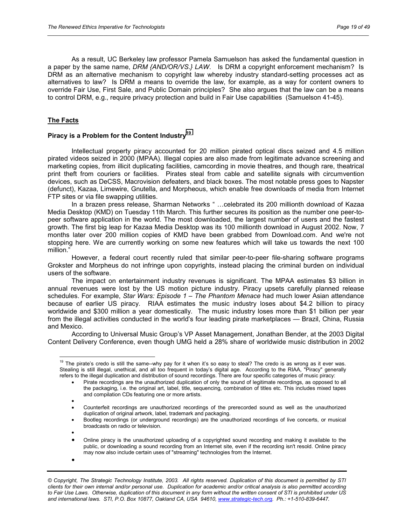As a result, UC Berkeley law professor Pamela Samuelson has asked the fundamental question in a paper by the same name, *DRM {AND/OR/VS.} LAW*. Is DRM a copyright enforcement mechanism? Is DRM as an alternative mechanism to copyright law whereby industry standard-setting processes act as alternatives to law? Is DRM a means to override the law, for example, as a way for content owners to override Fair Use, First Sale, and Public Domain principles? She also argues that the law can be a means to control DRM, e.g., require privacy protection and build in Fair Use capabilities (Samuelson 41-45).

*\_\_\_\_\_\_\_\_\_\_\_\_\_\_\_\_\_\_\_\_\_\_\_\_\_\_\_\_\_\_\_\_\_\_\_\_\_\_\_\_\_\_\_\_\_\_\_\_\_\_\_\_\_\_\_\_\_\_\_\_\_\_\_\_\_\_\_\_\_\_\_\_\_\_\_\_\_\_\_\_\_\_\_\_\_\_\_\_\_\_\_\_\_\_\_\_\_\_\_\_\_\_\_\_\_\_\_\_\_* 

# **The Facts**

# **Piracy is a Problem for the Content Industry19**

Intellectual property piracy accounted for 20 million pirated optical discs seized and 4.5 million pirated videos seized in 2000 (MPAA). Illegal copies are also made from legitimate advance screening and marketing copies, from illicit duplicating facilities, camcording in movie theatres, and though rare, theatrical print theft from couriers or facilities. Pirates steal from cable and satellite signals with circumvention devices, such as DeCSS, Macrovision defeaters, and black boxes. The most notable press goes to Napster (defunct), Kazaa, Limewire, Gnutella, and Morpheous, which enable free downloads of media from Internet FTP sites or via file swapping utilities.

In a brazen press release, Sharman Networks " …celebrated its 200 millionth download of Kazaa Media Desktop (KMD) on Tuesday 11th March. This further secures its position as the number one peer-topeer software application in the world. The most downloaded, the largest number of users and the fastest growth. The first big leap for Kazaa Media Desktop was its 100 millionth download in August 2002. Now, 7 months later over 200 million copies of KMD have been grabbed from Download.com. And we're not stopping here. We are currently working on some new features which will take us towards the next 100 million."

However, a federal court recently ruled that similar peer-to-peer file-sharing software programs Grokster and Morpheus do not infringe upon copyrights, instead placing the criminal burden on individual users of the software.

The impact on entertainment industry revenues is significant. The MPAA estimates \$3 billion in annual revenues were lost by the US motion picture industry. Piracy upsets carefully planned release schedules. For example, *Star Wars: Episode 1 – The Phantom Menace* had much lower Asian attendance because of earlier US piracy. RIAA estimates the music industry loses about \$4.2 billion to piracy worldwide and \$300 million a year domestically. The music industry loses more than \$1 billion per year from the illegal activities conducted in the world's four leading pirate marketplaces — Brazil, China, Russia and Mexico.

According to Universal Music Group's VP Asset Management, Jonathan Bender, at the 2003 Digital Content Delivery Conference, even though UMG held a 28% share of worldwide music distribution in 2002

 $\overline{a}$ 

•

 $19$  The pirate's credo is still the same--why pay for it when it's so easy to steal? The credo is as wrong as it ever was. Stealing is still illegal, unethical, and all too frequent in today's digital age. According to the RIAA, "Piracy" generally refers to the illegal duplication and distribution of sound recordings. There are four specific categories of music piracy:

<sup>•</sup> Pirate recordings are the unauthorized duplication of only the sound of legitimate recordings, as opposed to all the packaging, i.e. the original art, label, title, sequencing, combination of titles etc. This includes mixed tapes and compilation CDs featuring one or more artists.

<sup>•</sup>  • Counterfeit recordings are unauthorized recordings of the prerecorded sound as well as the unauthorized duplication of original artwork, label, trademark and packaging.

<sup>•</sup> Bootleg recordings (or underground recordings) are the unauthorized recordings of live concerts, or musical broadcasts on radio or television.

<sup>•</sup> 

<sup>•</sup> Online piracy is the unauthorized uploading of a copyrighted sound recording and making it available to the public, or downloading a sound recording from an Internet site, even if the recording isn't resold. Online piracy may now also include certain uses of "streaming" technologies from the Internet.

*<sup>©</sup> Copyright, The Strategic Technology Institute, 2003. All rights reserved. Duplication of this document is permitted by STI clients for their own internal and/or personal use. Duplication for academic and/or critical analysis is also permitted according to Fair Use Laws. Otherwise, duplication of this document in any form without the written consent of STI is prohibited under US and international laws. STI, P.O. Box 10877, Oakland CA, USA 94610, www.strategic-tech.org. Ph.: +1-510-839-6447.*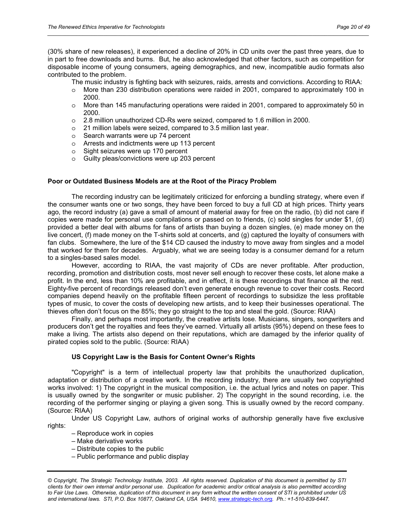(30% share of new releases), it experienced a decline of 20% in CD units over the past three years, due to in part to free downloads and burns. But, he also acknowledged that other factors, such as competition for disposable income of young consumers, ageing demographics, and new, incompatible audio formats also contributed to the problem.

*\_\_\_\_\_\_\_\_\_\_\_\_\_\_\_\_\_\_\_\_\_\_\_\_\_\_\_\_\_\_\_\_\_\_\_\_\_\_\_\_\_\_\_\_\_\_\_\_\_\_\_\_\_\_\_\_\_\_\_\_\_\_\_\_\_\_\_\_\_\_\_\_\_\_\_\_\_\_\_\_\_\_\_\_\_\_\_\_\_\_\_\_\_\_\_\_\_\_\_\_\_\_\_\_\_\_\_\_\_* 

The music industry is fighting back with seizures, raids, arrests and convictions. According to RIAA:

- o More than 230 distribution operations were raided in 2001, compared to approximately 100 in 2000.
- o More than 145 manufacturing operations were raided in 2001, compared to approximately 50 in 2000.
- o 2.8 million unauthorized CD-Rs were seized, compared to 1.6 million in 2000.
- o 21 million labels were seized, compared to 3.5 million last year.
- o Search warrants were up 74 percent
- o Arrests and indictments were up 113 percent
- o Sight seizures were up 170 percent
- o Guilty pleas/convictions were up 203 percent

# **Poor or Outdated Business Models are at the Root of the Piracy Problem**

The recording industry can be legitimately criticized for enforcing a bundling strategy, where even if the consumer wants one or two songs, they have been forced to buy a full CD at high prices. Thirty years ago, the record industry (a) gave a small of amount of material away for free on the radio, (b) did not care if copies were made for personal use compilations or passed on to friends, (c) sold singles for under \$1, (d) provided a better deal with albums for fans of artists than buying a dozen singles, (e) made money on the live concert, (f) made money on the T-shirts sold at concerts, and (g) captured the loyalty of consumers with fan clubs. Somewhere, the lure of the \$14 CD caused the industry to move away from singles and a model that worked for them for decades. Arguably, what we are seeing today is a consumer demand for a return to a singles-based sales model.

However, according to RIAA, the vast majority of CDs are never profitable. After production, recording, promotion and distribution costs, most never sell enough to recover these costs, let alone make a profit. In the end, less than 10% are profitable, and in effect, it is these recordings that finance all the rest. Eighty-five percent of recordings released don't even generate enough revenue to cover their costs. Record companies depend heavily on the profitable fifteen percent of recordings to subsidize the less profitable types of music, to cover the costs of developing new artists, and to keep their businesses operational. The thieves often don't focus on the 85%; they go straight to the top and steal the gold. (Source: RIAA)

Finally, and perhaps most importantly, the creative artists lose. Musicians, singers, songwriters and producers don't get the royalties and fees they've earned. Virtually all artists (95%) depend on these fees to make a living. The artists also depend on their reputations, which are damaged by the inferior quality of pirated copies sold to the public. (Source: RIAA)

# **US Copyright Law is the Basis for Content Owner's Rights**

"Copyright" is a term of intellectual property law that prohibits the unauthorized duplication, adaptation or distribution of a creative work. In the recording industry, there are usually two copyrighted works involved: 1) The copyright in the musical composition, i.e. the actual lyrics and notes on paper. This is usually owned by the songwriter or music publisher. 2) The copyright in the sound recording, i.e. the recording of the performer singing or playing a given song. This is usually owned by the record company. (Source: RIAA)

Under US Copyright Law, authors of original works of authorship generally have five exclusive rights:

- Reproduce work in copies
- Make derivative works
- Distribute copies to the public
- Public performance and public display

*<sup>©</sup> Copyright, The Strategic Technology Institute, 2003. All rights reserved. Duplication of this document is permitted by STI clients for their own internal and/or personal use. Duplication for academic and/or critical analysis is also permitted according to Fair Use Laws. Otherwise, duplication of this document in any form without the written consent of STI is prohibited under US and international laws. STI, P.O. Box 10877, Oakland CA, USA 94610, www.strategic-tech.org. Ph.: +1-510-839-6447.*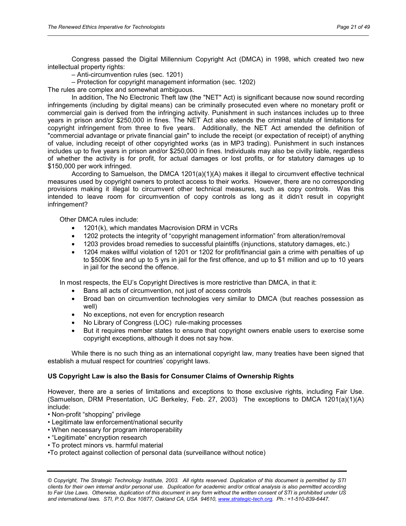Congress passed the Digital Millennium Copyright Act (DMCA) in 1998, which created two new intellectual property rights:

*\_\_\_\_\_\_\_\_\_\_\_\_\_\_\_\_\_\_\_\_\_\_\_\_\_\_\_\_\_\_\_\_\_\_\_\_\_\_\_\_\_\_\_\_\_\_\_\_\_\_\_\_\_\_\_\_\_\_\_\_\_\_\_\_\_\_\_\_\_\_\_\_\_\_\_\_\_\_\_\_\_\_\_\_\_\_\_\_\_\_\_\_\_\_\_\_\_\_\_\_\_\_\_\_\_\_\_\_\_* 

– Anti-circumvention rules (sec. 1201)

– Protection for copyright management information (sec. 1202)

The rules are complex and somewhat ambiguous.

In addition, The No Electronic Theft law (the "NET" Act) is significant because now sound recording infringements (including by digital means) can be criminally prosecuted even where no monetary profit or commercial gain is derived from the infringing activity. Punishment in such instances includes up to three years in prison and/or \$250,000 in fines. The NET Act also extends the criminal statute of limitations for copyright infringement from three to five years. Additionally, the NET Act amended the definition of "commercial advantage or private financial gain" to include the receipt (or expectation of receipt) of anything of value, including receipt of other copyrighted works (as in MP3 trading). Punishment in such instances includes up to five years in prison and/or \$250,000 in fines. Individuals may also be civilly liable, regardless of whether the activity is for profit, for actual damages or lost profits, or for statutory damages up to \$150,000 per work infringed.

According to Samuelson, the DMCA 1201(a)(1)(A) makes it illegal to circumvent effective technical measures used by copyright owners to protect access to their works. However, there are no corresponding provisions making it illegal to circumvent other technical measures, such as copy controls. Was this intended to leave room for circumvention of copy controls as long as it didn't result in copyright infringement?

Other DMCA rules include:

- 1201(k), which mandates Macrovision DRM in VCRs
- 1202 protects the integrity of "copyright management information" from alteration/removal
- 1203 provides broad remedies to successful plaintiffs (injunctions, statutory damages, etc.)
- 1204 makes willful violation of 1201 or 1202 for profit/financial gain a crime with penalties of up to \$500K fine and up to 5 yrs in jail for the first offence, and up to \$1 million and up to 10 years in jail for the second the offence.

In most respects, the EU's Copyright Directives is more restrictive than DMCA, in that it:

- Bans all acts of circumvention, not just of access controls
- Broad ban on circumvention technologies very similar to DMCA (but reaches possession as well)
- No exceptions, not even for encryption research
- No Library of Congress (LOC) rule-making processes
- But it requires member states to ensure that copyright owners enable users to exercise some copyright exceptions, although it does not say how.

While there is no such thing as an international copyright law, many treaties have been signed that establish a mutual respect for countries' copyright laws.

# **US Copyright Law is also the Basis for Consumer Claims of Ownership Rights**

However, there are a series of limitations and exceptions to those exclusive rights, including Fair Use. (Samuelson, DRM Presentation, UC Berkeley, Feb. 27, 2003) The exceptions to DMCA 1201(a)(1)(A) include:

- Non-profit "shopping" privilege
- Legitimate law enforcement/national security
- When necessary for program interoperability
- "Legitimate" encryption research
- To protect minors vs. harmful material
- •To protect against collection of personal data (surveillance without notice)

*<sup>©</sup> Copyright, The Strategic Technology Institute, 2003. All rights reserved. Duplication of this document is permitted by STI clients for their own internal and/or personal use. Duplication for academic and/or critical analysis is also permitted according to Fair Use Laws. Otherwise, duplication of this document in any form without the written consent of STI is prohibited under US and international laws. STI, P.O. Box 10877, Oakland CA, USA 94610, www.strategic-tech.org. Ph.: +1-510-839-6447.*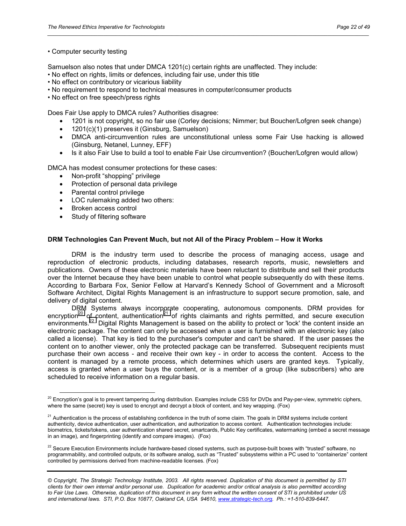# • Computer security testing

Samuelson also notes that under DMCA 1201(c) certain rights are unaffected. They include:

- No effect on rights, limits or defences, including fair use, under this title
- No effect on contributory or vicarious liability
- No requirement to respond to technical measures in computer/consumer products
- No effect on free speech/press rights

Does Fair Use apply to DMCA rules? Authorities disagree:

• 1201 is not copyright, so no fair use (Corley decisions; Nimmer; but Boucher/Lofgren seek change)

*\_\_\_\_\_\_\_\_\_\_\_\_\_\_\_\_\_\_\_\_\_\_\_\_\_\_\_\_\_\_\_\_\_\_\_\_\_\_\_\_\_\_\_\_\_\_\_\_\_\_\_\_\_\_\_\_\_\_\_\_\_\_\_\_\_\_\_\_\_\_\_\_\_\_\_\_\_\_\_\_\_\_\_\_\_\_\_\_\_\_\_\_\_\_\_\_\_\_\_\_\_\_\_\_\_\_\_\_\_* 

- 1201(c)(1) preserves it (Ginsburg, Samuelson)
- DMCA anti-circumvention rules are unconstitutional unless some Fair Use hacking is allowed (Ginsburg, Netanel, Lunney, EFF)
- Is it also Fair Use to build a tool to enable Fair Use circumvention? (Boucher/Lofgren would allow)

DMCA has modest consumer protections for these cases:

- Non-profit "shopping" privilege
- Protection of personal data privilege
- Parental control privilege
- LOC rulemaking added two others:
- Broken access control
- Study of filtering software

# **DRM Technologies Can Prevent Much, but not All of the Piracy Problem – How it Works**

DRM is the industry term used to describe the process of managing access, usage and reproduction of electronic products, including databases, research reports, music, newsletters and publications. Owners of these electronic materials have been reluctant to distribute and sell their products over the Internet because they have been unable to control what people subsequently do with these items. According to Barbara Fox, Senior Fellow at Harvard's Kennedy School of Government and a Microsoft Software Architect, Digital Rights Management is an infrastructure to support secure promotion, sale, and delivery of digital content.

DRM Systems always incorporate cooperating, autonomous components. DRM provides for encryption<sup>20</sup> of content, authentication<sup>21</sup> of rights claimants and rights permitted, and secure execution environments.<sup>22</sup> Digital Rights Management is based on the ability to protect or 'lock' the content inside an electronic package. The content can only be accessed when a user is furnished with an electronic key (also called a license). That key is tied to the purchaser's computer and can't be shared. If the user passes the content on to another viewer, only the protected package can be transferred. Subsequent recipients must purchase their own access - and receive their own key - in order to access the content. Access to the content is managed by a remote process, which determines which users are granted keys. Typically, access is granted when a user buys the content, or is a member of a group (like subscribers) who are scheduled to receive information on a regular basis.

<sup>&</sup>lt;sup>20</sup> Encryption's goal is to prevent tampering during distribution. Examples include CSS for DVDs and Pay-per-view, symmetric ciphers, where the same (secret) key is used to encrypt and decrypt a block of content, and key wrapping. (Fox)

<sup>&</sup>lt;sup>21</sup> Authentication is the process of establishing confidence in the truth of some claim. The goals in DRM systems include content authenticity, device authentication, user authentication, and authorization to access content. Authentication technologies include: biometrics, tickets/tokens, user authentication shared secret, smartcards, Public Key certificates, watermarking (embed a secret message in an image), and fingerprinting (identify and compare images). (Fox)

<sup>&</sup>lt;sup>22</sup> Secure Execution Environments include hardware-based closed systems, such as purpose-built boxes with "trusted" software, no programmability, and controlled outputs, or its software analog, such as "Trusted" subsystems within a PC used to "containerize" content controlled by permissions derived from machine-readable licenses. (Fox)

*<sup>©</sup> Copyright, The Strategic Technology Institute, 2003. All rights reserved. Duplication of this document is permitted by STI clients for their own internal and/or personal use. Duplication for academic and/or critical analysis is also permitted according to Fair Use Laws. Otherwise, duplication of this document in any form without the written consent of STI is prohibited under US and international laws. STI, P.O. Box 10877, Oakland CA, USA 94610, www.strategic-tech.org. Ph.: +1-510-839-6447.*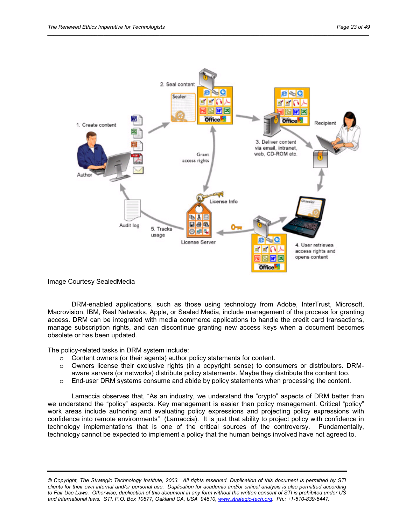

*\_\_\_\_\_\_\_\_\_\_\_\_\_\_\_\_\_\_\_\_\_\_\_\_\_\_\_\_\_\_\_\_\_\_\_\_\_\_\_\_\_\_\_\_\_\_\_\_\_\_\_\_\_\_\_\_\_\_\_\_\_\_\_\_\_\_\_\_\_\_\_\_\_\_\_\_\_\_\_\_\_\_\_\_\_\_\_\_\_\_\_\_\_\_\_\_\_\_\_\_\_\_\_\_\_\_\_\_\_* 

Image Courtesy SealedMedia

DRM-enabled applications, such as those using technology from Adobe, InterTrust, Microsoft, Macrovision, IBM, Real Networks, Apple, or Sealed Media, include management of the process for granting access. DRM can be integrated with media commerce applications to handle the credit card transactions, manage subscription rights, and can discontinue granting new access keys when a document becomes obsolete or has been updated.

The policy-related tasks in DRM system include:

- o Content owners (or their agents) author policy statements for content.
- o Owners license their exclusive rights (in a copyright sense) to consumers or distributors. DRMaware servers (or networks) distribute policy statements. Maybe they distribute the content too.
- o End-user DRM systems consume and abide by policy statements when processing the content.

Lamaccia observes that, "As an industry, we understand the "crypto" aspects of DRM better than we understand the "policy" aspects. Key management is easier than policy management. Critical "policy" work areas include authoring and evaluating policy expressions and projecting policy expressions with confidence into remote environments" (Lamaccia). It is just that ability to project policy with confidence in technology implementations that is one of the critical sources of the controversy. Fundamentally, technology cannot be expected to implement a policy that the human beings involved have not agreed to.

*<sup>©</sup> Copyright, The Strategic Technology Institute, 2003. All rights reserved. Duplication of this document is permitted by STI clients for their own internal and/or personal use. Duplication for academic and/or critical analysis is also permitted according to Fair Use Laws. Otherwise, duplication of this document in any form without the written consent of STI is prohibited under US and international laws. STI, P.O. Box 10877, Oakland CA, USA 94610, www.strategic-tech.org. Ph.: +1-510-839-6447.*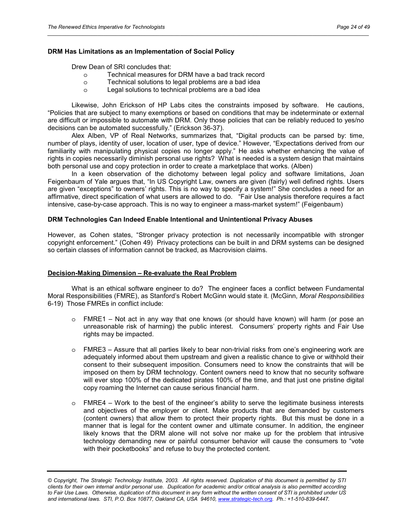# **DRM Has Limitations as an Implementation of Social Policy**

# Drew Dean of SRI concludes that:

- o Technical measures for DRM have a bad track record
- o Technical solutions to legal problems are a bad idea
- o Legal solutions to technical problems are a bad idea

Likewise, John Erickson of HP Labs cites the constraints imposed by software. He cautions, "Policies that are subject to many exemptions or based on conditions that may be indeterminate or external are difficult or impossible to automate with DRM. Only those policies that can be reliably reduced to yes/no decisions can be automated successfully." (Erickson 36-37).

*\_\_\_\_\_\_\_\_\_\_\_\_\_\_\_\_\_\_\_\_\_\_\_\_\_\_\_\_\_\_\_\_\_\_\_\_\_\_\_\_\_\_\_\_\_\_\_\_\_\_\_\_\_\_\_\_\_\_\_\_\_\_\_\_\_\_\_\_\_\_\_\_\_\_\_\_\_\_\_\_\_\_\_\_\_\_\_\_\_\_\_\_\_\_\_\_\_\_\_\_\_\_\_\_\_\_\_\_\_* 

Alex Alben, VP of Real Networks, summarizes that, "Digital products can be parsed by: time, number of plays, identity of user, location of user, type of device." However, "Expectations derived from our familiarity with manipulating physical copies no longer apply." He asks whether enhancing the value of rights in copies necessarily diminish personal use rights? What is needed is a system design that maintains both personal use and copy protection in order to create a marketplace that works. (Alben)

In a keen observation of the dichotomy between legal policy and software limitations, Joan Feigenbaum of Yale argues that, "In US Copyright Law, owners are given (fairly) well defined rights. Users are given "exceptions" to owners' rights. This is no way to specify a system!" She concludes a need for an affirmative, direct specification of what users are allowed to do. "Fair Use analysis therefore requires a fact intensive, case-by-case approach. This is no way to engineer a mass-market system!" (Feigenbaum)

# **DRM Technologies Can Indeed Enable Intentional and Unintentional Privacy Abuses**

However, as Cohen states, "Stronger privacy protection is not necessarily incompatible with stronger copyright enforcement." (Cohen 49) Privacy protections can be built in and DRM systems can be designed so certain classes of information cannot be tracked, as Macrovision claims.

# **Decision-Making Dimension – Re-evaluate the Real Problem**

What is an ethical software engineer to do? The engineer faces a conflict between Fundamental Moral Responsibilities (FMRE), as Stanford's Robert McGinn would state it. (McGinn, *Moral Responsibilities* 6-19) Those FMREs in conflict include:

- o FMRE1 Not act in any way that one knows (or should have known) will harm (or pose an unreasonable risk of harming) the public interest. Consumers' property rights and Fair Use rights may be impacted.
- o FMRE3 Assure that all parties likely to bear non-trivial risks from one's engineering work are adequately informed about them upstream and given a realistic chance to give or withhold their consent to their subsequent imposition. Consumers need to know the constraints that will be imposed on them by DRM technology. Content owners need to know that no security software will ever stop 100% of the dedicated pirates 100% of the time, and that just one pristine digital copy roaming the Internet can cause serious financial harm.
- $\circ$  FMRE4 Work to the best of the engineer's ability to serve the legitimate business interests and objectives of the employer or client. Make products that are demanded by customers (content owners) that allow them to protect their property rights. But this must be done in a manner that is legal for the content owner and ultimate consumer. In addition, the engineer likely knows that the DRM alone will not solve nor make up for the problem that intrusive technology demanding new or painful consumer behavior will cause the consumers to "vote with their pocketbooks" and refuse to buy the protected content.

*<sup>©</sup> Copyright, The Strategic Technology Institute, 2003. All rights reserved. Duplication of this document is permitted by STI clients for their own internal and/or personal use. Duplication for academic and/or critical analysis is also permitted according to Fair Use Laws. Otherwise, duplication of this document in any form without the written consent of STI is prohibited under US and international laws. STI, P.O. Box 10877, Oakland CA, USA 94610, www.strategic-tech.org. Ph.: +1-510-839-6447.*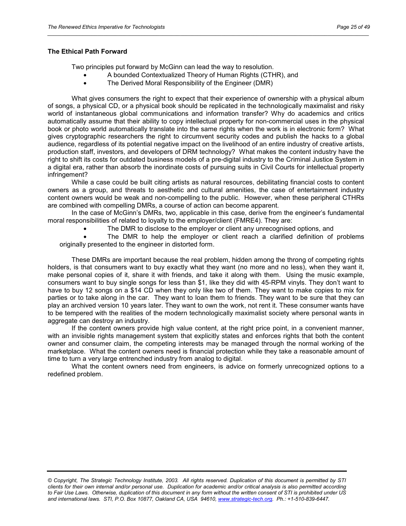# **The Ethical Path Forward**

Two principles put forward by McGinn can lead the way to resolution.

- A bounded Contextualized Theory of Human Rights (CTHR), and
- The Derived Moral Responsibility of the Engineer (DMR)

What gives consumers the right to expect that their experience of ownership with a physical album of songs, a physical CD, or a physical book should be replicated in the technologically maximalist and risky world of instantaneous global communications and information transfer? Why do academics and critics automatically assume that their ability to copy intellectual property for non-commercial uses in the physical book or photo world automatically translate into the same rights when the work is in electronic form? What gives cryptographic researchers the right to circumvent security codes and publish the hacks to a global audience, regardless of its potential negative impact on the livelihood of an entire industry of creative artists, production staff, investors, and developers of DRM technology? What makes the content industry have the right to shift its costs for outdated business models of a pre-digital industry to the Criminal Justice System in a digital era, rather than absorb the inordinate costs of pursuing suits in Civil Courts for intellectual property infringement?

*\_\_\_\_\_\_\_\_\_\_\_\_\_\_\_\_\_\_\_\_\_\_\_\_\_\_\_\_\_\_\_\_\_\_\_\_\_\_\_\_\_\_\_\_\_\_\_\_\_\_\_\_\_\_\_\_\_\_\_\_\_\_\_\_\_\_\_\_\_\_\_\_\_\_\_\_\_\_\_\_\_\_\_\_\_\_\_\_\_\_\_\_\_\_\_\_\_\_\_\_\_\_\_\_\_\_\_\_\_* 

While a case could be built citing artists as natural resources, debilitating financial costs to content owners as a group, and threats to aesthetic and cultural amenities, the case of entertainment industry content owners would be weak and non-compelling to the public. However, when these peripheral CTHRs are combined with compelling DMRs, a course of action can become apparent.

In the case of McGinn's DMRs, two, applicable in this case, derive from the engineer's fundamental moral responsibilities of related to loyalty to the employer/client (FMRE4). They are:

The DMR to disclose to the employer or client any unrecognised options, and

The DMR to help the employer or client reach a clarified definition of problems originally presented to the engineer in distorted form.

These DMRs are important because the real problem, hidden among the throng of competing rights holders, is that consumers want to buy exactly what they want (no more and no less), when they want it, make personal copies of it, share it with friends, and take it along with them. Using the music example, consumers want to buy single songs for less than \$1, like they did with 45-RPM vinyls. They don't want to have to buy 12 songs on a \$14 CD when they only like two of them. They want to make copies to mix for parties or to take along in the car. They want to loan them to friends. They want to be sure that they can play an archived version 10 years later. They want to own the work, not rent it. These consumer wants have to be tempered with the realities of the modern technologically maximalist society where personal wants in aggregate can destroy an industry.

If the content owners provide high value content, at the right price point, in a convenient manner, with an invisible rights management system that explicitly states and enforces rights that both the content owner and consumer claim, the competing interests may be managed through the normal working of the marketplace. What the content owners need is financial protection while they take a reasonable amount of time to turn a very large entrenched industry from analog to digital.

What the content owners need from engineers, is advice on formerly unrecognized options to a redefined problem.

*<sup>©</sup> Copyright, The Strategic Technology Institute, 2003. All rights reserved. Duplication of this document is permitted by STI clients for their own internal and/or personal use. Duplication for academic and/or critical analysis is also permitted according to Fair Use Laws. Otherwise, duplication of this document in any form without the written consent of STI is prohibited under US and international laws. STI, P.O. Box 10877, Oakland CA, USA 94610, www.strategic-tech.org. Ph.: +1-510-839-6447.*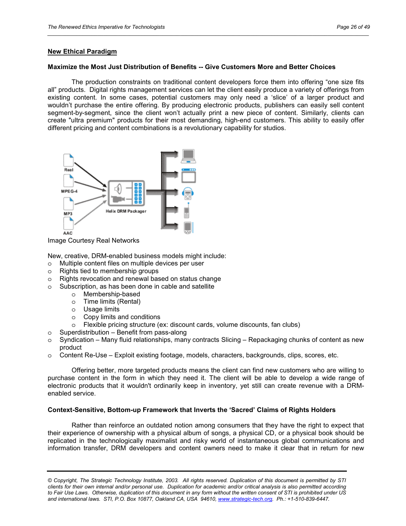# **New Ethical Paradigm**

### **Maximize the Most Just Distribution of Benefits -- Give Customers More and Better Choices**

The production constraints on traditional content developers force them into offering "one size fits all" products. Digital rights management services can let the client easily produce a variety of offerings from existing content. In some cases, potential customers may only need a 'slice' of a larger product and wouldn't purchase the entire offering. By producing electronic products, publishers can easily sell content segment-by-segment, since the client won't actually print a new piece of content. Similarly, clients can create "ultra premium" products for their most demanding, high-end customers. This ability to easily offer different pricing and content combinations is a revolutionary capability for studios.

*\_\_\_\_\_\_\_\_\_\_\_\_\_\_\_\_\_\_\_\_\_\_\_\_\_\_\_\_\_\_\_\_\_\_\_\_\_\_\_\_\_\_\_\_\_\_\_\_\_\_\_\_\_\_\_\_\_\_\_\_\_\_\_\_\_\_\_\_\_\_\_\_\_\_\_\_\_\_\_\_\_\_\_\_\_\_\_\_\_\_\_\_\_\_\_\_\_\_\_\_\_\_\_\_\_\_\_\_\_* 



Image Courtesy Real Networks

New, creative, DRM-enabled business models might include:

- o Multiple content files on multiple devices per user
- o Rights tied to membership groups
- o Rights revocation and renewal based on status change
- o Subscription, as has been done in cable and satellite
	- o Membership-based
	- o Time limits (Rental)
	- o Usage limits
	- o Copy limits and conditions
	- o Flexible pricing structure (ex: discount cards, volume discounts, fan clubs)
- o Superdistribution Benefit from pass-along
- $\circ$  Syndication Many fluid relationships, many contracts Slicing Repackaging chunks of content as new product
- o Content Re-Use Exploit existing footage, models, characters, backgrounds, clips, scores, etc.

Offering better, more targeted products means the client can find new customers who are willing to purchase content in the form in which they need it. The client will be able to develop a wide range of electronic products that it wouldn't ordinarily keep in inventory, yet still can create revenue with a DRMenabled service.

# **Context-Sensitive, Bottom-up Framework that Inverts the 'Sacred' Claims of Rights Holders**

Rather than reinforce an outdated notion among consumers that they have the right to expect that their experience of ownership with a physical album of songs, a physical CD, or a physical book should be replicated in the technologically maximalist and risky world of instantaneous global communications and information transfer, DRM developers and content owners need to make it clear that in return for new

*<sup>©</sup> Copyright, The Strategic Technology Institute, 2003. All rights reserved. Duplication of this document is permitted by STI clients for their own internal and/or personal use. Duplication for academic and/or critical analysis is also permitted according to Fair Use Laws. Otherwise, duplication of this document in any form without the written consent of STI is prohibited under US and international laws. STI, P.O. Box 10877, Oakland CA, USA 94610, www.strategic-tech.org. Ph.: +1-510-839-6447.*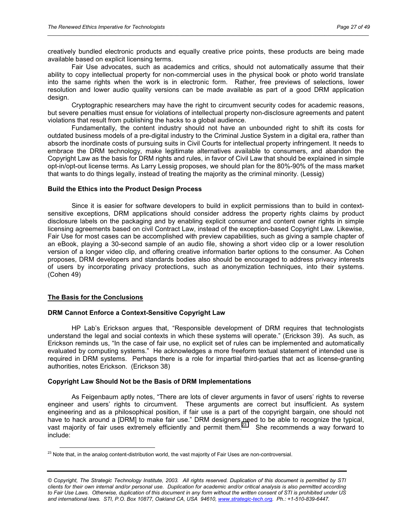creatively bundled electronic products and equally creative price points, these products are being made available based on explicit licensing terms.

*\_\_\_\_\_\_\_\_\_\_\_\_\_\_\_\_\_\_\_\_\_\_\_\_\_\_\_\_\_\_\_\_\_\_\_\_\_\_\_\_\_\_\_\_\_\_\_\_\_\_\_\_\_\_\_\_\_\_\_\_\_\_\_\_\_\_\_\_\_\_\_\_\_\_\_\_\_\_\_\_\_\_\_\_\_\_\_\_\_\_\_\_\_\_\_\_\_\_\_\_\_\_\_\_\_\_\_\_\_* 

Fair Use advocates, such as academics and critics, should not automatically assume that their ability to copy intellectual property for non-commercial uses in the physical book or photo world translate into the same rights when the work is in electronic form. Rather, free previews of selections, lower resolution and lower audio quality versions can be made available as part of a good DRM application design.

Cryptographic researchers may have the right to circumvent security codes for academic reasons, but severe penalties must ensue for violations of intellectual property non-disclosure agreements and patent violations that result from publishing the hacks to a global audience.

Fundamentally, the content industry should not have an unbounded right to shift its costs for outdated business models of a pre-digital industry to the Criminal Justice System in a digital era, rather than absorb the inordinate costs of pursuing suits in Civil Courts for intellectual property infringement. It needs to embrace the DRM technology, make legitimate alternatives available to consumers, and abandon the Copyright Law as the basis for DRM rights and rules, in favor of Civil Law that should be explained in simple opt-in/opt-out license terms. As Larry Lessig proposes, we should plan for the 80%-90% of the mass market that wants to do things legally, instead of treating the majority as the criminal minority. (Lessig)

#### **Build the Ethics into the Product Design Process**

Since it is easier for software developers to build in explicit permissions than to build in contextsensitive exceptions, DRM applications should consider address the property rights claims by product disclosure labels on the packaging and by enabling explicit consumer and content owner rights in simple licensing agreements based on civil Contract Law, instead of the exception-based Copyright Law. Likewise, Fair Use for most cases can be accomplished with preview capabilities, such as giving a sample chapter of an eBook, playing a 30-second sample of an audio file, showing a short video clip or a lower resolution version of a longer video clip, and offering creative information barter options to the consumer. As Cohen proposes, DRM developers and standards bodies also should be encouraged to address privacy interests of users by incorporating privacy protections, such as anonymization techniques, into their systems. (Cohen 49)

#### **The Basis for the Conclusions**

#### **DRM Cannot Enforce a Context-Sensitive Copyright Law**

HP Lab's Erickson argues that, "Responsible development of DRM requires that technologists understand the legal and social contexts in which these systems will operate." (Erickson 39). As such, as Erickson reminds us, "In the case of fair use, no explicit set of rules can be implemented and automatically evaluated by computing systems." He acknowledges a more freeform textual statement of intended use is required in DRM systems. Perhaps there is a role for impartial third-parties that act as license-granting authorities, notes Erickson. (Erickson 38)

#### **Copyright Law Should Not be the Basis of DRM Implementations**

As Feigenbaum aptly notes, "There are lots of clever arguments in favor of users' rights to reverse engineer and users' rights to circumvent. These arguments are correct but insufficient. As system engineering and as a philosophical position, if fair use is a part of the copyright bargain, one should not have to hack around a [DRM] to make fair use." DRM designers need to be able to recognize the typical, vast majority of fair uses extremely efficiently and permit them.<sup>23</sup> She recommends a way forward to include:

<sup>&</sup>lt;sup>23</sup> Note that, in the analog content-distribution world, the vast majority of Fair Uses are non-controversial.

*<sup>©</sup> Copyright, The Strategic Technology Institute, 2003. All rights reserved. Duplication of this document is permitted by STI clients for their own internal and/or personal use. Duplication for academic and/or critical analysis is also permitted according to Fair Use Laws. Otherwise, duplication of this document in any form without the written consent of STI is prohibited under US and international laws. STI, P.O. Box 10877, Oakland CA, USA 94610, www.strategic-tech.org. Ph.: +1-510-839-6447.*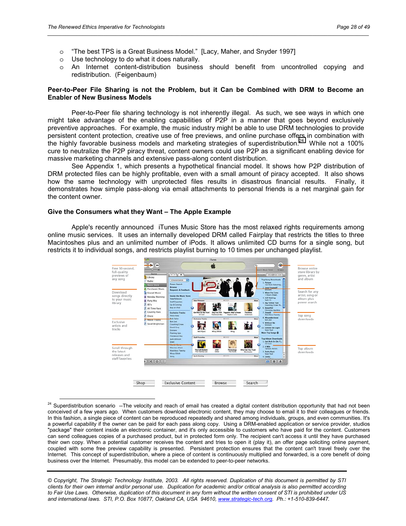- o "The best TPS is a Great Business Model." [Lacy, Maher, and Snyder 1997]
- o Use technology to do what it does naturally.
- o An Internet content-distribution business should benefit from uncontrolled copying and redistribution. (Feigenbaum)

*\_\_\_\_\_\_\_\_\_\_\_\_\_\_\_\_\_\_\_\_\_\_\_\_\_\_\_\_\_\_\_\_\_\_\_\_\_\_\_\_\_\_\_\_\_\_\_\_\_\_\_\_\_\_\_\_\_\_\_\_\_\_\_\_\_\_\_\_\_\_\_\_\_\_\_\_\_\_\_\_\_\_\_\_\_\_\_\_\_\_\_\_\_\_\_\_\_\_\_\_\_\_\_\_\_\_\_\_\_* 

# **Peer-to-Peer File Sharing is not the Problem, but it Can be Combined with DRM to Become an Enabler of New Business Models**

Peer-to-Peer file sharing technology is not inherently illegal. As such, we see ways in which one might take advantage of the enabling capabilities of P2P in a manner that goes beyond exclusively preventive approaches. For example, the music industry might be able to use DRM technologies to provide persistent content protection, creative use of free previews, and online purchase offers in combination with the highly favorable business models and marketing strategies of superdistribution.<sup>24</sup> While not a 100% cure to neutralize the P2P piracy threat, content owners could use P2P as a significant enabling device for massive marketing channels and extensive pass-along content distribution.

See Appendix 1, which presents a hypothetical financial model. It shows how P2P distribution of DRM protected files can be highly profitable, even with a small amount of piracy accepted. It also shows how the same technology with unprotected files results in disastrous financial results. Finally, it demonstrates how simple pass-along via email attachments to personal friends is a net marginal gain for the content owner.

# **Give the Consumers what they Want – The Apple Example**

Apple's recently announced iTunes Music Store has the most relaxed rights requirements among online music services. It uses an internally developed DRM called Fairplay that restricts the titles to three Macintoshes plus and an unlimited number of iPods. It allows unlimited CD burns for a single song, but restricts it to individual songs, and restricts playlist burning to 10 times per unchanged playlist.



<sup>&</sup>lt;sup>24</sup> Superdistribution scenario --The velocity and reach of email has created a digital content distribution opportunity that had not been conceived of a few years ago. When customers download electronic content, they may choose to email it to their colleagues or friends. In this fashion, a single piece of content can be reproduced repeatedly and shared among individuals, groups, and even communities. It's a powerful capability if the owner can be paid for each pass along copy. Using a DRM-enabled application or service provider, studios "package" their content inside an electronic container, and it's only accessible to customers who have paid for the content. Customers can send colleagues copies of a purchased product, but in protected form only. The recipient can't access it until they have purchased their own copy. When a potential customer receives the content and tries to open it (play it), an offer page soliciting online payment, coupled with some free preview capability is presented. Persistent protection ensures that the content can't travel freely over the Internet. This concept of superdistribution, where a piece of content is continuously multiplied and forwarded, is a core benefit of doing business over the Internet. Presumably, this model can be extended to peer-to-peer networks.

*<sup>©</sup> Copyright, The Strategic Technology Institute, 2003. All rights reserved. Duplication of this document is permitted by STI clients for their own internal and/or personal use. Duplication for academic and/or critical analysis is also permitted according to Fair Use Laws. Otherwise, duplication of this document in any form without the written consent of STI is prohibited under US and international laws. STI, P.O. Box 10877, Oakland CA, USA 94610, www.strategic-tech.org. Ph.: +1-510-839-6447.*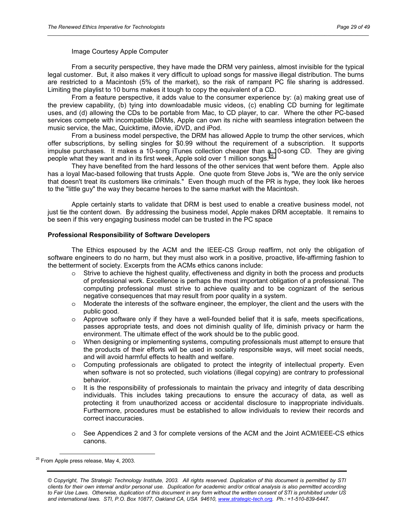# Image Courtesy Apple Computer

From a security perspective, they have made the DRM very painless, almost invisible for the typical legal customer. But, it also makes it very difficult to upload songs for massive illegal distribution. The burns are restricted to a Macintosh (5% of the market), so the risk of rampant PC file sharing is addressed. Limiting the playlist to 10 burns makes it tough to copy the equivalent of a CD.

*\_\_\_\_\_\_\_\_\_\_\_\_\_\_\_\_\_\_\_\_\_\_\_\_\_\_\_\_\_\_\_\_\_\_\_\_\_\_\_\_\_\_\_\_\_\_\_\_\_\_\_\_\_\_\_\_\_\_\_\_\_\_\_\_\_\_\_\_\_\_\_\_\_\_\_\_\_\_\_\_\_\_\_\_\_\_\_\_\_\_\_\_\_\_\_\_\_\_\_\_\_\_\_\_\_\_\_\_\_* 

From a feature perspective, it adds value to the consumer experience by: (a) making great use of the preview capability, (b) tying into downloadable music videos, (c) enabling CD burning for legitimate uses, and (d) allowing the CDs to be portable from Mac, to CD player, to car. Where the other PC-based services compete with incompatible DRMs, Apple can own its niche with seamless integration between the music service, the Mac, Quicktime, iMovie, iDVD, and iPod.

From a business model perspective, the DRM has allowed Apple to trump the other services, which offer subscriptions, by selling singles for \$0.99 without the requirement of a subscription. It supports impulse purchases. It makes a 10-song iTunes collection cheaper than a 10-song CD. They are giving<br>needle what they went and in its first week. Apple seld over 1 million conge <sup>25</sup> people what they want and in its first week, Apple sold over 1 million songs.<sup>2</sup>

They have benefited from the hard lessons of the other services that went before them. Apple also has a loyal Mac-based following that trusts Apple. One quote from Steve Jobs is, "We are the only service that doesn't treat its customers like criminals." Even though much of the PR is hype, they look like heroes to the "little guy" the way they became heroes to the same market with the Macintosh.

Apple certainly starts to validate that DRM is best used to enable a creative business model, not just tie the content down. By addressing the business model, Apple makes DRM acceptable. It remains to be seen if this very engaging business model can be trusted in the PC space

### **Professional Responsibility of Software Developers**

The Ethics espoused by the ACM and the IEEE-CS Group reaffirm, not only the obligation of software engineers to do no harm, but they must also work in a positive, proactive, life-affirming fashion to the betterment of society. Excerpts from the ACMs ethics canons include:

- $\circ$  Strive to achieve the highest quality, effectiveness and dignity in both the process and products of professional work. Excellence is perhaps the most important obligation of a professional. The computing professional must strive to achieve quality and to be cognizant of the serious negative consequences that may result from poor quality in a system.
- o Moderate the interests of the software engineer, the employer, the client and the users with the public good.
- $\circ$  Approve software only if they have a well-founded belief that it is safe, meets specifications, passes appropriate tests, and does not diminish quality of life, diminish privacy or harm the environment. The ultimate effect of the work should be to the public good.
- o When designing or implementing systems, computing professionals must attempt to ensure that the products of their efforts will be used in socially responsible ways, will meet social needs, and will avoid harmful effects to health and welfare.
- o Computing professionals are obligated to protect the integrity of intellectual property. Even when software is not so protected, such violations (illegal copying) are contrary to professional behavior.
- $\circ$  It is the responsibility of professionals to maintain the privacy and integrity of data describing individuals. This includes taking precautions to ensure the accuracy of data, as well as protecting it from unauthorized access or accidental disclosure to inappropriate individuals. Furthermore, procedures must be established to allow individuals to review their records and correct inaccuracies.
- o See Appendices 2 and 3 for complete versions of the ACM and the Joint ACM/IEEE-CS ethics canons.

<sup>&</sup>lt;sup>25</sup> From Apple press release, May 4, 2003.

*<sup>©</sup> Copyright, The Strategic Technology Institute, 2003. All rights reserved. Duplication of this document is permitted by STI clients for their own internal and/or personal use. Duplication for academic and/or critical analysis is also permitted according to Fair Use Laws. Otherwise, duplication of this document in any form without the written consent of STI is prohibited under US and international laws. STI, P.O. Box 10877, Oakland CA, USA 94610, www.strategic-tech.org. Ph.: +1-510-839-6447.*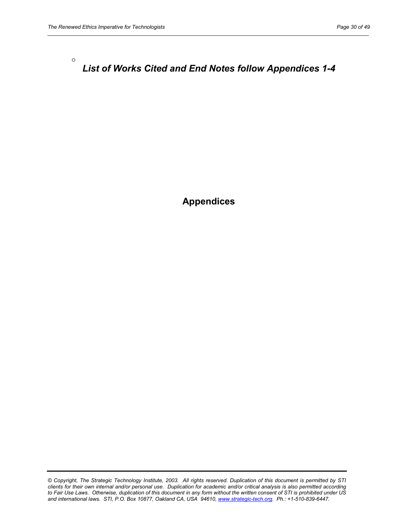o

*List of Works Cited and End Notes follow Appendices 1-4* 

*\_\_\_\_\_\_\_\_\_\_\_\_\_\_\_\_\_\_\_\_\_\_\_\_\_\_\_\_\_\_\_\_\_\_\_\_\_\_\_\_\_\_\_\_\_\_\_\_\_\_\_\_\_\_\_\_\_\_\_\_\_\_\_\_\_\_\_\_\_\_\_\_\_\_\_\_\_\_\_\_\_\_\_\_\_\_\_\_\_\_\_\_\_\_\_\_\_\_\_\_\_\_\_\_\_\_\_\_\_* 

**Appendices** 

*© Copyright, The Strategic Technology Institute, 2003. All rights reserved. Duplication of this document is permitted by STI clients for their own internal and/or personal use. Duplication for academic and/or critical analysis is also permitted according to Fair Use Laws. Otherwise, duplication of this document in any form without the written consent of STI is prohibited under US and international laws. STI, P.O. Box 10877, Oakland CA, USA 94610, www.strategic-tech.org. Ph.: +1-510-839-6447.*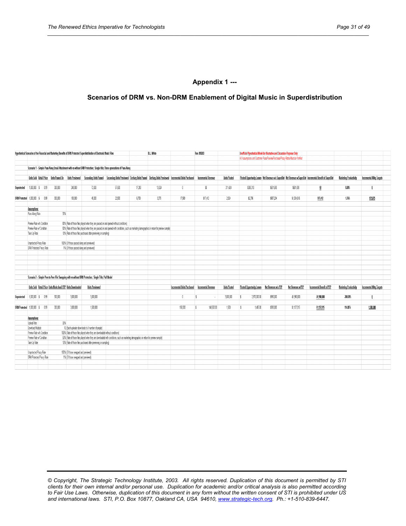# **Appendix 1 ---**

*\_\_\_\_\_\_\_\_\_\_\_\_\_\_\_\_\_\_\_\_\_\_\_\_\_\_\_\_\_\_\_\_\_\_\_\_\_\_\_\_\_\_\_\_\_\_\_\_\_\_\_\_\_\_\_\_\_\_\_\_\_\_\_\_\_\_\_\_\_\_\_\_\_\_\_\_\_\_\_\_\_\_\_\_\_\_\_\_\_\_\_\_\_\_\_\_\_\_\_\_\_\_\_\_\_\_\_\_\_* 

# **Scenarios of DRM vs. Non-DRM Enablement of Digital Music in Superdistribution**

|                                 |                                                                                                                                                                     |                            |                                                                  |                                            |                                                                                                                                                   | Hypothetical Scenarios of the Financial and Marketing Benefits of DRM-Protected Superdistribution of Electronic Music Files |       | <b>B.L. White</b> |                                                                                                                               | Rev. 050203                |                      | Unofficial Hypothetical Model for Illustrative and Discussion Purposes Only |                                                                                  |                   |                                                                                                               |                               |                                 |
|---------------------------------|---------------------------------------------------------------------------------------------------------------------------------------------------------------------|----------------------------|------------------------------------------------------------------|--------------------------------------------|---------------------------------------------------------------------------------------------------------------------------------------------------|-----------------------------------------------------------------------------------------------------------------------------|-------|-------------------|-------------------------------------------------------------------------------------------------------------------------------|----------------------------|----------------------|-----------------------------------------------------------------------------|----------------------------------------------------------------------------------|-------------------|---------------------------------------------------------------------------------------------------------------|-------------------------------|---------------------------------|
|                                 |                                                                                                                                                                     |                            |                                                                  |                                            |                                                                                                                                                   |                                                                                                                             |       |                   |                                                                                                                               |                            |                      |                                                                             | All Assumptions and Customer Pass/Preview/Purchase/Piracy Rates Must be Verified |                   |                                                                                                               |                               |                                 |
|                                 |                                                                                                                                                                     |                            |                                                                  |                                            |                                                                                                                                                   |                                                                                                                             |       |                   |                                                                                                                               |                            |                      |                                                                             |                                                                                  |                   |                                                                                                               |                               |                                 |
|                                 |                                                                                                                                                                     |                            |                                                                  |                                            | Scenario 1 - Simple Pass-Along Email Attachment with vs without DRM Protection; Single title; Three generations of Pass-Along                     |                                                                                                                             |       |                   |                                                                                                                               |                            |                      |                                                                             |                                                                                  |                   |                                                                                                               |                               |                                 |
|                                 |                                                                                                                                                                     |                            |                                                                  |                                            |                                                                                                                                                   |                                                                                                                             |       |                   |                                                                                                                               |                            |                      |                                                                             |                                                                                  |                   |                                                                                                               |                               |                                 |
|                                 |                                                                                                                                                                     |                            | Units Sold Retail Price Units Passed On                          | <b>Units Previewed</b>                     |                                                                                                                                                   |                                                                                                                             |       |                   | Secondary Units Passed Secondary Units Previewed Tiertiary Units Passed Tiertiary Units Previewed Incremental Units Purchased | <b>Incremental Revenue</b> | <b>Units Pirated</b> |                                                                             |                                                                                  |                   | Pirated Opportunity Losses Net Revenue w/o SuperDist Net Revenue w/SuperDist Incremental Benefit of SuperDist | <b>Marketing Productivity</b> | <b>Incremental Mktg Targets</b> |
|                                 |                                                                                                                                                                     |                            |                                                                  |                                            |                                                                                                                                                   |                                                                                                                             |       |                   |                                                                                                                               |                            |                      |                                                                             |                                                                                  |                   |                                                                                                               |                               |                                 |
| Unprotected                     |                                                                                                                                                                     | $1,000,000$ \$ 0.99        | 30.00                                                            | 240,000                                    | 72,000                                                                                                                                            | 57.600                                                                                                                      | 17.20 | 13.824            | $\begin{matrix} 0 \end{matrix}$                                                                                               | $\mathfrak{g}$             | 311.424              | \$30.310                                                                    | 981.690                                                                          | 981.690           | 如                                                                                                             | $0.00\%$                      |                                 |
| DRM Protected 1,000,000 \$ 0.99 |                                                                                                                                                                     |                            | 30.00                                                            | 150,000                                    | 4500                                                                                                                                              | 250                                                                                                                         | 6,750 | 3375              | 17,589                                                                                                                        | \$17,412                   | 2.624                | \$27%                                                                       | 997.204                                                                          | \$1,004,616       | \$17,412                                                                                                      | 1.76%                         | 175,875                         |
|                                 | <b>Assumptions:</b>                                                                                                                                                 |                            |                                                                  |                                            |                                                                                                                                                   |                                                                                                                             |       |                   |                                                                                                                               |                            |                      |                                                                             |                                                                                  |                   |                                                                                                               |                               |                                 |
|                                 | Pass Along Rate                                                                                                                                                     |                            | $3\%$                                                            |                                            |                                                                                                                                                   |                                                                                                                             |       |                   |                                                                                                                               |                            |                      |                                                                             |                                                                                  |                   |                                                                                                               |                               |                                 |
|                                 |                                                                                                                                                                     |                            |                                                                  |                                            |                                                                                                                                                   |                                                                                                                             |       |                   |                                                                                                                               |                            |                      |                                                                             |                                                                                  |                   |                                                                                                               |                               |                                 |
|                                 |                                                                                                                                                                     | Preview Rate w/o Condition |                                                                  |                                            | -80% (Rate of those files played when they are passed on and opened without conditions)                                                           |                                                                                                                             |       |                   |                                                                                                                               |                            |                      |                                                                             |                                                                                  |                   |                                                                                                               |                               |                                 |
|                                 | Preview Rate w/ Condition                                                                                                                                           |                            |                                                                  |                                            | 50% (Rate of those files played when they are passed on and opened with conditions, such as marketing demographics in return for preview sample). |                                                                                                                             |       |                   |                                                                                                                               |                            |                      |                                                                             |                                                                                  |                   |                                                                                                               |                               |                                 |
|                                 | Take Up Rate                                                                                                                                                        |                            |                                                                  |                                            | 10% (Rate of those files purchased after previewing or sampling)                                                                                  |                                                                                                                             |       |                   |                                                                                                                               |                            |                      |                                                                             |                                                                                  |                   |                                                                                                               |                               |                                 |
|                                 |                                                                                                                                                                     |                            |                                                                  |                                            |                                                                                                                                                   |                                                                                                                             |       |                   |                                                                                                                               |                            |                      |                                                                             |                                                                                  |                   |                                                                                                               |                               |                                 |
|                                 | Unprotected Piracy Rate                                                                                                                                             |                            |                                                                  | 100% (Of those passed along and previewed) |                                                                                                                                                   |                                                                                                                             |       |                   |                                                                                                                               |                            |                      |                                                                             |                                                                                  |                   |                                                                                                               |                               |                                 |
|                                 |                                                                                                                                                                     | DRM Protected Piracy Rate  |                                                                  | 1% (Of those passed along and previewed)   |                                                                                                                                                   |                                                                                                                             |       |                   |                                                                                                                               |                            |                      |                                                                             |                                                                                  |                   |                                                                                                               |                               |                                 |
|                                 |                                                                                                                                                                     |                            |                                                                  |                                            |                                                                                                                                                   |                                                                                                                             |       |                   |                                                                                                                               |                            |                      |                                                                             |                                                                                  |                   |                                                                                                               |                               |                                 |
|                                 |                                                                                                                                                                     |                            |                                                                  |                                            |                                                                                                                                                   |                                                                                                                             |       |                   |                                                                                                                               |                            |                      |                                                                             |                                                                                  |                   |                                                                                                               |                               |                                 |
|                                 |                                                                                                                                                                     |                            |                                                                  |                                            |                                                                                                                                                   |                                                                                                                             |       |                   |                                                                                                                               |                            |                      |                                                                             |                                                                                  |                   |                                                                                                               |                               |                                 |
|                                 |                                                                                                                                                                     |                            |                                                                  |                                            |                                                                                                                                                   |                                                                                                                             |       |                   |                                                                                                                               |                            |                      |                                                                             |                                                                                  |                   |                                                                                                               |                               |                                 |
|                                 |                                                                                                                                                                     |                            |                                                                  |                                            |                                                                                                                                                   |                                                                                                                             |       |                   |                                                                                                                               |                            |                      |                                                                             |                                                                                  |                   |                                                                                                               |                               |                                 |
|                                 |                                                                                                                                                                     |                            |                                                                  |                                            | Scenario 2 .- Simple Peer-to-Peer File Swapping with vs without DRM Protection; Single Title; Pull Model                                          |                                                                                                                             |       |                   |                                                                                                                               |                            |                      |                                                                             |                                                                                  |                   |                                                                                                               |                               |                                 |
|                                 |                                                                                                                                                                     |                            |                                                                  |                                            |                                                                                                                                                   |                                                                                                                             |       |                   |                                                                                                                               |                            |                      |                                                                             |                                                                                  |                   |                                                                                                               |                               |                                 |
|                                 |                                                                                                                                                                     |                            | Units Sold Retail Price Units Made Avail P2P Units Downloaded    |                                            | <b>Units Previewed</b>                                                                                                                            |                                                                                                                             |       |                   | Incremental Units Purchased                                                                                                   | <b>Incremental Revenue</b> | <b>Units Pirated</b> | <b>Pirated Opportunity Losses</b>                                           | Net Revenue w/o P2P                                                              | Net Revenue w/P2P | Incremental Benefit of P2P                                                                                    | <b>Marketing Productivity</b> | Incremental Mktg Targets        |
|                                 |                                                                                                                                                                     |                            |                                                                  |                                            |                                                                                                                                                   |                                                                                                                             |       |                   |                                                                                                                               |                            |                      |                                                                             |                                                                                  |                   |                                                                                                               |                               |                                 |
| Unprotected                     | $1,000,000$ \$                                                                                                                                                      | 0.99                       | 30,00                                                            | 3,000,00                                   | 3,000,000                                                                                                                                         |                                                                                                                             |       |                   | $\begin{matrix} \end{matrix}$                                                                                                 | k<br>÷.                    | 3,000,00             | 2,970,000.00<br>ß.                                                          | \$90,000                                                                         | $-1990,000$       | \$1,980,000                                                                                                   | -200.00%                      | Q                               |
|                                 |                                                                                                                                                                     |                            |                                                                  |                                            |                                                                                                                                                   |                                                                                                                             |       |                   |                                                                                                                               |                            |                      |                                                                             |                                                                                  |                   |                                                                                                               |                               |                                 |
| DRM Protected 1,000,000 \$ 0.99 |                                                                                                                                                                     |                            | 30.00                                                            | 3,000,000                                  | 1,500,000                                                                                                                                         |                                                                                                                             |       |                   | 150,000                                                                                                                       | 148,500.00                 | 1500                 | 1,46.00<br>ß.                                                               | \$990,000                                                                        | \$1,137,015       | \$1,137,015                                                                                                   | 111.85%                       | 1,00,00                         |
|                                 |                                                                                                                                                                     |                            |                                                                  |                                            |                                                                                                                                                   |                                                                                                                             |       |                   |                                                                                                                               |                            |                      |                                                                             |                                                                                  |                   |                                                                                                               |                               |                                 |
|                                 | Assumptions:                                                                                                                                                        |                            |                                                                  |                                            |                                                                                                                                                   |                                                                                                                             |       |                   |                                                                                                                               |                            |                      |                                                                             |                                                                                  |                   |                                                                                                               |                               |                                 |
|                                 | Upload Rate                                                                                                                                                         |                            | $3\%$                                                            |                                            |                                                                                                                                                   |                                                                                                                             |       |                   |                                                                                                                               |                            |                      |                                                                             |                                                                                  |                   |                                                                                                               |                               |                                 |
|                                 | Download Multiple<br>10 (Each uploader downloads to X number of people)                                                                                             |                            |                                                                  |                                            |                                                                                                                                                   |                                                                                                                             |       |                   |                                                                                                                               |                            |                      |                                                                             |                                                                                  |                   |                                                                                                               |                               |                                 |
|                                 | Preview Rate w/o Condition<br>100% (Rate of those files played when they are downloaded without conditions)                                                         |                            |                                                                  |                                            |                                                                                                                                                   |                                                                                                                             |       |                   |                                                                                                                               |                            |                      |                                                                             |                                                                                  |                   |                                                                                                               |                               |                                 |
|                                 | Preview Rate w/ Condition<br>50% (Rate of those files played when they are downloaded with conditions, such as marketing demographics in return for preview sample) |                            |                                                                  |                                            |                                                                                                                                                   |                                                                                                                             |       |                   |                                                                                                                               |                            |                      |                                                                             |                                                                                  |                   |                                                                                                               |                               |                                 |
|                                 | Take Up Rate                                                                                                                                                        |                            | 10% (Rate of those files purchased after previewing or sampling) |                                            |                                                                                                                                                   |                                                                                                                             |       |                   |                                                                                                                               |                            |                      |                                                                             |                                                                                  |                   |                                                                                                               |                               |                                 |
|                                 |                                                                                                                                                                     |                            |                                                                  |                                            |                                                                                                                                                   |                                                                                                                             |       |                   |                                                                                                                               |                            |                      |                                                                             |                                                                                  |                   |                                                                                                               |                               |                                 |
|                                 | Unprotected Piracy Rate                                                                                                                                             |                            |                                                                  | 100% (Of those swapped and previewed)      |                                                                                                                                                   |                                                                                                                             |       |                   |                                                                                                                               |                            |                      |                                                                             |                                                                                  |                   |                                                                                                               |                               |                                 |
|                                 |                                                                                                                                                                     | DRM Protected Piracy Rate  |                                                                  | 1% (Of those swapped and previewed)        |                                                                                                                                                   |                                                                                                                             |       |                   |                                                                                                                               |                            |                      |                                                                             |                                                                                  |                   |                                                                                                               |                               |                                 |
|                                 |                                                                                                                                                                     |                            |                                                                  |                                            |                                                                                                                                                   |                                                                                                                             |       |                   |                                                                                                                               |                            |                      |                                                                             |                                                                                  |                   |                                                                                                               |                               |                                 |
|                                 |                                                                                                                                                                     |                            |                                                                  |                                            |                                                                                                                                                   |                                                                                                                             |       |                   |                                                                                                                               |                            |                      |                                                                             |                                                                                  |                   |                                                                                                               |                               |                                 |

*© Copyright, The Strategic Technology Institute, 2003. All rights reserved. Duplication of this document is permitted by STI clients for their own internal and/or personal use. Duplication for academic and/or critical analysis is also permitted according to Fair Use Laws. Otherwise, duplication of this document in any form without the written consent of STI is prohibited under US and international laws. STI, P.O. Box 10877, Oakland CA, USA 94610, www.strategic-tech.org. Ph.: +1-510-839-6447.*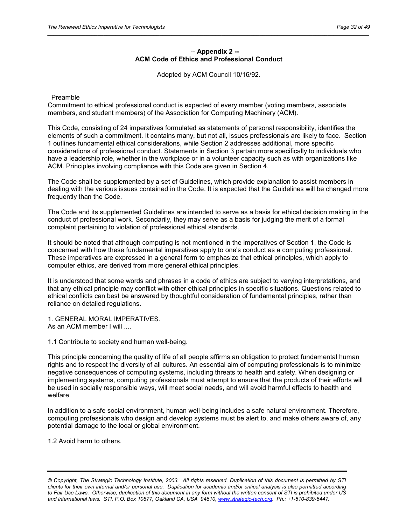# -- **Appendix 2 -- ACM Code of Ethics and Professional Conduct**

*\_\_\_\_\_\_\_\_\_\_\_\_\_\_\_\_\_\_\_\_\_\_\_\_\_\_\_\_\_\_\_\_\_\_\_\_\_\_\_\_\_\_\_\_\_\_\_\_\_\_\_\_\_\_\_\_\_\_\_\_\_\_\_\_\_\_\_\_\_\_\_\_\_\_\_\_\_\_\_\_\_\_\_\_\_\_\_\_\_\_\_\_\_\_\_\_\_\_\_\_\_\_\_\_\_\_\_\_\_* 

Adopted by ACM Council 10/16/92.

Preamble

Commitment to ethical professional conduct is expected of every member (voting members, associate members, and student members) of the Association for Computing Machinery (ACM).

This Code, consisting of 24 imperatives formulated as statements of personal responsibility, identifies the elements of such a commitment. It contains many, but not all, issues professionals are likely to face. Section 1 outlines fundamental ethical considerations, while Section 2 addresses additional, more specific considerations of professional conduct. Statements in Section 3 pertain more specifically to individuals who have a leadership role, whether in the workplace or in a volunteer capacity such as with organizations like ACM. Principles involving compliance with this Code are given in Section 4.

The Code shall be supplemented by a set of Guidelines, which provide explanation to assist members in dealing with the various issues contained in the Code. It is expected that the Guidelines will be changed more frequently than the Code.

The Code and its supplemented Guidelines are intended to serve as a basis for ethical decision making in the conduct of professional work. Secondarily, they may serve as a basis for judging the merit of a formal complaint pertaining to violation of professional ethical standards.

It should be noted that although computing is not mentioned in the imperatives of Section 1, the Code is concerned with how these fundamental imperatives apply to one's conduct as a computing professional. These imperatives are expressed in a general form to emphasize that ethical principles, which apply to computer ethics, are derived from more general ethical principles.

It is understood that some words and phrases in a code of ethics are subject to varying interpretations, and that any ethical principle may conflict with other ethical principles in specific situations. Questions related to ethical conflicts can best be answered by thoughtful consideration of fundamental principles, rather than reliance on detailed regulations.

1. GENERAL MORAL IMPERATIVES. As an ACM member I will ....

1.1 Contribute to society and human well-being.

This principle concerning the quality of life of all people affirms an obligation to protect fundamental human rights and to respect the diversity of all cultures. An essential aim of computing professionals is to minimize negative consequences of computing systems, including threats to health and safety. When designing or implementing systems, computing professionals must attempt to ensure that the products of their efforts will be used in socially responsible ways, will meet social needs, and will avoid harmful effects to health and welfare.

In addition to a safe social environment, human well-being includes a safe natural environment. Therefore, computing professionals who design and develop systems must be alert to, and make others aware of, any potential damage to the local or global environment.

1.2 Avoid harm to others.

*<sup>©</sup> Copyright, The Strategic Technology Institute, 2003. All rights reserved. Duplication of this document is permitted by STI clients for their own internal and/or personal use. Duplication for academic and/or critical analysis is also permitted according to Fair Use Laws. Otherwise, duplication of this document in any form without the written consent of STI is prohibited under US and international laws. STI, P.O. Box 10877, Oakland CA, USA 94610, www.strategic-tech.org. Ph.: +1-510-839-6447.*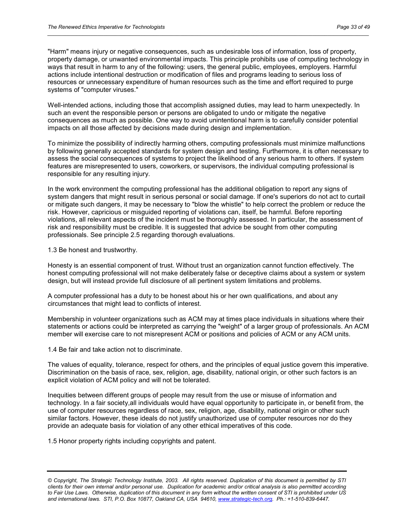"Harm" means injury or negative consequences, such as undesirable loss of information, loss of property, property damage, or unwanted environmental impacts. This principle prohibits use of computing technology in ways that result in harm to any of the following: users, the general public, employees, employers. Harmful actions include intentional destruction or modification of files and programs leading to serious loss of resources or unnecessary expenditure of human resources such as the time and effort required to purge systems of "computer viruses."

*\_\_\_\_\_\_\_\_\_\_\_\_\_\_\_\_\_\_\_\_\_\_\_\_\_\_\_\_\_\_\_\_\_\_\_\_\_\_\_\_\_\_\_\_\_\_\_\_\_\_\_\_\_\_\_\_\_\_\_\_\_\_\_\_\_\_\_\_\_\_\_\_\_\_\_\_\_\_\_\_\_\_\_\_\_\_\_\_\_\_\_\_\_\_\_\_\_\_\_\_\_\_\_\_\_\_\_\_\_* 

Well-intended actions, including those that accomplish assigned duties, may lead to harm unexpectedly. In such an event the responsible person or persons are obligated to undo or mitigate the negative consequences as much as possible. One way to avoid unintentional harm is to carefully consider potential impacts on all those affected by decisions made during design and implementation.

To minimize the possibility of indirectly harming others, computing professionals must minimize malfunctions by following generally accepted standards for system design and testing. Furthermore, it is often necessary to assess the social consequences of systems to project the likelihood of any serious harm to others. If system features are misrepresented to users, coworkers, or supervisors, the individual computing professional is responsible for any resulting injury.

In the work environment the computing professional has the additional obligation to report any signs of system dangers that might result in serious personal or social damage. If one's superiors do not act to curtail or mitigate such dangers, it may be necessary to "blow the whistle" to help correct the problem or reduce the risk. However, capricious or misguided reporting of violations can, itself, be harmful. Before reporting violations, all relevant aspects of the incident must be thoroughly assessed. In particular, the assessment of risk and responsibility must be credible. It is suggested that advice be sought from other computing professionals. See principle 2.5 regarding thorough evaluations.

1.3 Be honest and trustworthy.

Honesty is an essential component of trust. Without trust an organization cannot function effectively. The honest computing professional will not make deliberately false or deceptive claims about a system or system design, but will instead provide full disclosure of all pertinent system limitations and problems.

A computer professional has a duty to be honest about his or her own qualifications, and about any circumstances that might lead to conflicts of interest.

Membership in volunteer organizations such as ACM may at times place individuals in situations where their statements or actions could be interpreted as carrying the "weight" of a larger group of professionals. An ACM member will exercise care to not misrepresent ACM or positions and policies of ACM or any ACM units.

1.4 Be fair and take action not to discriminate.

The values of equality, tolerance, respect for others, and the principles of equal justice govern this imperative. Discrimination on the basis of race, sex, religion, age, disability, national origin, or other such factors is an explicit violation of ACM policy and will not be tolerated.

Inequities between different groups of people may result from the use or misuse of information and technology. In a fair society,all individuals would have equal opportunity to participate in, or benefit from, the use of computer resources regardless of race, sex, religion, age, disability, national origin or other such similar factors. However, these ideals do not justify unauthorized use of computer resources nor do they provide an adequate basis for violation of any other ethical imperatives of this code.

1.5 Honor property rights including copyrights and patent.

*<sup>©</sup> Copyright, The Strategic Technology Institute, 2003. All rights reserved. Duplication of this document is permitted by STI clients for their own internal and/or personal use. Duplication for academic and/or critical analysis is also permitted according to Fair Use Laws. Otherwise, duplication of this document in any form without the written consent of STI is prohibited under US and international laws. STI, P.O. Box 10877, Oakland CA, USA 94610, www.strategic-tech.org. Ph.: +1-510-839-6447.*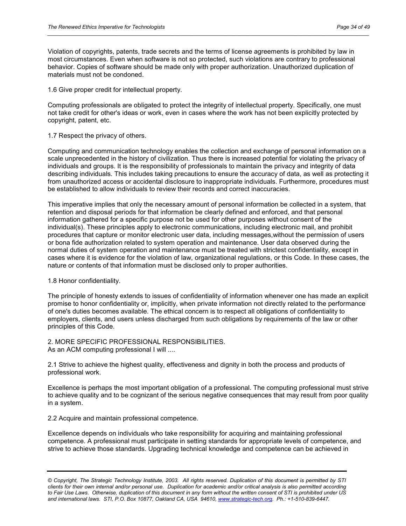Violation of copyrights, patents, trade secrets and the terms of license agreements is prohibited by law in most circumstances. Even when software is not so protected, such violations are contrary to professional behavior. Copies of software should be made only with proper authorization. Unauthorized duplication of materials must not be condoned.

*\_\_\_\_\_\_\_\_\_\_\_\_\_\_\_\_\_\_\_\_\_\_\_\_\_\_\_\_\_\_\_\_\_\_\_\_\_\_\_\_\_\_\_\_\_\_\_\_\_\_\_\_\_\_\_\_\_\_\_\_\_\_\_\_\_\_\_\_\_\_\_\_\_\_\_\_\_\_\_\_\_\_\_\_\_\_\_\_\_\_\_\_\_\_\_\_\_\_\_\_\_\_\_\_\_\_\_\_\_* 

1.6 Give proper credit for intellectual property.

Computing professionals are obligated to protect the integrity of intellectual property. Specifically, one must not take credit for other's ideas or work, even in cases where the work has not been explicitly protected by copyright, patent, etc.

1.7 Respect the privacy of others.

Computing and communication technology enables the collection and exchange of personal information on a scale unprecedented in the history of civilization. Thus there is increased potential for violating the privacy of individuals and groups. It is the responsibility of professionals to maintain the privacy and integrity of data describing individuals. This includes taking precautions to ensure the accuracy of data, as well as protecting it from unauthorized access or accidental disclosure to inappropriate individuals. Furthermore, procedures must be established to allow individuals to review their records and correct inaccuracies.

This imperative implies that only the necessary amount of personal information be collected in a system, that retention and disposal periods for that information be clearly defined and enforced, and that personal information gathered for a specific purpose not be used for other purposes without consent of the individual(s). These principles apply to electronic communications, including electronic mail, and prohibit procedures that capture or monitor electronic user data, including messages,without the permission of users or bona fide authorization related to system operation and maintenance. User data observed during the normal duties of system operation and maintenance must be treated with strictest confidentiality, except in cases where it is evidence for the violation of law, organizational regulations, or this Code. In these cases, the nature or contents of that information must be disclosed only to proper authorities.

1.8 Honor confidentiality.

The principle of honesty extends to issues of confidentiality of information whenever one has made an explicit promise to honor confidentiality or, implicitly, when private information not directly related to the performance of one's duties becomes available. The ethical concern is to respect all obligations of confidentiality to employers, clients, and users unless discharged from such obligations by requirements of the law or other principles of this Code.

2. MORE SPECIFIC PROFESSIONAL RESPONSIBILITIES. As an ACM computing professional I will ....

2.1 Strive to achieve the highest quality, effectiveness and dignity in both the process and products of professional work.

Excellence is perhaps the most important obligation of a professional. The computing professional must strive to achieve quality and to be cognizant of the serious negative consequences that may result from poor quality in a system.

2.2 Acquire and maintain professional competence.

Excellence depends on individuals who take responsibility for acquiring and maintaining professional competence. A professional must participate in setting standards for appropriate levels of competence, and strive to achieve those standards. Upgrading technical knowledge and competence can be achieved in

*<sup>©</sup> Copyright, The Strategic Technology Institute, 2003. All rights reserved. Duplication of this document is permitted by STI clients for their own internal and/or personal use. Duplication for academic and/or critical analysis is also permitted according to Fair Use Laws. Otherwise, duplication of this document in any form without the written consent of STI is prohibited under US and international laws. STI, P.O. Box 10877, Oakland CA, USA 94610, www.strategic-tech.org. Ph.: +1-510-839-6447.*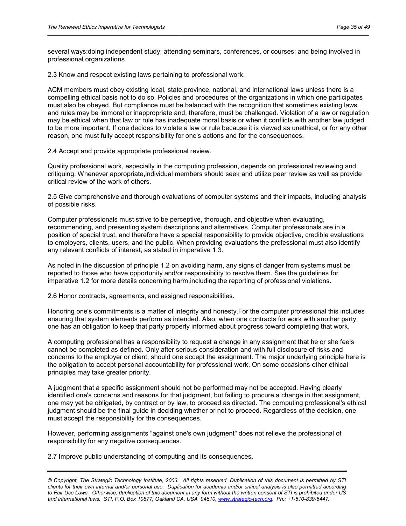several ways:doing independent study; attending seminars, conferences, or courses; and being involved in professional organizations.

*\_\_\_\_\_\_\_\_\_\_\_\_\_\_\_\_\_\_\_\_\_\_\_\_\_\_\_\_\_\_\_\_\_\_\_\_\_\_\_\_\_\_\_\_\_\_\_\_\_\_\_\_\_\_\_\_\_\_\_\_\_\_\_\_\_\_\_\_\_\_\_\_\_\_\_\_\_\_\_\_\_\_\_\_\_\_\_\_\_\_\_\_\_\_\_\_\_\_\_\_\_\_\_\_\_\_\_\_\_* 

2.3 Know and respect existing laws pertaining to professional work.

ACM members must obey existing local, state,province, national, and international laws unless there is a compelling ethical basis not to do so. Policies and procedures of the organizations in which one participates must also be obeyed. But compliance must be balanced with the recognition that sometimes existing laws and rules may be immoral or inappropriate and, therefore, must be challenged. Violation of a law or regulation may be ethical when that law or rule has inadequate moral basis or when it conflicts with another law judged to be more important. If one decides to violate a law or rule because it is viewed as unethical, or for any other reason, one must fully accept responsibility for one's actions and for the consequences.

2.4 Accept and provide appropriate professional review.

Quality professional work, especially in the computing profession, depends on professional reviewing and critiquing. Whenever appropriate,individual members should seek and utilize peer review as well as provide critical review of the work of others.

2.5 Give comprehensive and thorough evaluations of computer systems and their impacts, including analysis of possible risks.

Computer professionals must strive to be perceptive, thorough, and objective when evaluating, recommending, and presenting system descriptions and alternatives. Computer professionals are in a position of special trust, and therefore have a special responsibility to provide objective, credible evaluations to employers, clients, users, and the public. When providing evaluations the professional must also identify any relevant conflicts of interest, as stated in imperative 1.3.

As noted in the discussion of principle 1.2 on avoiding harm, any signs of danger from systems must be reported to those who have opportunity and/or responsibility to resolve them. See the guidelines for imperative 1.2 for more details concerning harm,including the reporting of professional violations.

2.6 Honor contracts, agreements, and assigned responsibilities.

Honoring one's commitments is a matter of integrity and honesty.For the computer professional this includes ensuring that system elements perform as intended. Also, when one contracts for work with another party, one has an obligation to keep that party properly informed about progress toward completing that work.

A computing professional has a responsibility to request a change in any assignment that he or she feels cannot be completed as defined. Only after serious consideration and with full disclosure of risks and concerns to the employer or client, should one accept the assignment. The major underlying principle here is the obligation to accept personal accountability for professional work. On some occasions other ethical principles may take greater priority.

A judgment that a specific assignment should not be performed may not be accepted. Having clearly identified one's concerns and reasons for that judgment, but failing to procure a change in that assignment, one may yet be obligated, by contract or by law, to proceed as directed. The computing professional's ethical judgment should be the final guide in deciding whether or not to proceed. Regardless of the decision, one must accept the responsibility for the consequences.

However, performing assignments "against one's own judgment" does not relieve the professional of responsibility for any negative consequences.

2.7 Improve public understanding of computing and its consequences.

*<sup>©</sup> Copyright, The Strategic Technology Institute, 2003. All rights reserved. Duplication of this document is permitted by STI clients for their own internal and/or personal use. Duplication for academic and/or critical analysis is also permitted according to Fair Use Laws. Otherwise, duplication of this document in any form without the written consent of STI is prohibited under US and international laws. STI, P.O. Box 10877, Oakland CA, USA 94610, www.strategic-tech.org. Ph.: +1-510-839-6447.*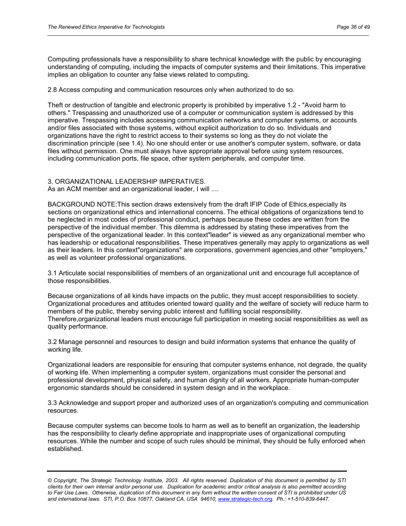Computing professionals have a responsibility to share technical knowledge with the public by encouraging understanding of computing, including the impacts of computer systems and their limitations. This imperative implies an obligation to counter any false views related to computing.

*\_\_\_\_\_\_\_\_\_\_\_\_\_\_\_\_\_\_\_\_\_\_\_\_\_\_\_\_\_\_\_\_\_\_\_\_\_\_\_\_\_\_\_\_\_\_\_\_\_\_\_\_\_\_\_\_\_\_\_\_\_\_\_\_\_\_\_\_\_\_\_\_\_\_\_\_\_\_\_\_\_\_\_\_\_\_\_\_\_\_\_\_\_\_\_\_\_\_\_\_\_\_\_\_\_\_\_\_\_* 

2.8 Access computing and communication resources only when authorized to do so.

Theft or destruction of tangible and electronic property is prohibited by imperative 1.2 - "Avoid harm to others." Trespassing and unauthorized use of a computer or communication system is addressed by this imperative. Trespassing includes accessing communication networks and computer systems, or accounts and/or files associated with those systems, without explicit authorization to do so. Individuals and organizations have the right to restrict access to their systems so long as they do not violate the discrimination principle (see 1.4). No one should enter or use another's computer system, software, or data files without permission. One must always have appropriate approval before using system resources, including communication ports, file space, other system peripherals, and computer time.

3. ORGANIZATIONAL LEADERSHIP IMPERATIVES. As an ACM member and an organizational leader, I will ....

BACKGROUND NOTE:This section draws extensively from the draft IFIP Code of Ethics,especially its sections on organizational ethics and international concerns. The ethical obligations of organizations tend to be neglected in most codes of professional conduct, perhaps because these codes are written from the perspective of the individual member. This dilemma is addressed by stating these imperatives from the perspective of the organizational leader. In this context"leader" is viewed as any organizational member who has leadership or educational responsibilities. These imperatives generally may apply to organizations as well as their leaders. In this context"organizations" are corporations, government agencies,and other "employers," as well as volunteer professional organizations.

3.1 Articulate social responsibilities of members of an organizational unit and encourage full acceptance of those responsibilities.

Because organizations of all kinds have impacts on the public, they must accept responsibilities to society. Organizational procedures and attitudes oriented toward quality and the welfare of society will reduce harm to members of the public, thereby serving public interest and fulfilling social responsibility. Therefore,organizational leaders must encourage full participation in meeting social responsibilities as well as quality performance.

3.2 Manage personnel and resources to design and build information systems that enhance the quality of working life.

Organizational leaders are responsible for ensuring that computer systems enhance, not degrade, the quality of working life. When implementing a computer system, organizations must consider the personal and professional development, physical safety, and human dignity of all workers. Appropriate human-computer ergonomic standards should be considered in system design and in the workplace.

3.3 Acknowledge and support proper and authorized uses of an organization's computing and communication resources.

Because computer systems can become tools to harm as well as to benefit an organization, the leadership has the responsibility to clearly define appropriate and inappropriate uses of organizational computing resources. While the number and scope of such rules should be minimal, they should be fully enforced when established.

*<sup>©</sup> Copyright, The Strategic Technology Institute, 2003. All rights reserved. Duplication of this document is permitted by STI clients for their own internal and/or personal use. Duplication for academic and/or critical analysis is also permitted according to Fair Use Laws. Otherwise, duplication of this document in any form without the written consent of STI is prohibited under US and international laws. STI, P.O. Box 10877, Oakland CA, USA 94610, www.strategic-tech.org. Ph.: +1-510-839-6447.*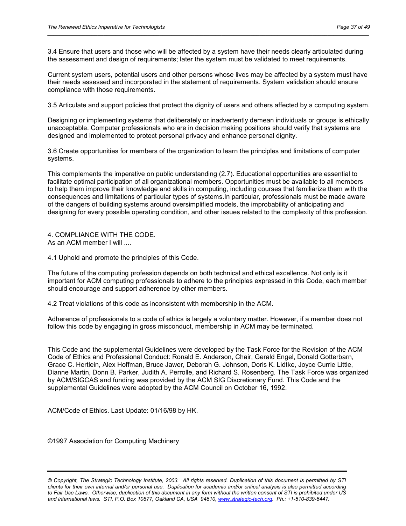3.4 Ensure that users and those who will be affected by a system have their needs clearly articulated during the assessment and design of requirements; later the system must be validated to meet requirements.

*\_\_\_\_\_\_\_\_\_\_\_\_\_\_\_\_\_\_\_\_\_\_\_\_\_\_\_\_\_\_\_\_\_\_\_\_\_\_\_\_\_\_\_\_\_\_\_\_\_\_\_\_\_\_\_\_\_\_\_\_\_\_\_\_\_\_\_\_\_\_\_\_\_\_\_\_\_\_\_\_\_\_\_\_\_\_\_\_\_\_\_\_\_\_\_\_\_\_\_\_\_\_\_\_\_\_\_\_\_* 

Current system users, potential users and other persons whose lives may be affected by a system must have their needs assessed and incorporated in the statement of requirements. System validation should ensure compliance with those requirements.

3.5 Articulate and support policies that protect the dignity of users and others affected by a computing system.

Designing or implementing systems that deliberately or inadvertently demean individuals or groups is ethically unacceptable. Computer professionals who are in decision making positions should verify that systems are designed and implemented to protect personal privacy and enhance personal dignity.

3.6 Create opportunities for members of the organization to learn the principles and limitations of computer systems.

This complements the imperative on public understanding (2.7). Educational opportunities are essential to facilitate optimal participation of all organizational members. Opportunities must be available to all members to help them improve their knowledge and skills in computing, including courses that familiarize them with the consequences and limitations of particular types of systems.In particular, professionals must be made aware of the dangers of building systems around oversimplified models, the improbability of anticipating and designing for every possible operating condition, and other issues related to the complexity of this profession.

4. COMPLIANCE WITH THE CODE. As an ACM member I will ....

4.1 Uphold and promote the principles of this Code.

The future of the computing profession depends on both technical and ethical excellence. Not only is it important for ACM computing professionals to adhere to the principles expressed in this Code, each member should encourage and support adherence by other members.

4.2 Treat violations of this code as inconsistent with membership in the ACM.

Adherence of professionals to a code of ethics is largely a voluntary matter. However, if a member does not follow this code by engaging in gross misconduct, membership in ACM may be terminated.

This Code and the supplemental Guidelines were developed by the Task Force for the Revision of the ACM Code of Ethics and Professional Conduct: Ronald E. Anderson, Chair, Gerald Engel, Donald Gotterbarn, Grace C. Hertlein, Alex Hoffman, Bruce Jawer, Deborah G. Johnson, Doris K. Lidtke, Joyce Currie Little, Dianne Martin, Donn B. Parker, Judith A. Perrolle, and Richard S. Rosenberg. The Task Force was organized by ACM/SIGCAS and funding was provided by the ACM SIG Discretionary Fund. This Code and the supplemental Guidelines were adopted by the ACM Council on October 16, 1992.

ACM/Code of Ethics. Last Update: 01/16/98 by HK.

©1997 Association for Computing Machinery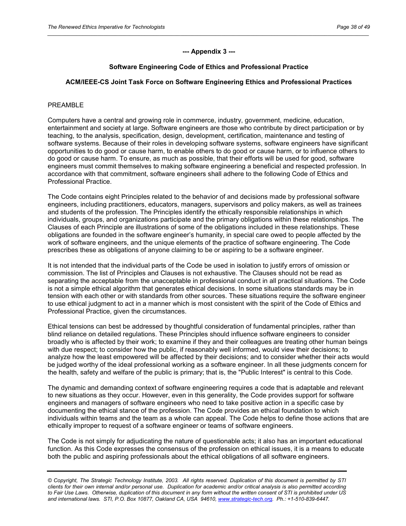# **--- Appendix 3 ---**

*\_\_\_\_\_\_\_\_\_\_\_\_\_\_\_\_\_\_\_\_\_\_\_\_\_\_\_\_\_\_\_\_\_\_\_\_\_\_\_\_\_\_\_\_\_\_\_\_\_\_\_\_\_\_\_\_\_\_\_\_\_\_\_\_\_\_\_\_\_\_\_\_\_\_\_\_\_\_\_\_\_\_\_\_\_\_\_\_\_\_\_\_\_\_\_\_\_\_\_\_\_\_\_\_\_\_\_\_\_* 

# **Software Engineering Code of Ethics and Professional Practice**

# **ACM/IEEE-CS Joint Task Force on Software Engineering Ethics and Professional Practices**

#### PREAMBLE

Computers have a central and growing role in commerce, industry, government, medicine, education, entertainment and society at large. Software engineers are those who contribute by direct participation or by teaching, to the analysis, specification, design, development, certification, maintenance and testing of software systems. Because of their roles in developing software systems, software engineers have significant opportunities to do good or cause harm, to enable others to do good or cause harm, or to influence others to do good or cause harm. To ensure, as much as possible, that their efforts will be used for good, software engineers must commit themselves to making software engineering a beneficial and respected profession. In accordance with that commitment, software engineers shall adhere to the following Code of Ethics and Professional Practice.

The Code contains eight Principles related to the behavior of and decisions made by professional software engineers, including practitioners, educators, managers, supervisors and policy makers, as well as trainees and students of the profession. The Principles identify the ethically responsible relationships in which individuals, groups, and organizations participate and the primary obligations within these relationships. The Clauses of each Principle are illustrations of some of the obligations included in these relationships. These obligations are founded in the software engineer's humanity, in special care owed to people affected by the work of software engineers, and the unique elements of the practice of software engineering. The Code prescribes these as obligations of anyone claiming to be or aspiring to be a software engineer.

It is not intended that the individual parts of the Code be used in isolation to justify errors of omission or commission. The list of Principles and Clauses is not exhaustive. The Clauses should not be read as separating the acceptable from the unacceptable in professional conduct in all practical situations. The Code is not a simple ethical algorithm that generates ethical decisions. In some situations standards may be in tension with each other or with standards from other sources. These situations require the software engineer to use ethical judgment to act in a manner which is most consistent with the spirit of the Code of Ethics and Professional Practice, given the circumstances.

Ethical tensions can best be addressed by thoughtful consideration of fundamental principles, rather than blind reliance on detailed regulations. These Principles should influence software engineers to consider broadly who is affected by their work; to examine if they and their colleagues are treating other human beings with due respect; to consider how the public, if reasonably well informed, would view their decisions; to analyze how the least empowered will be affected by their decisions; and to consider whether their acts would be judged worthy of the ideal professional working as a software engineer. In all these judgments concern for the health, safety and welfare of the public is primary; that is, the "Public Interest" is central to this Code.

The dynamic and demanding context of software engineering requires a code that is adaptable and relevant to new situations as they occur. However, even in this generality, the Code provides support for software engineers and managers of software engineers who need to take positive action in a specific case by documenting the ethical stance of the profession. The Code provides an ethical foundation to which individuals within teams and the team as a whole can appeal. The Code helps to define those actions that are ethically improper to request of a software engineer or teams of software engineers.

The Code is not simply for adjudicating the nature of questionable acts; it also has an important educational function. As this Code expresses the consensus of the profession on ethical issues, it is a means to educate both the public and aspiring professionals about the ethical obligations of all software engineers.

*<sup>©</sup> Copyright, The Strategic Technology Institute, 2003. All rights reserved. Duplication of this document is permitted by STI clients for their own internal and/or personal use. Duplication for academic and/or critical analysis is also permitted according to Fair Use Laws. Otherwise, duplication of this document in any form without the written consent of STI is prohibited under US and international laws. STI, P.O. Box 10877, Oakland CA, USA 94610, www.strategic-tech.org. Ph.: +1-510-839-6447.*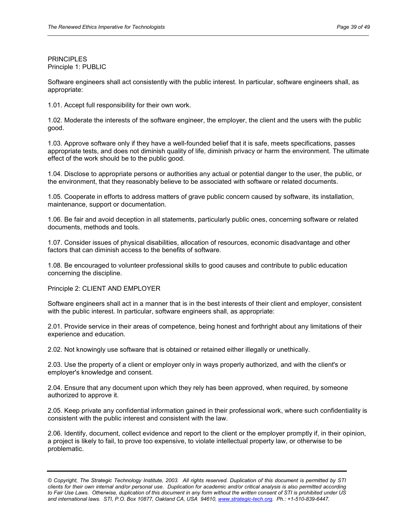PRINCIPLES Principle 1: PUBLIC

Software engineers shall act consistently with the public interest. In particular, software engineers shall, as appropriate:

*\_\_\_\_\_\_\_\_\_\_\_\_\_\_\_\_\_\_\_\_\_\_\_\_\_\_\_\_\_\_\_\_\_\_\_\_\_\_\_\_\_\_\_\_\_\_\_\_\_\_\_\_\_\_\_\_\_\_\_\_\_\_\_\_\_\_\_\_\_\_\_\_\_\_\_\_\_\_\_\_\_\_\_\_\_\_\_\_\_\_\_\_\_\_\_\_\_\_\_\_\_\_\_\_\_\_\_\_\_* 

1.01. Accept full responsibility for their own work.

1.02. Moderate the interests of the software engineer, the employer, the client and the users with the public good.

1.03. Approve software only if they have a well-founded belief that it is safe, meets specifications, passes appropriate tests, and does not diminish quality of life, diminish privacy or harm the environment. The ultimate effect of the work should be to the public good.

1.04. Disclose to appropriate persons or authorities any actual or potential danger to the user, the public, or the environment, that they reasonably believe to be associated with software or related documents.

1.05. Cooperate in efforts to address matters of grave public concern caused by software, its installation, maintenance, support or documentation.

1.06. Be fair and avoid deception in all statements, particularly public ones, concerning software or related documents, methods and tools.

1.07. Consider issues of physical disabilities, allocation of resources, economic disadvantage and other factors that can diminish access to the benefits of software.

1.08. Be encouraged to volunteer professional skills to good causes and contribute to public education concerning the discipline.

Principle 2: CLIENT AND EMPLOYER

Software engineers shall act in a manner that is in the best interests of their client and employer, consistent with the public interest. In particular, software engineers shall, as appropriate:

2.01. Provide service in their areas of competence, being honest and forthright about any limitations of their experience and education.

2.02. Not knowingly use software that is obtained or retained either illegally or unethically.

2.03. Use the property of a client or employer only in ways properly authorized, and with the client's or employer's knowledge and consent.

2.04. Ensure that any document upon which they rely has been approved, when required, by someone authorized to approve it.

2.05. Keep private any confidential information gained in their professional work, where such confidentiality is consistent with the public interest and consistent with the law.

2.06. Identify, document, collect evidence and report to the client or the employer promptly if, in their opinion, a project is likely to fail, to prove too expensive, to violate intellectual property law, or otherwise to be problematic.

*<sup>©</sup> Copyright, The Strategic Technology Institute, 2003. All rights reserved. Duplication of this document is permitted by STI clients for their own internal and/or personal use. Duplication for academic and/or critical analysis is also permitted according to Fair Use Laws. Otherwise, duplication of this document in any form without the written consent of STI is prohibited under US and international laws. STI, P.O. Box 10877, Oakland CA, USA 94610, www.strategic-tech.org. Ph.: +1-510-839-6447.*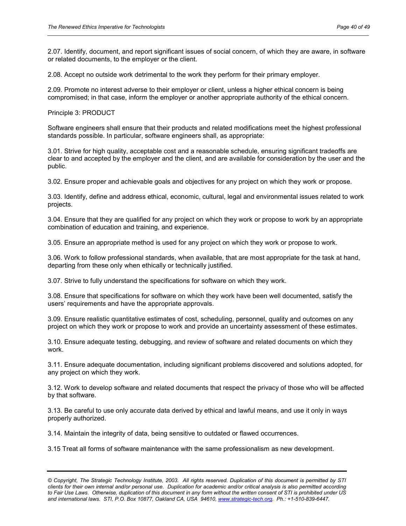2.07. Identify, document, and report significant issues of social concern, of which they are aware, in software or related documents, to the employer or the client.

*\_\_\_\_\_\_\_\_\_\_\_\_\_\_\_\_\_\_\_\_\_\_\_\_\_\_\_\_\_\_\_\_\_\_\_\_\_\_\_\_\_\_\_\_\_\_\_\_\_\_\_\_\_\_\_\_\_\_\_\_\_\_\_\_\_\_\_\_\_\_\_\_\_\_\_\_\_\_\_\_\_\_\_\_\_\_\_\_\_\_\_\_\_\_\_\_\_\_\_\_\_\_\_\_\_\_\_\_\_* 

2.08. Accept no outside work detrimental to the work they perform for their primary employer.

2.09. Promote no interest adverse to their employer or client, unless a higher ethical concern is being compromised; in that case, inform the employer or another appropriate authority of the ethical concern.

Principle 3: PRODUCT

Software engineers shall ensure that their products and related modifications meet the highest professional standards possible. In particular, software engineers shall, as appropriate:

3.01. Strive for high quality, acceptable cost and a reasonable schedule, ensuring significant tradeoffs are clear to and accepted by the employer and the client, and are available for consideration by the user and the public.

3.02. Ensure proper and achievable goals and objectives for any project on which they work or propose.

3.03. Identify, define and address ethical, economic, cultural, legal and environmental issues related to work projects.

3.04. Ensure that they are qualified for any project on which they work or propose to work by an appropriate combination of education and training, and experience.

3.05. Ensure an appropriate method is used for any project on which they work or propose to work.

3.06. Work to follow professional standards, when available, that are most appropriate for the task at hand, departing from these only when ethically or technically justified.

3.07. Strive to fully understand the specifications for software on which they work.

3.08. Ensure that specifications for software on which they work have been well documented, satisfy the users' requirements and have the appropriate approvals.

3.09. Ensure realistic quantitative estimates of cost, scheduling, personnel, quality and outcomes on any project on which they work or propose to work and provide an uncertainty assessment of these estimates.

3.10. Ensure adequate testing, debugging, and review of software and related documents on which they work.

3.11. Ensure adequate documentation, including significant problems discovered and solutions adopted, for any project on which they work.

3.12. Work to develop software and related documents that respect the privacy of those who will be affected by that software.

3.13. Be careful to use only accurate data derived by ethical and lawful means, and use it only in ways properly authorized.

3.14. Maintain the integrity of data, being sensitive to outdated or flawed occurrences.

3.15 Treat all forms of software maintenance with the same professionalism as new development.

*<sup>©</sup> Copyright, The Strategic Technology Institute, 2003. All rights reserved. Duplication of this document is permitted by STI clients for their own internal and/or personal use. Duplication for academic and/or critical analysis is also permitted according to Fair Use Laws. Otherwise, duplication of this document in any form without the written consent of STI is prohibited under US and international laws. STI, P.O. Box 10877, Oakland CA, USA 94610, www.strategic-tech.org. Ph.: +1-510-839-6447.*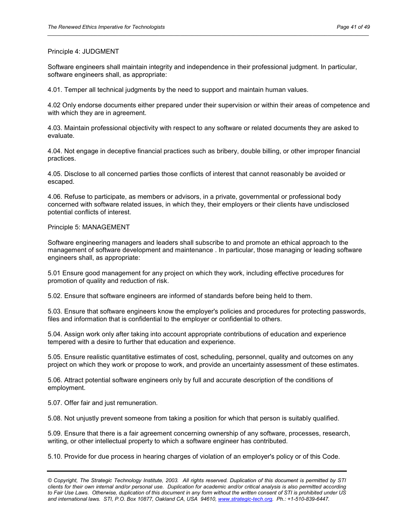# Principle 4: JUDGMENT

Software engineers shall maintain integrity and independence in their professional judgment. In particular, software engineers shall, as appropriate:

*\_\_\_\_\_\_\_\_\_\_\_\_\_\_\_\_\_\_\_\_\_\_\_\_\_\_\_\_\_\_\_\_\_\_\_\_\_\_\_\_\_\_\_\_\_\_\_\_\_\_\_\_\_\_\_\_\_\_\_\_\_\_\_\_\_\_\_\_\_\_\_\_\_\_\_\_\_\_\_\_\_\_\_\_\_\_\_\_\_\_\_\_\_\_\_\_\_\_\_\_\_\_\_\_\_\_\_\_\_* 

4.01. Temper all technical judgments by the need to support and maintain human values.

4.02 Only endorse documents either prepared under their supervision or within their areas of competence and with which they are in agreement.

4.03. Maintain professional objectivity with respect to any software or related documents they are asked to evaluate.

4.04. Not engage in deceptive financial practices such as bribery, double billing, or other improper financial practices.

4.05. Disclose to all concerned parties those conflicts of interest that cannot reasonably be avoided or escaped.

4.06. Refuse to participate, as members or advisors, in a private, governmental or professional body concerned with software related issues, in which they, their employers or their clients have undisclosed potential conflicts of interest.

#### Principle 5: MANAGEMENT

Software engineering managers and leaders shall subscribe to and promote an ethical approach to the management of software development and maintenance . In particular, those managing or leading software engineers shall, as appropriate:

5.01 Ensure good management for any project on which they work, including effective procedures for promotion of quality and reduction of risk.

5.02. Ensure that software engineers are informed of standards before being held to them.

5.03. Ensure that software engineers know the employer's policies and procedures for protecting passwords, files and information that is confidential to the employer or confidential to others.

5.04. Assign work only after taking into account appropriate contributions of education and experience tempered with a desire to further that education and experience.

5.05. Ensure realistic quantitative estimates of cost, scheduling, personnel, quality and outcomes on any project on which they work or propose to work, and provide an uncertainty assessment of these estimates.

5.06. Attract potential software engineers only by full and accurate description of the conditions of employment.

5.07. Offer fair and just remuneration.

5.08. Not unjustly prevent someone from taking a position for which that person is suitably qualified.

5.09. Ensure that there is a fair agreement concerning ownership of any software, processes, research, writing, or other intellectual property to which a software engineer has contributed.

5.10. Provide for due process in hearing charges of violation of an employer's policy or of this Code.

*<sup>©</sup> Copyright, The Strategic Technology Institute, 2003. All rights reserved. Duplication of this document is permitted by STI clients for their own internal and/or personal use. Duplication for academic and/or critical analysis is also permitted according to Fair Use Laws. Otherwise, duplication of this document in any form without the written consent of STI is prohibited under US and international laws. STI, P.O. Box 10877, Oakland CA, USA 94610, www.strategic-tech.org. Ph.: +1-510-839-6447.*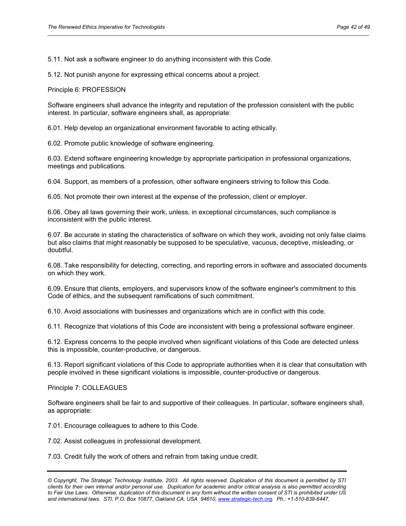5.11. Not ask a software engineer to do anything inconsistent with this Code.

5.12. Not punish anyone for expressing ethical concerns about a project.

Principle 6: PROFESSION

Software engineers shall advance the integrity and reputation of the profession consistent with the public interest. In particular, software engineers shall, as appropriate:

*\_\_\_\_\_\_\_\_\_\_\_\_\_\_\_\_\_\_\_\_\_\_\_\_\_\_\_\_\_\_\_\_\_\_\_\_\_\_\_\_\_\_\_\_\_\_\_\_\_\_\_\_\_\_\_\_\_\_\_\_\_\_\_\_\_\_\_\_\_\_\_\_\_\_\_\_\_\_\_\_\_\_\_\_\_\_\_\_\_\_\_\_\_\_\_\_\_\_\_\_\_\_\_\_\_\_\_\_\_* 

6.01. Help develop an organizational environment favorable to acting ethically.

6.02. Promote public knowledge of software engineering.

6.03. Extend software engineering knowledge by appropriate participation in professional organizations, meetings and publications.

6.04. Support, as members of a profession, other software engineers striving to follow this Code.

6.05. Not promote their own interest at the expense of the profession, client or employer.

6.06. Obey all laws governing their work, unless, in exceptional circumstances, such compliance is inconsistent with the public interest.

6.07. Be accurate in stating the characteristics of software on which they work, avoiding not only false claims but also claims that might reasonably be supposed to be speculative, vacuous, deceptive, misleading, or doubtful.

6.08. Take responsibility for detecting, correcting, and reporting errors in software and associated documents on which they work.

6.09. Ensure that clients, employers, and supervisors know of the software engineer's commitment to this Code of ethics, and the subsequent ramifications of such commitment.

6.10. Avoid associations with businesses and organizations which are in conflict with this code.

6.11. Recognize that violations of this Code are inconsistent with being a professional software engineer.

6.12. Express concerns to the people involved when significant violations of this Code are detected unless this is impossible, counter-productive, or dangerous.

6.13. Report significant violations of this Code to appropriate authorities when it is clear that consultation with people involved in these significant violations is impossible, counter-productive or dangerous.

Principle 7: COLLEAGUES

Software engineers shall be fair to and supportive of their colleagues. In particular, software engineers shall, as appropriate:

7.01. Encourage colleagues to adhere to this Code.

7.02. Assist colleagues in professional development.

7.03. Credit fully the work of others and refrain from taking undue credit.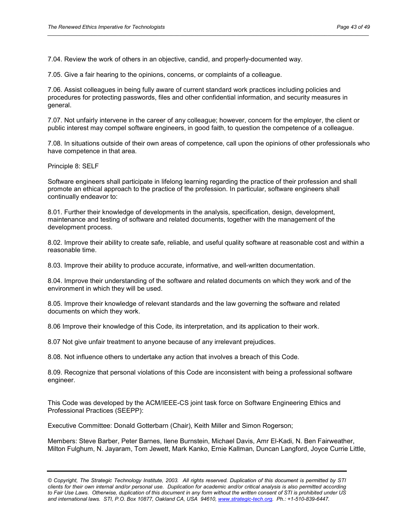7.04. Review the work of others in an objective, candid, and properly-documented way.

7.05. Give a fair hearing to the opinions, concerns, or complaints of a colleague.

7.06. Assist colleagues in being fully aware of current standard work practices including policies and procedures for protecting passwords, files and other confidential information, and security measures in general.

7.07. Not unfairly intervene in the career of any colleague; however, concern for the employer, the client or public interest may compel software engineers, in good faith, to question the competence of a colleague.

*\_\_\_\_\_\_\_\_\_\_\_\_\_\_\_\_\_\_\_\_\_\_\_\_\_\_\_\_\_\_\_\_\_\_\_\_\_\_\_\_\_\_\_\_\_\_\_\_\_\_\_\_\_\_\_\_\_\_\_\_\_\_\_\_\_\_\_\_\_\_\_\_\_\_\_\_\_\_\_\_\_\_\_\_\_\_\_\_\_\_\_\_\_\_\_\_\_\_\_\_\_\_\_\_\_\_\_\_\_* 

7.08. In situations outside of their own areas of competence, call upon the opinions of other professionals who have competence in that area.

Principle 8: SELF

Software engineers shall participate in lifelong learning regarding the practice of their profession and shall promote an ethical approach to the practice of the profession. In particular, software engineers shall continually endeavor to:

8.01. Further their knowledge of developments in the analysis, specification, design, development, maintenance and testing of software and related documents, together with the management of the development process.

8.02. Improve their ability to create safe, reliable, and useful quality software at reasonable cost and within a reasonable time.

8.03. Improve their ability to produce accurate, informative, and well-written documentation.

8.04. Improve their understanding of the software and related documents on which they work and of the environment in which they will be used.

8.05. Improve their knowledge of relevant standards and the law governing the software and related documents on which they work.

8.06 Improve their knowledge of this Code, its interpretation, and its application to their work.

8.07 Not give unfair treatment to anyone because of any irrelevant prejudices.

8.08. Not influence others to undertake any action that involves a breach of this Code.

8.09. Recognize that personal violations of this Code are inconsistent with being a professional software engineer.

This Code was developed by the ACM/IEEE-CS joint task force on Software Engineering Ethics and Professional Practices (SEEPP):

Executive Committee: Donald Gotterbarn (Chair), Keith Miller and Simon Rogerson;

Members: Steve Barber, Peter Barnes, Ilene Burnstein, Michael Davis, Amr El-Kadi, N. Ben Fairweather, Milton Fulghum, N. Jayaram, Tom Jewett, Mark Kanko, Ernie Kallman, Duncan Langford, Joyce Currie Little,

*<sup>©</sup> Copyright, The Strategic Technology Institute, 2003. All rights reserved. Duplication of this document is permitted by STI clients for their own internal and/or personal use. Duplication for academic and/or critical analysis is also permitted according to Fair Use Laws. Otherwise, duplication of this document in any form without the written consent of STI is prohibited under US and international laws. STI, P.O. Box 10877, Oakland CA, USA 94610, www.strategic-tech.org. Ph.: +1-510-839-6447.*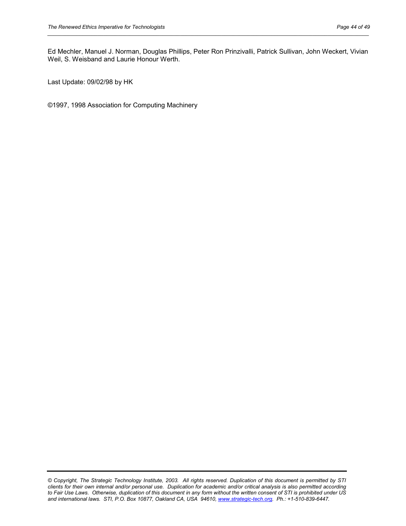Ed Mechler, Manuel J. Norman, Douglas Phillips, Peter Ron Prinzivalli, Patrick Sullivan, John Weckert, Vivian Weil, S. Weisband and Laurie Honour Werth.

*\_\_\_\_\_\_\_\_\_\_\_\_\_\_\_\_\_\_\_\_\_\_\_\_\_\_\_\_\_\_\_\_\_\_\_\_\_\_\_\_\_\_\_\_\_\_\_\_\_\_\_\_\_\_\_\_\_\_\_\_\_\_\_\_\_\_\_\_\_\_\_\_\_\_\_\_\_\_\_\_\_\_\_\_\_\_\_\_\_\_\_\_\_\_\_\_\_\_\_\_\_\_\_\_\_\_\_\_\_* 

Last Update: 09/02/98 by HK

©1997, 1998 Association for Computing Machinery

*<sup>©</sup> Copyright, The Strategic Technology Institute, 2003. All rights reserved. Duplication of this document is permitted by STI clients for their own internal and/or personal use. Duplication for academic and/or critical analysis is also permitted according to Fair Use Laws. Otherwise, duplication of this document in any form without the written consent of STI is prohibited under US and international laws. STI, P.O. Box 10877, Oakland CA, USA 94610, www.strategic-tech.org. Ph.: +1-510-839-6447.*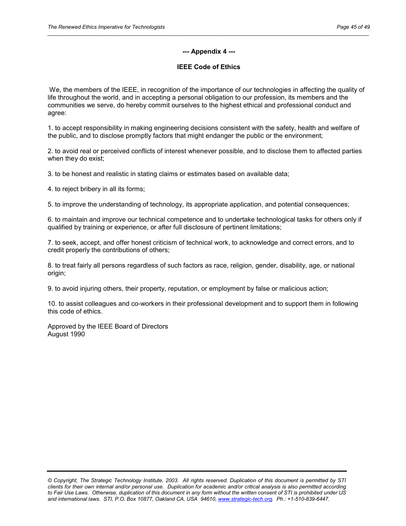# **--- Appendix 4 ---**

*\_\_\_\_\_\_\_\_\_\_\_\_\_\_\_\_\_\_\_\_\_\_\_\_\_\_\_\_\_\_\_\_\_\_\_\_\_\_\_\_\_\_\_\_\_\_\_\_\_\_\_\_\_\_\_\_\_\_\_\_\_\_\_\_\_\_\_\_\_\_\_\_\_\_\_\_\_\_\_\_\_\_\_\_\_\_\_\_\_\_\_\_\_\_\_\_\_\_\_\_\_\_\_\_\_\_\_\_\_* 

# **IEEE Code of Ethics**

 We, the members of the IEEE, in recognition of the importance of our technologies in affecting the quality of life throughout the world, and in accepting a personal obligation to our profession, its members and the communities we serve, do hereby commit ourselves to the highest ethical and professional conduct and agree:

1. to accept responsibility in making engineering decisions consistent with the safety, health and welfare of the public, and to disclose promptly factors that might endanger the public or the environment;

2. to avoid real or perceived conflicts of interest whenever possible, and to disclose them to affected parties when they do exist;

3. to be honest and realistic in stating claims or estimates based on available data;

4. to reject bribery in all its forms;

5. to improve the understanding of technology, its appropriate application, and potential consequences;

6. to maintain and improve our technical competence and to undertake technological tasks for others only if qualified by training or experience, or after full disclosure of pertinent limitations;

7. to seek, accept, and offer honest criticism of technical work, to acknowledge and correct errors, and to credit properly the contributions of others;

8. to treat fairly all persons regardless of such factors as race, religion, gender, disability, age, or national origin;

9. to avoid injuring others, their property, reputation, or employment by false or malicious action;

10. to assist colleagues and co-workers in their professional development and to support them in following this code of ethics.

Approved by the IEEE Board of Directors August 1990

*<sup>©</sup> Copyright, The Strategic Technology Institute, 2003. All rights reserved. Duplication of this document is permitted by STI clients for their own internal and/or personal use. Duplication for academic and/or critical analysis is also permitted according to Fair Use Laws. Otherwise, duplication of this document in any form without the written consent of STI is prohibited under US and international laws. STI, P.O. Box 10877, Oakland CA, USA 94610, www.strategic-tech.org. Ph.: +1-510-839-6447.*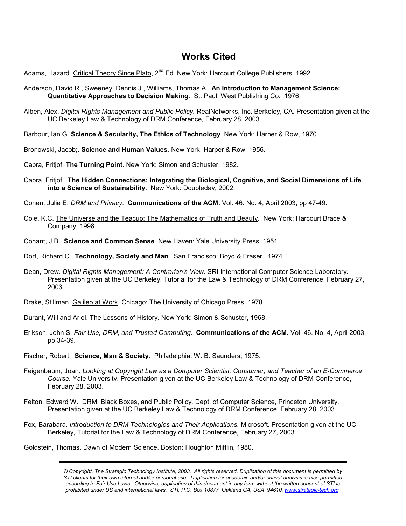# **Works Cited**

Adams, Hazard. Critical Theory Since Plato, 2<sup>nd</sup> Ed. New York: Harcourt College Publishers, 1992.

- Anderson, David R., Sweeney, Dennis J., Williams, Thomas A. **An Introduction to Management Science: Quantitative Approaches to Decision Making**. St. Paul: West Publishing Co. 1976.
- Alben, Alex. *Digital Rights Management and Public Policy.* RealNetworks, Inc. Berkeley, CA. Presentation given at the UC Berkeley Law & Technology of DRM Conference, February 28, 2003.
- Barbour, Ian G. **Science & Secularity, The Ethics of Technology**. New York: Harper & Row, 1970.
- Bronowski, Jacob;. **Science and Human Values**. New York: Harper & Row, 1956.
- Capra, Fritjof. **The Turning Point**. New York: Simon and Schuster, 1982.
- Capra, Fritjof. **The Hidden Connections: Integrating the Biological, Cognitive, and Social Dimensions of Life into a Science of Sustainability.** New York: Doubleday, 2002.
- Cohen, Julie E. *DRM and Privacy.* **Communications of the ACM.** Vol. 46. No. 4, April 2003, pp 47-49.
- Cole, K.C. The Universe and the Teacup; The Mathematics of Truth and Beauty. New York: Harcourt Brace & Company, 1998.
- Conant, J.B. **Science and Common Sense**. New Haven: Yale University Press, 1951.
- Dorf, Richard C. **Technology, Society and Man**. San Francisco: Boyd & Fraser , 1974.
- Dean, Drew. *Digital Rights Management: A Contrarian's View.* SRI International Computer Science Laboratory. Presentation given at the UC Berkeley, Tutorial for the Law & Technology of DRM Conference, February 27, 2003.
- Drake, Stillman. Galileo at Work. Chicago: The University of Chicago Press, 1978.
- Durant, Will and Ariel. The Lessons of History. New York: Simon & Schuster, 1968.
- Erikson, John S. *Fair Use, DRM, and Trusted Computing.* **Communications of the ACM.** Vol. 46. No. 4, April 2003, pp 34-39.
- Fischer, Robert. **Science, Man & Society**. Philadelphia: W. B. Saunders, 1975.
- Feigenbaum, Joan. *Looking at Copyright Law as a Computer Scientist, Consumer, and Teacher of an E-Commerce Course.* Yale University. Presentation given at the UC Berkeley Law & Technology of DRM Conference, February 28, 2003.
- Felton, Edward W. DRM, Black Boxes, and Public Policy. Dept. of Computer Science, Princeton University. Presentation given at the UC Berkeley Law & Technology of DRM Conference, February 28, 2003.
- Fox, Barabara. *Introduction to DRM Technologies and Their Applications.* Microsoft. Presentation given at the UC Berkeley, Tutorial for the Law & Technology of DRM Conference, February 27, 2003.
- Goldstein, Thomas. Dawn of Modern Science. Boston: Houghton Mifflin, 1980.

*<sup>©</sup> Copyright, The Strategic Technology Institute, 2003. All rights reserved. Duplication of this document is permitted by STI clients for their own internal and/or personal use. Duplication for academic and/or critical analysis is also permitted according to Fair Use Laws. Otherwise, duplication of this document in any form without the written consent of STI is prohibited under US and international laws. STI, P.O. Box 10877, Oakland CA, USA 94610, www.strategic-tech.org.*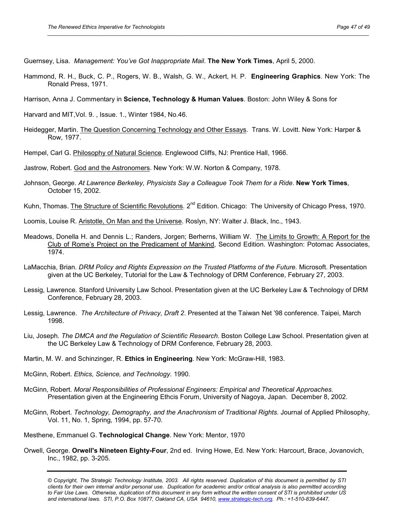Guernsey, Lisa. *Management: You've Got Inappropriate Mail*. **The New York Times**, April 5, 2000.

Hammond, R. H., Buck, C. P., Rogers, W. B., Walsh, G. W., Ackert, H. P. **Engineering Graphics**. New York: The Ronald Press, 1971.

*\_\_\_\_\_\_\_\_\_\_\_\_\_\_\_\_\_\_\_\_\_\_\_\_\_\_\_\_\_\_\_\_\_\_\_\_\_\_\_\_\_\_\_\_\_\_\_\_\_\_\_\_\_\_\_\_\_\_\_\_\_\_\_\_\_\_\_\_\_\_\_\_\_\_\_\_\_\_\_\_\_\_\_\_\_\_\_\_\_\_\_\_\_\_\_\_\_\_\_\_\_\_\_\_\_\_\_\_\_* 

- Harrison, Anna J. Commentary in **Science, Technology & Human Values**. Boston: John Wiley & Sons for
- Harvard and MIT,Vol. 9. , Issue. 1., Winter 1984, No.46.
- Heidegger, Martin. The Question Concerning Technology and Other Essays. Trans. W. Lovitt. New York: Harper & Row, 1977.
- Hempel, Carl G. Philosophy of Natural Science. Englewood Cliffs, NJ: Prentice Hall, 1966.
- Jastrow, Robert. God and the Astronomers. New York: W.W. Norton & Company, 1978.
- Johnson, George. *At Lawrence Berkeley, Physicists Say a Colleague Took Them for a Ride*. **New York Times**, October 15, 2002.
- Kuhn, Thomas. The Structure of Scientific Revolutions. 2<sup>nd</sup> Edition. Chicago: The University of Chicago Press, 1970.

Loomis, Louise R. Aristotle, On Man and the Universe. Roslyn, NY: Walter J. Black, Inc., 1943.

- Meadows, Donella H. and Dennis L.; Randers, Jorgen; Berherns, William W. The Limits to Growth: A Report for the Club of Rome's Project on the Predicament of Mankind, Second Edition. Washington: Potomac Associates, 1974.
- LaMacchia, Brian. *DRM Policy and Rights Expression on the Trusted Platforms of the Future.* Microsoft. Presentation given at the UC Berkeley, Tutorial for the Law & Technology of DRM Conference, February 27, 2003.
- Lessig, Lawrence*.* Stanford University Law School. Presentation given at the UC Berkeley Law & Technology of DRM Conference, February 28, 2003.
- Lessig, Lawrence. *The Architecture of Privacy, Draft 2*. Presented at the Taiwan Net '98 conference. Taipei, March 1998.
- Liu, Joseph*. The DMCA and the Regulation of Scientific Research*. Boston College Law School. Presentation given at the UC Berkeley Law & Technology of DRM Conference, February 28, 2003.
- Martin, M. W. and Schinzinger, R. **Ethics in Engineering**. New York: McGraw-Hill, 1983.
- McGinn, Robert. *Ethics, Science, and Technology.* 1990.
- McGinn, Robert. *Moral Responsibilities of Professional Engineers: Empirical and Theoretical Approaches.* Presentation given at the Engineering Ethcis Forum, University of Nagoya, Japan. December 8, 2002.
- McGinn, Robert. *Technology, Demography, and the Anachronism of Traditional Rights.* Journal of Applied Philosophy, Vol. 11, No. 1, Spring, 1994, pp. 57-70.
- Mesthene, Emmanuel G. **Technological Change**. New York: Mentor, 1970
- Orwell, George. **Orwell's Nineteen Eighty-Four**, 2nd ed. Irving Howe, Ed. New York: Harcourt, Brace, Jovanovich, Inc., 1982, pp. 3-205.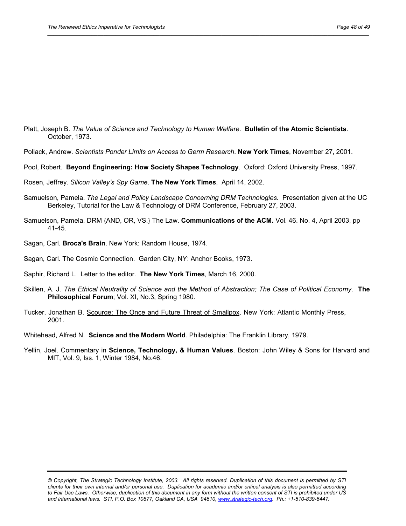Platt, Joseph B. *The Value of Science and Technology to Human Welfare*. **Bulletin of the Atomic Scientists**. October, 1973.

*\_\_\_\_\_\_\_\_\_\_\_\_\_\_\_\_\_\_\_\_\_\_\_\_\_\_\_\_\_\_\_\_\_\_\_\_\_\_\_\_\_\_\_\_\_\_\_\_\_\_\_\_\_\_\_\_\_\_\_\_\_\_\_\_\_\_\_\_\_\_\_\_\_\_\_\_\_\_\_\_\_\_\_\_\_\_\_\_\_\_\_\_\_\_\_\_\_\_\_\_\_\_\_\_\_\_\_\_\_* 

- Pollack, Andrew. *Scientists Ponder Limits on Access to Germ Research*. **New York Times**, November 27, 2001.
- Pool, Robert. **Beyond Engineering: How Society Shapes Technology**. Oxford: Oxford University Press, 1997.
- Rosen, Jeffrey. *Silicon Valley's Spy Game*. **The New York Times**, April 14, 2002.
- Samuelson, Pamela. The Legal and Policy Landscape Concerning DRM Technologies. Presentation given at the UC Berkeley, Tutorial for the Law & Technology of DRM Conference, February 27, 2003.
- Samuelson, Pamela. DRM {AND, OR, VS.} The Law. **Communications of the ACM.** Vol. 46. No. 4, April 2003, pp 41-45.
- Sagan, Carl. **Broca's Brain**. New York: Random House, 1974.
- Sagan, Carl. The Cosmic Connection. Garden City, NY: Anchor Books, 1973.
- Saphir, Richard L. Letter to the editor. **The New York Times**, March 16, 2000.
- Skillen, A. J. *The Ethical Neutrality of Science and the Method of Abstraction; The Case of Political Economy*. **The Philosophical Forum**; Vol. XI, No.3, Spring 1980.
- Tucker, Jonathan B. Scourge: The Once and Future Threat of Smallpox. New York: Atlantic Monthly Press, 2001.
- Whitehead, Alfred N. **Science and the Modern World**. Philadelphia: The Franklin Library, 1979.
- Yellin, Joel. Commentary in **Science, Technology, & Human Values**. Boston: John Wiley & Sons for Harvard and MIT, Vol. 9, Iss. 1, Winter 1984, No.46.

*<sup>©</sup> Copyright, The Strategic Technology Institute, 2003. All rights reserved. Duplication of this document is permitted by STI clients for their own internal and/or personal use. Duplication for academic and/or critical analysis is also permitted according to Fair Use Laws. Otherwise, duplication of this document in any form without the written consent of STI is prohibited under US and international laws. STI, P.O. Box 10877, Oakland CA, USA 94610, www.strategic-tech.org. Ph.: +1-510-839-6447.*